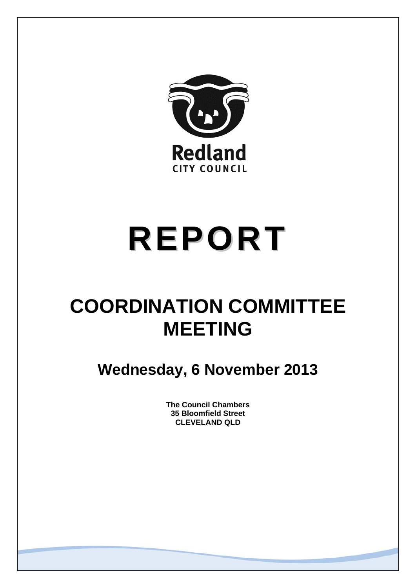

# **REPORT**

## **COORDINATION COMMITTEE MEETING**

**Wednesday, 6 November 2013** 

**The Council Chambers 35 Bloomfield Street CLEVELAND QLD**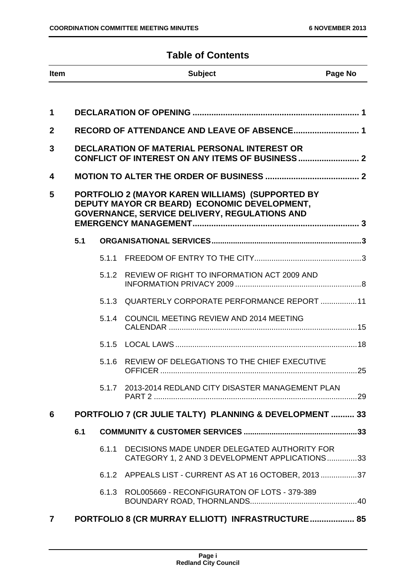### **Table of Contents**

| <b>Item</b>             |                                                                                                                                                   |                                             | <b>Subject</b>                                                                                 | Page No |  |  |
|-------------------------|---------------------------------------------------------------------------------------------------------------------------------------------------|---------------------------------------------|------------------------------------------------------------------------------------------------|---------|--|--|
| 1                       |                                                                                                                                                   |                                             |                                                                                                |         |  |  |
| $\overline{2}$          |                                                                                                                                                   | RECORD OF ATTENDANCE AND LEAVE OF ABSENCE 1 |                                                                                                |         |  |  |
| 3                       | <b>DECLARATION OF MATERIAL PERSONAL INTEREST OR</b>                                                                                               |                                             |                                                                                                |         |  |  |
| 4                       |                                                                                                                                                   |                                             |                                                                                                |         |  |  |
| 5                       | PORTFOLIO 2 (MAYOR KAREN WILLIAMS) (SUPPORTED BY<br>DEPUTY MAYOR CR BEARD) ECONOMIC DEVELOPMENT,<br>GOVERNANCE, SERVICE DELIVERY, REGULATIONS AND |                                             |                                                                                                |         |  |  |
|                         | 5.1                                                                                                                                               |                                             |                                                                                                |         |  |  |
|                         |                                                                                                                                                   | 5.1.1                                       |                                                                                                |         |  |  |
|                         |                                                                                                                                                   | 5.1.2                                       | REVIEW OF RIGHT TO INFORMATION ACT 2009 AND                                                    |         |  |  |
|                         |                                                                                                                                                   | 5.1.3                                       | QUARTERLY CORPORATE PERFORMANCE REPORT  11                                                     |         |  |  |
|                         |                                                                                                                                                   | 5.1.4                                       | COUNCIL MEETING REVIEW AND 2014 MEETING                                                        |         |  |  |
|                         |                                                                                                                                                   |                                             |                                                                                                |         |  |  |
|                         |                                                                                                                                                   | 5.1.6                                       | REVIEW OF DELEGATIONS TO THE CHIEF EXECUTIVE                                                   |         |  |  |
|                         |                                                                                                                                                   | 5.1.7                                       | 2013-2014 REDLAND CITY DISASTER MANAGEMENT PLAN                                                |         |  |  |
| 6                       |                                                                                                                                                   |                                             | PORTFOLIO 7 (CR JULIE TALTY) PLANNING & DEVELOPMENT  33                                        |         |  |  |
|                         | 6.1                                                                                                                                               |                                             |                                                                                                |         |  |  |
|                         |                                                                                                                                                   | 6.1.1                                       | DECISIONS MADE UNDER DELEGATED AUTHORITY FOR<br>CATEGORY 1, 2 AND 3 DEVELOPMENT APPLICATIONS33 |         |  |  |
|                         |                                                                                                                                                   |                                             | 6.1.2 APPEALS LIST - CURRENT AS AT 16 OCTOBER, 201337                                          |         |  |  |
|                         |                                                                                                                                                   | 6.1.3                                       | ROL005669 - RECONFIGURATON OF LOTS - 379-389                                                   |         |  |  |
| $\overline{\mathbf{r}}$ |                                                                                                                                                   |                                             | PORTFOLIO 8 (CR MURRAY ELLIOTT) INFRASTRUCTURE 85                                              |         |  |  |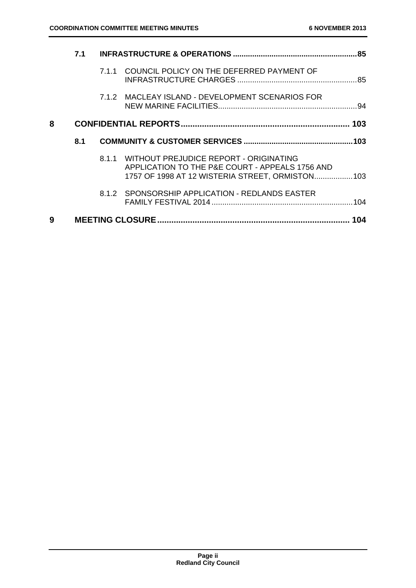|   | 7.1 |       |                                                                                                                                               | .85 |
|---|-----|-------|-----------------------------------------------------------------------------------------------------------------------------------------------|-----|
|   |     |       | 7.1.1 COUNCIL POLICY ON THE DEFERRED PAYMENT OF                                                                                               |     |
|   |     |       | 7.1.2 MACLEAY ISLAND - DEVELOPMENT SCENARIOS FOR                                                                                              |     |
| 8 |     |       |                                                                                                                                               |     |
|   | 8.1 |       |                                                                                                                                               |     |
|   |     |       |                                                                                                                                               |     |
|   |     | 8.1.1 | WITHOUT PREJUDICE REPORT - ORIGINATING<br>APPLICATION TO THE P&E COURT - APPEALS 1756 AND<br>1757 OF 1998 AT 12 WISTERIA STREET, ORMISTON 103 |     |
|   |     |       | 8.1.2 SPONSORSHIP APPLICATION - REDLANDS EASTER                                                                                               |     |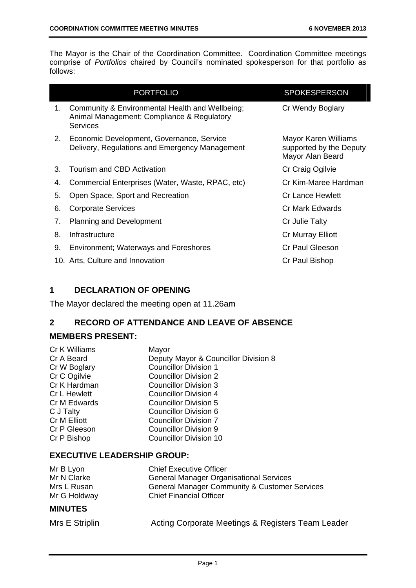The Mayor is the Chair of the Coordination Committee. Coordination Committee meetings comprise of *Portfolios* chaired by Council's nominated spokesperson for that portfolio as follows:

|    | <b>PORTFOLIO</b>                                                                                                 | <b>SPOKESPERSON</b>                                                 |
|----|------------------------------------------------------------------------------------------------------------------|---------------------------------------------------------------------|
| 1. | Community & Environmental Health and Wellbeing;<br>Animal Management; Compliance & Regulatory<br><b>Services</b> | Cr Wendy Boglary                                                    |
| 2. | Economic Development, Governance, Service<br>Delivery, Regulations and Emergency Management                      | Mayor Karen Williams<br>supported by the Deputy<br>Mayor Alan Beard |
| 3. | Tourism and CBD Activation                                                                                       | Cr Craig Ogilvie                                                    |
| 4. | Commercial Enterprises (Water, Waste, RPAC, etc)                                                                 | Cr Kim-Maree Hardman                                                |
| 5. | Open Space, Sport and Recreation                                                                                 | Cr Lance Hewlett                                                    |
| 6. | Corporate Services                                                                                               | Cr Mark Edwards                                                     |
| 7. | <b>Planning and Development</b>                                                                                  | Cr Julie Talty                                                      |
| 8. | Infrastructure                                                                                                   | Cr Murray Elliott                                                   |
| 9. | <b>Environment; Waterways and Foreshores</b>                                                                     | Cr Paul Gleeson                                                     |
|    | 10. Arts, Culture and Innovation                                                                                 | Cr Paul Bishop                                                      |

#### **1 DECLARATION OF OPENING**

The Mayor declared the meeting open at 11.26am

#### **2 RECORD OF ATTENDANCE AND LEAVE OF ABSENCE**

#### **MEMBERS PRESENT:**

| Cr K Williams | Mayor                                |
|---------------|--------------------------------------|
| Cr A Beard    | Deputy Mayor & Councillor Division 8 |
| Cr W Boglary  | <b>Councillor Division 1</b>         |
| Cr C Ogilvie  | <b>Councillor Division 2</b>         |
| Cr K Hardman  | <b>Councillor Division 3</b>         |
| Cr L Hewlett  | <b>Councillor Division 4</b>         |
| Cr M Edwards  | <b>Councillor Division 5</b>         |
| C J Talty     | <b>Councillor Division 6</b>         |
| Cr M Elliott  | <b>Councillor Division 7</b>         |
| Cr P Gleeson  | Councillor Division 9                |
| Cr P Bishop   | <b>Councillor Division 10</b>        |
|               |                                      |

#### **EXECUTIVE LEADERSHIP GROUP:**

| Mr B Lyon    | <b>Chief Executive Officer</b>                           |
|--------------|----------------------------------------------------------|
| Mr N Clarke  | <b>General Manager Organisational Services</b>           |
| Mrs L Rusan  | <b>General Manager Community &amp; Customer Services</b> |
| Mr G Holdway | <b>Chief Financial Officer</b>                           |
|              |                                                          |

#### **MINUTES**

| Mrs E Striplin |  |  |  |  |  |
|----------------|--|--|--|--|--|
|----------------|--|--|--|--|--|

Acting Corporate Meetings & Registers Team Leader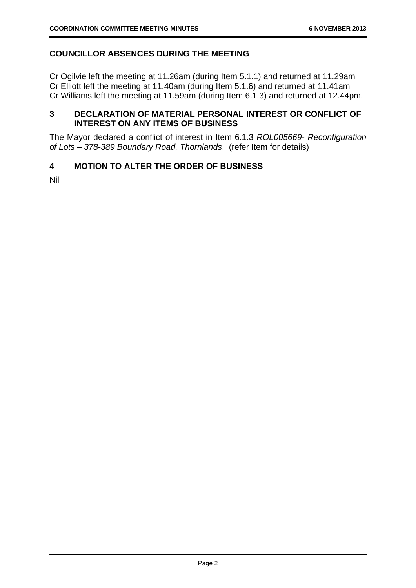#### **COUNCILLOR ABSENCES DURING THE MEETING**

Cr Ogilvie left the meeting at 11.26am (during Item 5.1.1) and returned at 11.29am Cr Elliott left the meeting at 11.40am (during Item 5.1.6) and returned at 11.41am Cr Williams left the meeting at 11.59am (during Item 6.1.3) and returned at 12.44pm.

#### **3 DECLARATION OF MATERIAL PERSONAL INTEREST OR CONFLICT OF INTEREST ON ANY ITEMS OF BUSINESS**

The Mayor declared a conflict of interest in Item 6.1.3 *ROL005669- Reconfiguration of Lots – 378-389 Boundary Road, Thornlands*. (refer Item for details)

#### **4 MOTION TO ALTER THE ORDER OF BUSINESS**

Nil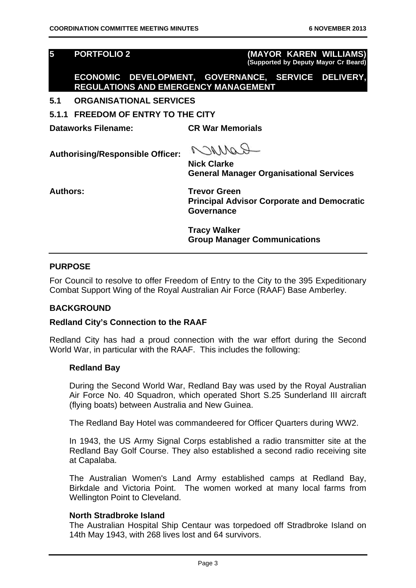**5 PORTFOLIO 2 (MAYOR KAREN WILLIAMS) (Supported by Deputy Mayor Cr Beard)**

**ECONOMIC DEVELOPMENT, GOVERNANCE, SERVICE DELIVERY, REGULATIONS AND EMERGENCY MANAGEMENT** 

- **5.1 ORGANISATIONAL SERVICES**
- **5.1.1 FREEDOM OF ENTRY TO THE CITY**

**Dataworks Filename: CR War Memorials** 

**Authorising/Responsible Officer:** 

COMMO

**Nick Clarke General Manager Organisational Services** 

**Authors: Trevor Green Principal Advisor Corporate and Democratic Governance** 

> **Tracy Walker Group Manager Communications**

#### **PURPOSE**

For Council to resolve to offer Freedom of Entry to the City to the 395 Expeditionary Combat Support Wing of the Royal Australian Air Force (RAAF) Base Amberley.

#### **BACKGROUND**

#### **Redland City's Connection to the RAAF**

Redland City has had a proud connection with the war effort during the Second World War, in particular with the RAAF. This includes the following:

#### **Redland Bay**

During the Second World War, Redland Bay was used by the Royal Australian Air Force No. 40 Squadron, which operated Short S.25 Sunderland III aircraft (flying boats) between Australia and New Guinea.

The Redland Bay Hotel was commandeered for Officer Quarters during WW2.

In 1943, the US Army Signal Corps established a radio transmitter site at the Redland Bay Golf Course. They also established a second radio receiving site at Capalaba.

The Australian Women's Land Army established camps at Redland Bay, Birkdale and Victoria Point. The women worked at many local farms from Wellington Point to Cleveland.

#### **North Stradbroke Island**

The Australian Hospital Ship Centaur was torpedoed off Stradbroke Island on 14th May 1943, with 268 lives lost and 64 survivors.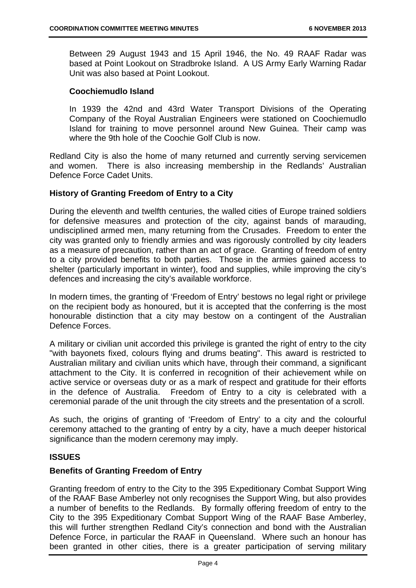Between 29 August 1943 and 15 April 1946, the No. 49 RAAF Radar was based at Point Lookout on Stradbroke Island. A US Army Early Warning Radar Unit was also based at Point Lookout.

#### **Coochiemudlo Island**

In 1939 the 42nd and 43rd Water Transport Divisions of the Operating Company of the Royal Australian Engineers were stationed on Coochiemudlo Island for training to move personnel around New Guinea. Their camp was where the 9th hole of the Coochie Golf Club is now.

Redland City is also the home of many returned and currently serving servicemen and women. There is also increasing membership in the Redlands' Australian Defence Force Cadet Units.

#### **History of Granting Freedom of Entry to a City**

During the eleventh and twelfth centuries, the walled cities of Europe trained soldiers for defensive measures and protection of the city, against bands of marauding, undisciplined armed men, many returning from the Crusades. Freedom to enter the city was granted only to friendly armies and was rigorously controlled by city leaders as a measure of precaution, rather than an act of grace. Granting of freedom of entry to a city provided benefits to both parties. Those in the armies gained access to shelter (particularly important in winter), food and supplies, while improving the city's defences and increasing the city's available workforce.

In modern times, the granting of 'Freedom of Entry' bestows no legal right or privilege on the recipient body as honoured, but it is accepted that the conferring is the most honourable distinction that a city may bestow on a contingent of the Australian Defence Forces.

A military or civilian unit accorded this privilege is granted the right of entry to the city "with bayonets fixed, colours flying and drums beating". This award is restricted to Australian military and civilian units which have, through their command, a significant attachment to the City. It is conferred in recognition of their achievement while on active service or overseas duty or as a mark of respect and gratitude for their efforts in the defence of Australia. Freedom of Entry to a city is celebrated with a ceremonial parade of the unit through the city streets and the presentation of a scroll.

As such, the origins of granting of 'Freedom of Entry' to a city and the colourful ceremony attached to the granting of entry by a city, have a much deeper historical significance than the modern ceremony may imply.

#### **ISSUES**

#### **Benefits of Granting Freedom of Entry**

Granting freedom of entry to the City to the 395 Expeditionary Combat Support Wing of the RAAF Base Amberley not only recognises the Support Wing, but also provides a number of benefits to the Redlands. By formally offering freedom of entry to the City to the 395 Expeditionary Combat Support Wing of the RAAF Base Amberley, this will further strengthen Redland City's connection and bond with the Australian Defence Force, in particular the RAAF in Queensland. Where such an honour has been granted in other cities, there is a greater participation of serving military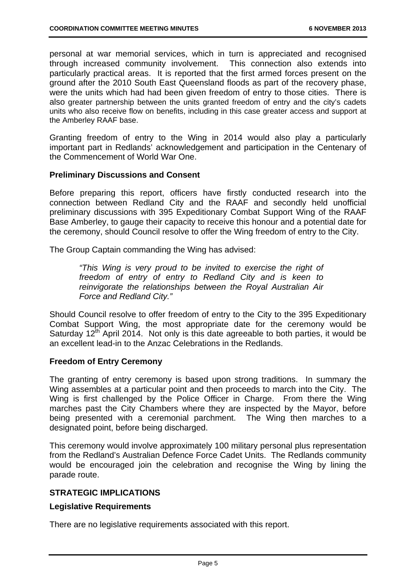personal at war memorial services, which in turn is appreciated and recognised through increased community involvement. This connection also extends into particularly practical areas. It is reported that the first armed forces present on the ground after the 2010 South East Queensland floods as part of the recovery phase, were the units which had had been given freedom of entry to those cities. There is also greater partnership between the units granted freedom of entry and the city's cadets units who also receive flow on benefits, including in this case greater access and support at the Amberley RAAF base.

Granting freedom of entry to the Wing in 2014 would also play a particularly important part in Redlands' acknowledgement and participation in the Centenary of the Commencement of World War One.

#### **Preliminary Discussions and Consent**

Before preparing this report, officers have firstly conducted research into the connection between Redland City and the RAAF and secondly held unofficial preliminary discussions with 395 Expeditionary Combat Support Wing of the RAAF Base Amberley, to gauge their capacity to receive this honour and a potential date for the ceremony, should Council resolve to offer the Wing freedom of entry to the City.

The Group Captain commanding the Wing has advised:

*"This Wing is very proud to be invited to exercise the right of freedom of entry of entry to Redland City and is keen to reinvigorate the relationships between the Royal Australian Air Force and Redland City."* 

Should Council resolve to offer freedom of entry to the City to the 395 Expeditionary Combat Support Wing, the most appropriate date for the ceremony would be Saturday 12<sup>th</sup> April 2014. Not only is this date agreeable to both parties, it would be an excellent lead-in to the Anzac Celebrations in the Redlands.

#### **Freedom of Entry Ceremony**

The granting of entry ceremony is based upon strong traditions. In summary the Wing assembles at a particular point and then proceeds to march into the City. The Wing is first challenged by the Police Officer in Charge. From there the Wing marches past the City Chambers where they are inspected by the Mayor, before being presented with a ceremonial parchment. The Wing then marches to a designated point, before being discharged.

This ceremony would involve approximately 100 military personal plus representation from the Redland's Australian Defence Force Cadet Units. The Redlands community would be encouraged join the celebration and recognise the Wing by lining the parade route.

#### **STRATEGIC IMPLICATIONS**

#### **Legislative Requirements**

There are no legislative requirements associated with this report.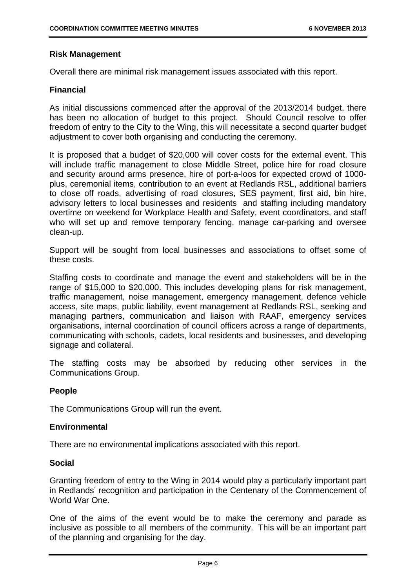#### **Risk Management**

Overall there are minimal risk management issues associated with this report.

#### **Financial**

As initial discussions commenced after the approval of the 2013/2014 budget, there has been no allocation of budget to this project. Should Council resolve to offer freedom of entry to the City to the Wing, this will necessitate a second quarter budget adjustment to cover both organising and conducting the ceremony.

It is proposed that a budget of \$20,000 will cover costs for the external event. This will include traffic management to close Middle Street, police hire for road closure and security around arms presence, hire of port-a-loos for expected crowd of 1000 plus, ceremonial items, contribution to an event at Redlands RSL, additional barriers to close off roads, advertising of road closures, SES payment, first aid, bin hire, advisory letters to local businesses and residents and staffing including mandatory overtime on weekend for Workplace Health and Safety, event coordinators, and staff who will set up and remove temporary fencing, manage car-parking and oversee clean-up.

Support will be sought from local businesses and associations to offset some of these costs.

Staffing costs to coordinate and manage the event and stakeholders will be in the range of \$15,000 to \$20,000. This includes developing plans for risk management, traffic management, noise management, emergency management, defence vehicle access, site maps, public liability, event management at Redlands RSL, seeking and managing partners, communication and liaison with RAAF, emergency services organisations, internal coordination of council officers across a range of departments, communicating with schools, cadets, local residents and businesses, and developing signage and collateral.

The staffing costs may be absorbed by reducing other services in the Communications Group.

#### **People**

The Communications Group will run the event.

#### **Environmental**

There are no environmental implications associated with this report.

#### **Social**

Granting freedom of entry to the Wing in 2014 would play a particularly important part in Redlands' recognition and participation in the Centenary of the Commencement of World War One.

One of the aims of the event would be to make the ceremony and parade as inclusive as possible to all members of the community. This will be an important part of the planning and organising for the day.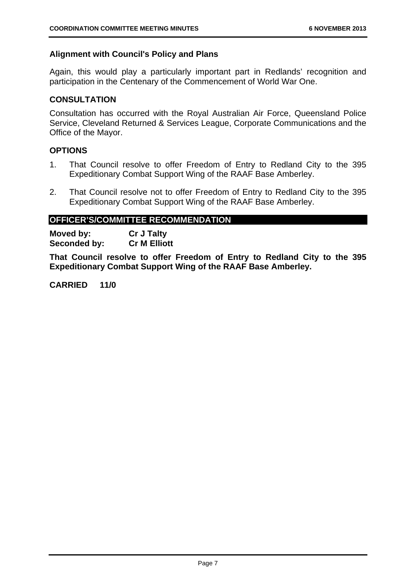#### **Alignment with Council's Policy and Plans**

Again, this would play a particularly important part in Redlands' recognition and participation in the Centenary of the Commencement of World War One.

#### **CONSULTATION**

Consultation has occurred with the Royal Australian Air Force, Queensland Police Service, Cleveland Returned & Services League, Corporate Communications and the Office of the Mayor.

#### **OPTIONS**

- 1. That Council resolve to offer Freedom of Entry to Redland City to the 395 Expeditionary Combat Support Wing of the RAAF Base Amberley.
- 2. That Council resolve not to offer Freedom of Entry to Redland City to the 395 Expeditionary Combat Support Wing of the RAAF Base Amberley.

#### **OFFICER'S/COMMITTEE RECOMMENDATION**

**Moved by: Cr J Talty Seconded by: Cr M Elliott** 

**That Council resolve to offer Freedom of Entry to Redland City to the 395 Expeditionary Combat Support Wing of the RAAF Base Amberley.** 

**CARRIED 11/0**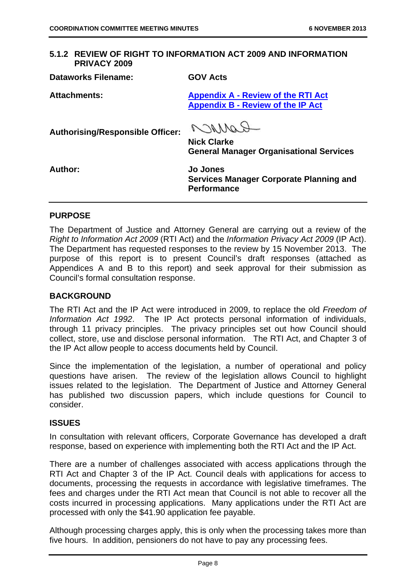#### **5.1.2 REVIEW OF RIGHT TO INFORMATION ACT 2009 AND INFORMATION PRIVACY 2009**

| <b>Dataworks Filename:</b>              | <b>GOV Acts</b>                                                                         |
|-----------------------------------------|-----------------------------------------------------------------------------------------|
| <b>Attachments:</b>                     | <b>Appendix A - Review of the RTI Act</b><br><b>Appendix B - Review of the IP Act</b>   |
| <b>Authorising/Responsible Officer:</b> | Carron<br><b>Nick Clarke</b><br><b>General Manager Organisational Services</b>          |
| Author:                                 | <b>Jo Jones</b><br><b>Services Manager Corporate Planning and</b><br><b>Performance</b> |

#### **PURPOSE**

The Department of Justice and Attorney General are carrying out a review of the *Right to Information Act 2009* (RTI Act) and the *Information Privacy Act 2009* (IP Act). The Department has requested responses to the review by 15 November 2013. The purpose of this report is to present Council's draft responses (attached as Appendices A and B to this report) and seek approval for their submission as Council's formal consultation response.

#### **BACKGROUND**

The RTI Act and the IP Act were introduced in 2009, to replace the old *Freedom of Information Act 1992*. The IP Act protects personal information of individuals, through 11 privacy principles. The privacy principles set out how Council should collect, store, use and disclose personal information. The RTI Act, and Chapter 3 of the IP Act allow people to access documents held by Council.

Since the implementation of the legislation, a number of operational and policy questions have arisen. The review of the legislation allows Council to highlight issues related to the legislation. The Department of Justice and Attorney General has published two discussion papers, which include questions for Council to consider.

#### **ISSUES**

In consultation with relevant officers, Corporate Governance has developed a draft response, based on experience with implementing both the RTI Act and the IP Act.

There are a number of challenges associated with access applications through the RTI Act and Chapter 3 of the IP Act. Council deals with applications for access to documents, processing the requests in accordance with legislative timeframes. The fees and charges under the RTI Act mean that Council is not able to recover all the costs incurred in processing applications. Many applications under the RTI Act are processed with only the \$41.90 application fee payable.

Although processing charges apply, this is only when the processing takes more than five hours. In addition, pensioners do not have to pay any processing fees.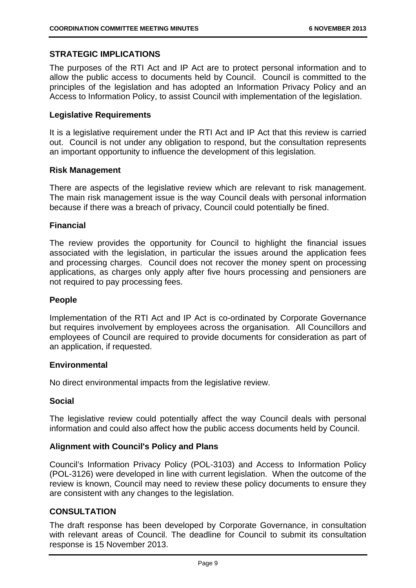#### **STRATEGIC IMPLICATIONS**

The purposes of the RTI Act and IP Act are to protect personal information and to allow the public access to documents held by Council. Council is committed to the principles of the legislation and has adopted an Information Privacy Policy and an Access to Information Policy, to assist Council with implementation of the legislation.

#### **Legislative Requirements**

It is a legislative requirement under the RTI Act and IP Act that this review is carried out. Council is not under any obligation to respond, but the consultation represents an important opportunity to influence the development of this legislation.

#### **Risk Management**

There are aspects of the legislative review which are relevant to risk management. The main risk management issue is the way Council deals with personal information because if there was a breach of privacy, Council could potentially be fined.

#### **Financial**

The review provides the opportunity for Council to highlight the financial issues associated with the legislation, in particular the issues around the application fees and processing charges. Council does not recover the money spent on processing applications, as charges only apply after five hours processing and pensioners are not required to pay processing fees.

#### **People**

Implementation of the RTI Act and IP Act is co-ordinated by Corporate Governance but requires involvement by employees across the organisation. All Councillors and employees of Council are required to provide documents for consideration as part of an application, if requested.

#### **Environmental**

No direct environmental impacts from the legislative review.

#### **Social**

The legislative review could potentially affect the way Council deals with personal information and could also affect how the public access documents held by Council.

#### **Alignment with Council's Policy and Plans**

Council's Information Privacy Policy (POL-3103) and Access to Information Policy (POL-3126) were developed in line with current legislation. When the outcome of the review is known, Council may need to review these policy documents to ensure they are consistent with any changes to the legislation.

#### **CONSULTATION**

The draft response has been developed by Corporate Governance, in consultation with relevant areas of Council. The deadline for Council to submit its consultation response is 15 November 2013.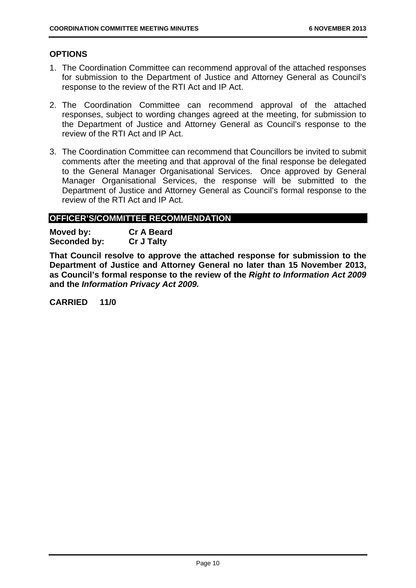#### **OPTIONS**

- 1. The Coordination Committee can recommend approval of the attached responses for submission to the Department of Justice and Attorney General as Council's response to the review of the RTI Act and IP Act.
- 2. The Coordination Committee can recommend approval of the attached responses, subject to wording changes agreed at the meeting, for submission to the Department of Justice and Attorney General as Council's response to the review of the RTI Act and IP Act.
- 3. The Coordination Committee can recommend that Councillors be invited to submit comments after the meeting and that approval of the final response be delegated to the General Manager Organisational Services. Once approved by General Manager Organisational Services, the response will be submitted to the Department of Justice and Attorney General as Council's formal response to the review of the RTI Act and IP Act.

#### **OFFICER'S/COMMITTEE RECOMMENDATION**

**Moved by: Cr A Beard Seconded by: Cr J Talty** 

**That Council resolve to approve the attached response for submission to the Department of Justice and Attorney General no later than 15 November 2013, as Council's formal response to the review of the** *Right to Information Act 2009*  **and the** *Information Privacy Act 2009.* 

**CARRIED 11/0**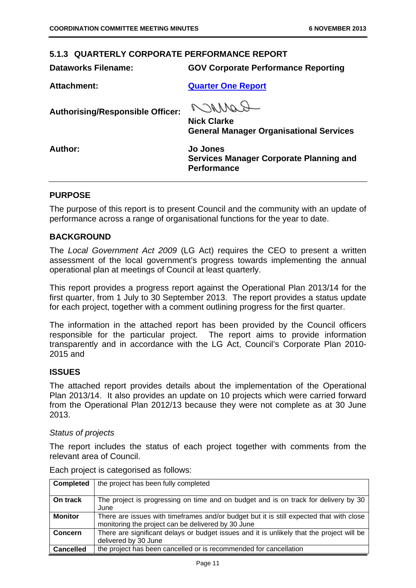#### **5.1.3 QUARTERLY CORPORATE PERFORMANCE REPORT**

**Dataworks Filename: GOV Corporate Performance Reporting** 

**Attachment: Quarter One Report**

**Authorising/Responsible Officer:** 

ROMACO

**Nick Clarke General Manager Organisational Services** 

**Author: Jo Jones Services Manager Corporate Planning and Performance** 

#### **PURPOSE**

The purpose of this report is to present Council and the community with an update of performance across a range of organisational functions for the year to date.

#### **BACKGROUND**

The *Local Government Act 2009* (LG Act) requires the CEO to present a written assessment of the local government's progress towards implementing the annual operational plan at meetings of Council at least quarterly.

This report provides a progress report against the Operational Plan 2013/14 for the first quarter, from 1 July to 30 September 2013. The report provides a status update for each project, together with a comment outlining progress for the first quarter.

The information in the attached report has been provided by the Council officers responsible for the particular project. The report aims to provide information transparently and in accordance with the LG Act, Council's Corporate Plan 2010- 2015 and

#### **ISSUES**

The attached report provides details about the implementation of the Operational Plan 2013/14. It also provides an update on 10 projects which were carried forward from the Operational Plan 2012/13 because they were not complete as at 30 June 2013.

#### *Status of projects*

The report includes the status of each project together with comments from the relevant area of Council.

| <b>Completed</b> | the project has been fully completed                                                                                                          |
|------------------|-----------------------------------------------------------------------------------------------------------------------------------------------|
|                  |                                                                                                                                               |
| On track         | The project is progressing on time and on budget and is on track for delivery by 30<br>June                                                   |
| <b>Monitor</b>   | There are issues with timeframes and/or budget but it is still expected that with close<br>monitoring the project can be delivered by 30 June |
| Concern          | There are significant delays or budget issues and it is unlikely that the project will be<br>delivered by 30 June                             |
| <b>Cancelled</b> | the project has been cancelled or is recommended for cancellation                                                                             |

Each project is categorised as follows: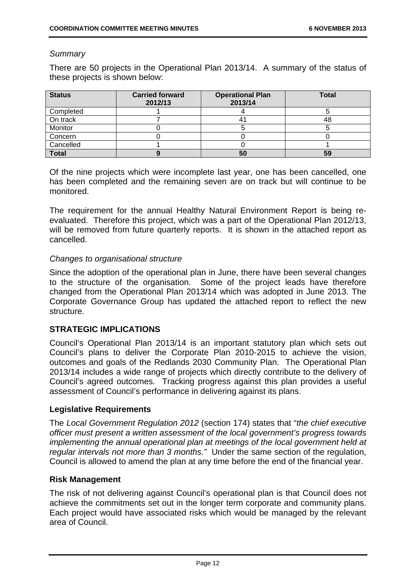#### *Summary*

There are 50 projects in the Operational Plan 2013/14. A summary of the status of these projects is shown below:

| <b>Status</b> | <b>Carried forward</b><br>2012/13 | <b>Operational Plan</b><br>2013/14 | <b>Total</b> |
|---------------|-----------------------------------|------------------------------------|--------------|
| Completed     |                                   |                                    |              |
| On track      |                                   |                                    | 48           |
| Monitor       |                                   |                                    |              |
| Concern       |                                   |                                    |              |
| Cancelled     |                                   |                                    |              |
| <b>Total</b>  |                                   | 50                                 | 59           |

Of the nine projects which were incomplete last year, one has been cancelled, one has been completed and the remaining seven are on track but will continue to be monitored.

The requirement for the annual Healthy Natural Environment Report is being reevaluated. Therefore this project, which was a part of the Operational Plan 2012/13, will be removed from future quarterly reports. It is shown in the attached report as cancelled.

#### *Changes to organisational structure*

Since the adoption of the operational plan in June, there have been several changes to the structure of the organisation. Some of the project leads have therefore changed from the Operational Plan 2013/14 which was adopted in June 2013. The Corporate Governance Group has updated the attached report to reflect the new structure.

#### **STRATEGIC IMPLICATIONS**

Council's Operational Plan 2013/14 is an important statutory plan which sets out Council's plans to deliver the Corporate Plan 2010-2015 to achieve the vision, outcomes and goals of the Redlands 2030 Community Plan. The Operational Plan 2013/14 includes a wide range of projects which directly contribute to the delivery of Council's agreed outcomes. Tracking progress against this plan provides a useful assessment of Council's performance in delivering against its plans.

#### **Legislative Requirements**

The *Local Government Regulation 2012* (section 174) states that "*the chief executive officer must present a written assessment of the local government's progress towards implementing the annual operational plan at meetings of the local government held at regular intervals not more than 3 months."* Under the same section of the regulation, Council is allowed to amend the plan at any time before the end of the financial year.

#### **Risk Management**

The risk of not delivering against Council's operational plan is that Council does not achieve the commitments set out in the longer term corporate and community plans. Each project would have associated risks which would be managed by the relevant area of Council.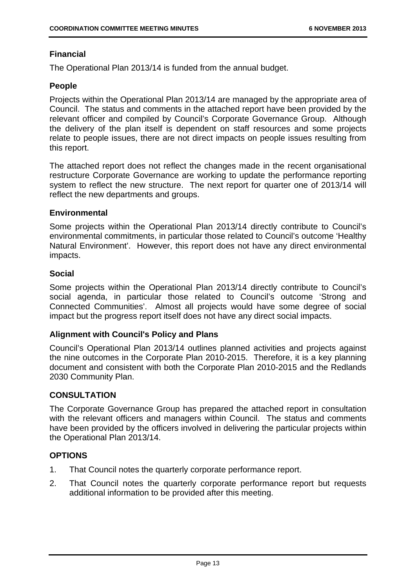#### **Financial**

The Operational Plan 2013/14 is funded from the annual budget.

#### **People**

Projects within the Operational Plan 2013/14 are managed by the appropriate area of Council. The status and comments in the attached report have been provided by the relevant officer and compiled by Council's Corporate Governance Group. Although the delivery of the plan itself is dependent on staff resources and some projects relate to people issues, there are not direct impacts on people issues resulting from this report.

The attached report does not reflect the changes made in the recent organisational restructure Corporate Governance are working to update the performance reporting system to reflect the new structure. The next report for quarter one of 2013/14 will reflect the new departments and groups.

#### **Environmental**

Some projects within the Operational Plan 2013/14 directly contribute to Council's environmental commitments, in particular those related to Council's outcome 'Healthy Natural Environment'. However, this report does not have any direct environmental impacts.

#### **Social**

Some projects within the Operational Plan 2013/14 directly contribute to Council's social agenda, in particular those related to Council's outcome 'Strong and Connected Communities'. Almost all projects would have some degree of social impact but the progress report itself does not have any direct social impacts.

#### **Alignment with Council's Policy and Plans**

Council's Operational Plan 2013/14 outlines planned activities and projects against the nine outcomes in the Corporate Plan 2010-2015. Therefore, it is a key planning document and consistent with both the Corporate Plan 2010-2015 and the Redlands 2030 Community Plan.

#### **CONSULTATION**

The Corporate Governance Group has prepared the attached report in consultation with the relevant officers and managers within Council. The status and comments have been provided by the officers involved in delivering the particular projects within the Operational Plan 2013/14.

#### **OPTIONS**

- 1. That Council notes the quarterly corporate performance report.
- 2. That Council notes the quarterly corporate performance report but requests additional information to be provided after this meeting.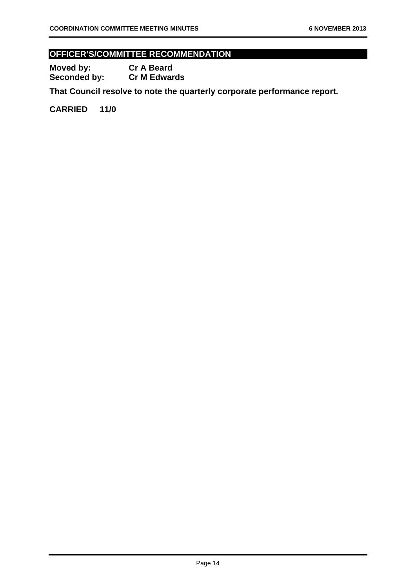#### **OFFICER'S/COMMITTEE RECOMMENDATION**

**Moved by: Cr A Beard Seconded by: Cr M Edwards** 

**That Council resolve to note the quarterly corporate performance report.** 

**CARRIED 11/0**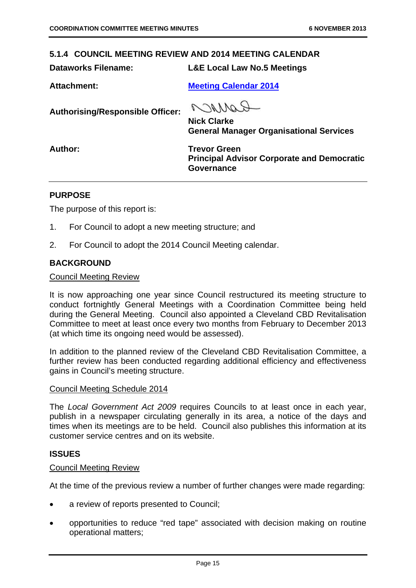#### **5.1.4 COUNCIL MEETING REVIEW AND 2014 MEETING CALENDAR**

**Dataworks Filename: L&E Local Law No.5 Meetings** 

Attachment: Meeting Calendar 2014

**Authorising/Responsible Officer:** 

COMMON

**Nick Clarke General Manager Organisational Services** 

Author: Trevor Green **Principal Advisor Corporate and Democratic Governance** 

#### **PURPOSE**

The purpose of this report is:

- 1. For Council to adopt a new meeting structure; and
- 2. For Council to adopt the 2014 Council Meeting calendar.

#### **BACKGROUND**

#### Council Meeting Review

It is now approaching one year since Council restructured its meeting structure to conduct fortnightly General Meetings with a Coordination Committee being held during the General Meeting. Council also appointed a Cleveland CBD Revitalisation Committee to meet at least once every two months from February to December 2013 (at which time its ongoing need would be assessed).

In addition to the planned review of the Cleveland CBD Revitalisation Committee, a further review has been conducted regarding additional efficiency and effectiveness gains in Council's meeting structure.

#### Council Meeting Schedule 2014

The *Local Government Act 2009* requires Councils to at least once in each year, publish in a newspaper circulating generally in its area, a notice of the days and times when its meetings are to be held. Council also publishes this information at its customer service centres and on its website.

#### **ISSUES**

#### Council Meeting Review

At the time of the previous review a number of further changes were made regarding:

- a review of reports presented to Council;
- opportunities to reduce "red tape" associated with decision making on routine operational matters;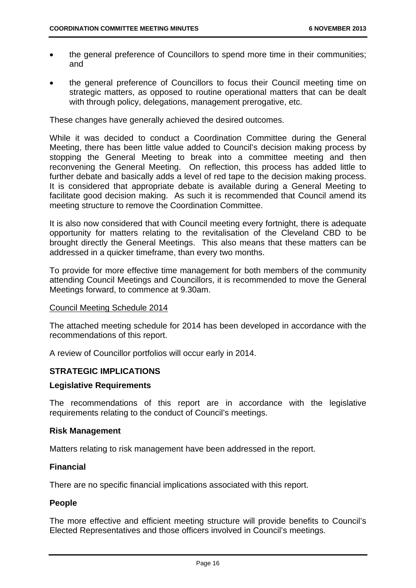- the general preference of Councillors to spend more time in their communities; and
- the general preference of Councillors to focus their Council meeting time on strategic matters, as opposed to routine operational matters that can be dealt with through policy, delegations, management prerogative, etc.

These changes have generally achieved the desired outcomes.

While it was decided to conduct a Coordination Committee during the General Meeting, there has been little value added to Council's decision making process by stopping the General Meeting to break into a committee meeting and then reconvening the General Meeting. On reflection, this process has added little to further debate and basically adds a level of red tape to the decision making process. It is considered that appropriate debate is available during a General Meeting to facilitate good decision making. As such it is recommended that Council amend its meeting structure to remove the Coordination Committee.

It is also now considered that with Council meeting every fortnight, there is adequate opportunity for matters relating to the revitalisation of the Cleveland CBD to be brought directly the General Meetings. This also means that these matters can be addressed in a quicker timeframe, than every two months.

To provide for more effective time management for both members of the community attending Council Meetings and Councillors, it is recommended to move the General Meetings forward, to commence at 9.30am.

#### Council Meeting Schedule 2014

The attached meeting schedule for 2014 has been developed in accordance with the recommendations of this report.

A review of Councillor portfolios will occur early in 2014.

#### **STRATEGIC IMPLICATIONS**

#### **Legislative Requirements**

The recommendations of this report are in accordance with the legislative requirements relating to the conduct of Council's meetings.

#### **Risk Management**

Matters relating to risk management have been addressed in the report.

#### **Financial**

There are no specific financial implications associated with this report.

#### **People**

The more effective and efficient meeting structure will provide benefits to Council's Elected Representatives and those officers involved in Council's meetings.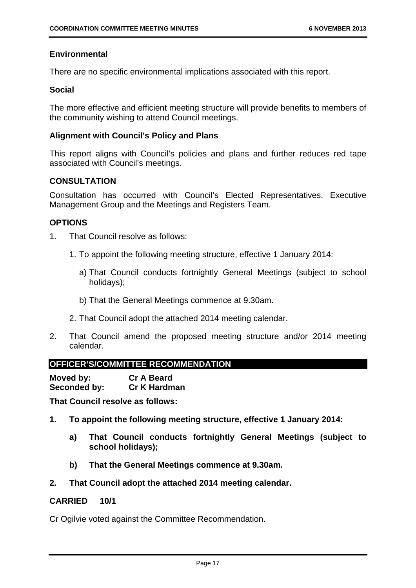#### **Environmental**

There are no specific environmental implications associated with this report.

#### **Social**

The more effective and efficient meeting structure will provide benefits to members of the community wishing to attend Council meetings.

#### **Alignment with Council's Policy and Plans**

This report aligns with Council's policies and plans and further reduces red tape associated with Council's meetings.

#### **CONSULTATION**

Consultation has occurred with Council's Elected Representatives, Executive Management Group and the Meetings and Registers Team.

#### **OPTIONS**

- 1. That Council resolve as follows:
	- 1. To appoint the following meeting structure, effective 1 January 2014:
		- a) That Council conducts fortnightly General Meetings (subject to school holidays);
		- b) That the General Meetings commence at 9.30am.
	- 2. That Council adopt the attached 2014 meeting calendar.
- 2. That Council amend the proposed meeting structure and/or 2014 meeting calendar.

#### **OFFICER'S/COMMITTEE RECOMMENDATION**

**Moved by: Cr A Beard Seconded by: Cr K Hardman** 

**That Council resolve as follows:** 

- **1. To appoint the following meeting structure, effective 1 January 2014:** 
	- **a) That Council conducts fortnightly General Meetings (subject to school holidays);**
	- **b) That the General Meetings commence at 9.30am.**
- **2. That Council adopt the attached 2014 meeting calendar.**

#### **CARRIED 10/1**

Cr Ogilvie voted against the Committee Recommendation.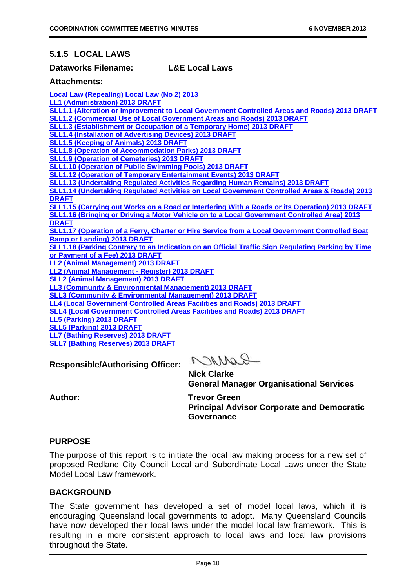#### **5.1.5 LOCAL LAWS**

#### **Dataworks Filename: L&E Local Laws**

#### **Attachments:**

**Local Law (Repealing) Local Law (No 2) 2013 LL1 (Administration) 2013 DRAFT SLL1.1 (Alteration or Improvement to Local Government Controlled Areas and Roads) 2013 DRAFT SLL1.2 (Commercial Use of Local Government Areas and Roads) 2013 DRAFT SLL1.3 (Establishment or Occupation of a Temporary Home) 2013 DRAFT SLL1.4 (Installation of Advertising Devices) 2013 DRAFT SLL1.5 (Keeping of Animals) 2013 DRAFT SLL1.8 (Operation of Accommodation Parks) 2013 DRAFT SLL1.9 (Operation of Cemeteries) 2013 DRAFT SLL1.10 (Operation of Public Swimming Pools) 2013 DRAFT SLL1.12 (Operation of Temporary Entertainment Events) 2013 DRAFT SLL1.13 (Undertaking Regulated Activities Regarding Human Remains) 2013 DRAFT SLL1.14 (Undertaking Regulated Activities on Local Government Controlled Areas & Roads) 2013 DRAFT SLL1.15 (Carrying out Works on a Road or Interfering With a Roads or its Operation) 2013 DRAFT SLL1.16 (Bringing or Driving a Motor Vehicle on to a Local Government Controlled Area) 2013 DRAFT SLL1.17 (Operation of a Ferry, Charter or Hire Service from a Local Government Controlled Boat Ramp or Landing) 2013 DRAFT SLL1.18 (Parking Contrary to an Indication on an Official Traffic Sign Regulating Parking by Time or Payment of a Fee) 2013 DRAFT LL2 (Animal Management) 2013 DRAFT LL2 (Animal Management - Register) 2013 DRAFT SLL2 (Animal Management) 2013 DRAFT LL3 (Community & Environmental Management) 2013 DRAFT SLL3 (Community & Environmental Management) 2013 DRAFT LL4 (Local Government Controlled Areas Facilities and Roads) 2013 DRAFT SLL4 (Local Government Controlled Areas Facilities and Roads) 2013 DRAFT LL5 (Parking) 2013 DRAFT SLL5 (Parking) 2013 DRAFT LL7 (Bathing Reserves) 2013 DRAFT**

**SLL7 (Bathing Reserves) 2013 DRAFT**

**Responsible/Authorising Officer:** 

RAMOR

**Nick Clarke General Manager Organisational Services** 

Author: Trevor Green **Principal Advisor Corporate and Democratic Governance** 

#### **PURPOSE**

The purpose of this report is to initiate the local law making process for a new set of proposed Redland City Council Local and Subordinate Local Laws under the State Model Local Law framework.

#### **BACKGROUND**

The State government has developed a set of model local laws, which it is encouraging Queensland local governments to adopt. Many Queensland Councils have now developed their local laws under the model local law framework. This is resulting in a more consistent approach to local laws and local law provisions throughout the State.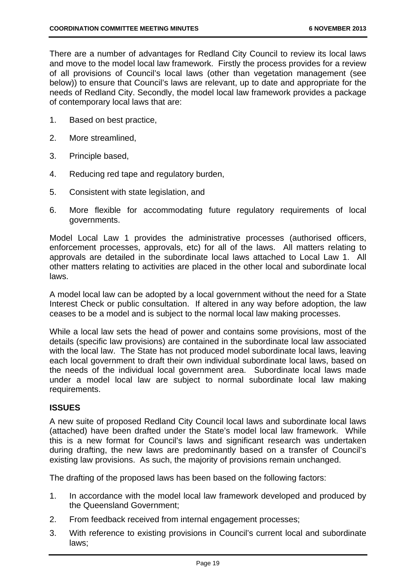There are a number of advantages for Redland City Council to review its local laws and move to the model local law framework. Firstly the process provides for a review of all provisions of Council's local laws (other than vegetation management (see below)) to ensure that Council's laws are relevant, up to date and appropriate for the needs of Redland City. Secondly, the model local law framework provides a package of contemporary local laws that are:

- 1. Based on best practice,
- 2. More streamlined,
- 3. Principle based,
- 4. Reducing red tape and regulatory burden,
- 5. Consistent with state legislation, and
- 6. More flexible for accommodating future regulatory requirements of local governments.

Model Local Law 1 provides the administrative processes (authorised officers, enforcement processes, approvals, etc) for all of the laws. All matters relating to approvals are detailed in the subordinate local laws attached to Local Law 1. All other matters relating to activities are placed in the other local and subordinate local laws.

A model local law can be adopted by a local government without the need for a State Interest Check or public consultation. If altered in any way before adoption, the law ceases to be a model and is subject to the normal local law making processes.

While a local law sets the head of power and contains some provisions, most of the details (specific law provisions) are contained in the subordinate local law associated with the local law. The State has not produced model subordinate local laws, leaving each local government to draft their own individual subordinate local laws, based on the needs of the individual local government area. Subordinate local laws made under a model local law are subject to normal subordinate local law making requirements.

#### **ISSUES**

A new suite of proposed Redland City Council local laws and subordinate local laws (attached) have been drafted under the State's model local law framework. While this is a new format for Council's laws and significant research was undertaken during drafting, the new laws are predominantly based on a transfer of Council's existing law provisions. As such, the majority of provisions remain unchanged.

The drafting of the proposed laws has been based on the following factors:

- 1. In accordance with the model local law framework developed and produced by the Queensland Government;
- 2. From feedback received from internal engagement processes;
- 3. With reference to existing provisions in Council's current local and subordinate laws;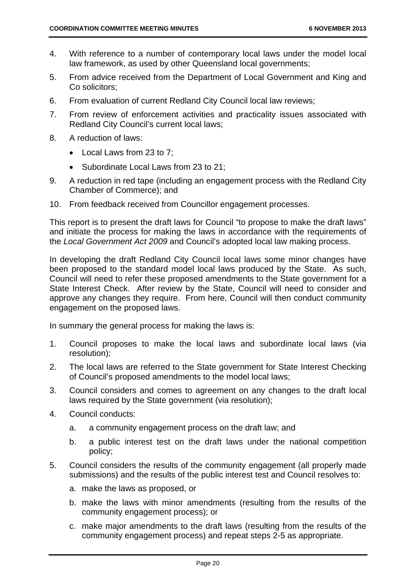- 4. With reference to a number of contemporary local laws under the model local law framework, as used by other Queensland local governments;
- 5. From advice received from the Department of Local Government and King and Co solicitors;
- 6. From evaluation of current Redland City Council local law reviews;
- 7. From review of enforcement activities and practicality issues associated with Redland City Council's current local laws;
- 8. A reduction of laws:
	- Local Laws from 23 to 7:
	- Subordinate Local Laws from 23 to 21:
- 9. A reduction in red tape (including an engagement process with the Redland City Chamber of Commerce); and
- 10. From feedback received from Councillor engagement processes.

This report is to present the draft laws for Council "to propose to make the draft laws" and initiate the process for making the laws in accordance with the requirements of the *Local Government Act 2009* and Council's adopted local law making process.

In developing the draft Redland City Council local laws some minor changes have been proposed to the standard model local laws produced by the State. As such, Council will need to refer these proposed amendments to the State government for a State Interest Check. After review by the State, Council will need to consider and approve any changes they require. From here, Council will then conduct community engagement on the proposed laws.

In summary the general process for making the laws is:

- 1. Council proposes to make the local laws and subordinate local laws (via resolution);
- 2. The local laws are referred to the State government for State Interest Checking of Council's proposed amendments to the model local laws;
- 3. Council considers and comes to agreement on any changes to the draft local laws required by the State government (via resolution);
- 4. Council conducts:
	- a. a community engagement process on the draft law; and
	- b. a public interest test on the draft laws under the national competition policy;
- 5. Council considers the results of the community engagement (all properly made submissions) and the results of the public interest test and Council resolves to:
	- a. make the laws as proposed, or
	- b. make the laws with minor amendments (resulting from the results of the community engagement process); or
	- c. make major amendments to the draft laws (resulting from the results of the community engagement process) and repeat steps 2-5 as appropriate.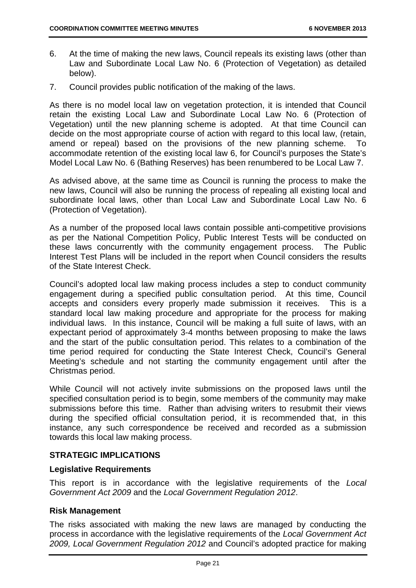- 6. At the time of making the new laws, Council repeals its existing laws (other than Law and Subordinate Local Law No. 6 (Protection of Vegetation) as detailed below).
- 7. Council provides public notification of the making of the laws.

As there is no model local law on vegetation protection, it is intended that Council retain the existing Local Law and Subordinate Local Law No. 6 (Protection of Vegetation) until the new planning scheme is adopted. At that time Council can decide on the most appropriate course of action with regard to this local law, (retain, amend or repeal) based on the provisions of the new planning scheme. To accommodate retention of the existing local law 6, for Council's purposes the State's Model Local Law No. 6 (Bathing Reserves) has been renumbered to be Local Law 7.

As advised above, at the same time as Council is running the process to make the new laws, Council will also be running the process of repealing all existing local and subordinate local laws, other than Local Law and Subordinate Local Law No. 6 (Protection of Vegetation).

As a number of the proposed local laws contain possible anti-competitive provisions as per the National Competition Policy, Public Interest Tests will be conducted on these laws concurrently with the community engagement process. The Public Interest Test Plans will be included in the report when Council considers the results of the State Interest Check.

Council's adopted local law making process includes a step to conduct community engagement during a specified public consultation period. At this time, Council accepts and considers every properly made submission it receives. This is a standard local law making procedure and appropriate for the process for making individual laws. In this instance, Council will be making a full suite of laws, with an expectant period of approximately 3-4 months between proposing to make the laws and the start of the public consultation period. This relates to a combination of the time period required for conducting the State Interest Check, Council's General Meeting's schedule and not starting the community engagement until after the Christmas period.

While Council will not actively invite submissions on the proposed laws until the specified consultation period is to begin, some members of the community may make submissions before this time. Rather than advising writers to resubmit their views during the specified official consultation period, it is recommended that, in this instance, any such correspondence be received and recorded as a submission towards this local law making process.

#### **STRATEGIC IMPLICATIONS**

#### **Legislative Requirements**

This report is in accordance with the legislative requirements of the *Local Government Act 2009* and the *Local Government Regulation 2012*.

#### **Risk Management**

The risks associated with making the new laws are managed by conducting the process in accordance with the legislative requirements of the *Local Government Act 2009, Local Government Regulation 2012* and Council's adopted practice for making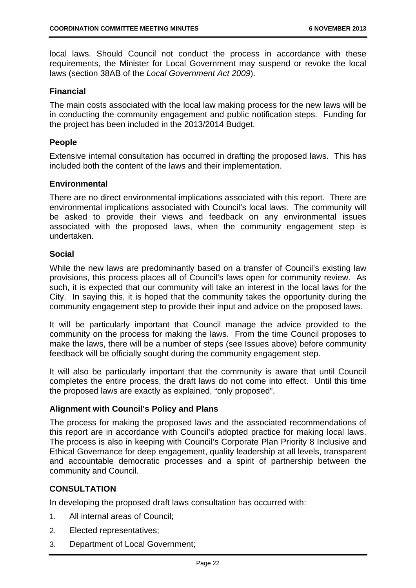local laws. Should Council not conduct the process in accordance with these requirements, the Minister for Local Government may suspend or revoke the local laws (section 38AB of the *Local Government Act 2009*).

#### **Financial**

The main costs associated with the local law making process for the new laws will be in conducting the community engagement and public notification steps. Funding for the project has been included in the 2013/2014 Budget.

#### **People**

Extensive internal consultation has occurred in drafting the proposed laws. This has included both the content of the laws and their implementation.

#### **Environmental**

There are no direct environmental implications associated with this report. There are environmental implications associated with Council's local laws. The community will be asked to provide their views and feedback on any environmental issues associated with the proposed laws, when the community engagement step is undertaken.

#### **Social**

While the new laws are predominantly based on a transfer of Council's existing law provisions, this process places all of Council's laws open for community review. As such, it is expected that our community will take an interest in the local laws for the City. In saying this, it is hoped that the community takes the opportunity during the community engagement step to provide their input and advice on the proposed laws.

It will be particularly important that Council manage the advice provided to the community on the process for making the laws. From the time Council proposes to make the laws, there will be a number of steps (see Issues above) before community feedback will be officially sought during the community engagement step.

It will also be particularly important that the community is aware that until Council completes the entire process, the draft laws do not come into effect. Until this time the proposed laws are exactly as explained, "only proposed".

#### **Alignment with Council's Policy and Plans**

The process for making the proposed laws and the associated recommendations of this report are in accordance with Council's adopted practice for making local laws. The process is also in keeping with Council's Corporate Plan Priority 8 Inclusive and Ethical Governance for deep engagement, quality leadership at all levels, transparent and accountable democratic processes and a spirit of partnership between the community and Council.

#### **CONSULTATION**

In developing the proposed draft laws consultation has occurred with:

- 1. All internal areas of Council;
- 2. Elected representatives;
- 3. Department of Local Government;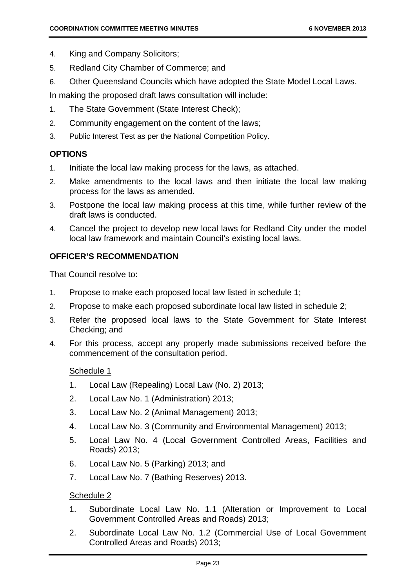- 4. King and Company Solicitors;
- 5. Redland City Chamber of Commerce; and
- 6. Other Queensland Councils which have adopted the State Model Local Laws.

In making the proposed draft laws consultation will include:

- 1. The State Government (State Interest Check);
- 2. Community engagement on the content of the laws;
- 3. Public Interest Test as per the National Competition Policy.

#### **OPTIONS**

- 1. Initiate the local law making process for the laws, as attached.
- 2. Make amendments to the local laws and then initiate the local law making process for the laws as amended.
- 3. Postpone the local law making process at this time, while further review of the draft laws is conducted.
- 4. Cancel the project to develop new local laws for Redland City under the model local law framework and maintain Council's existing local laws.

#### **OFFICER'S RECOMMENDATION**

That Council resolve to:

- 1. Propose to make each proposed local law listed in schedule 1;
- 2. Propose to make each proposed subordinate local law listed in schedule 2;
- 3. Refer the proposed local laws to the State Government for State Interest Checking; and
- 4. For this process, accept any properly made submissions received before the commencement of the consultation period.

#### Schedule 1

- 1. Local Law (Repealing) Local Law (No. 2) 2013;
- 2. Local Law No. 1 (Administration) 2013;
- 3. Local Law No. 2 (Animal Management) 2013;
- 4. Local Law No. 3 (Community and Environmental Management) 2013;
- 5. Local Law No. 4 (Local Government Controlled Areas, Facilities and Roads) 2013;
- 6. Local Law No. 5 (Parking) 2013; and
- 7. Local Law No. 7 (Bathing Reserves) 2013.

#### Schedule 2

- 1. Subordinate Local Law No. 1.1 (Alteration or Improvement to Local Government Controlled Areas and Roads) 2013;
- 2. Subordinate Local Law No. 1.2 (Commercial Use of Local Government Controlled Areas and Roads) 2013;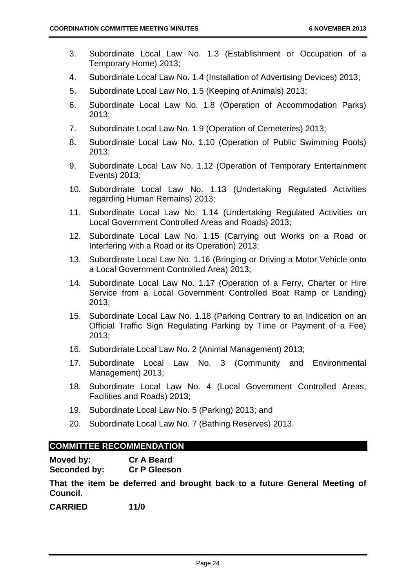- 3. Subordinate Local Law No. 1.3 (Establishment or Occupation of a Temporary Home) 2013;
- 4. Subordinate Local Law No. 1.4 (Installation of Advertising Devices) 2013;
- 5. Subordinate Local Law No. 1.5 (Keeping of Animals) 2013;
- 6. Subordinate Local Law No. 1.8 (Operation of Accommodation Parks) 2013;
- 7. Subordinate Local Law No. 1.9 (Operation of Cemeteries) 2013;
- 8. Subordinate Local Law No. 1.10 (Operation of Public Swimming Pools) 2013;
- 9. Subordinate Local Law No. 1.12 (Operation of Temporary Entertainment Events) 2013;
- 10. Subordinate Local Law No. 1.13 (Undertaking Regulated Activities regarding Human Remains) 2013;
- 11. Subordinate Local Law No. 1.14 (Undertaking Regulated Activities on Local Government Controlled Areas and Roads) 2013;
- 12. Subordinate Local Law No. 1.15 (Carrying out Works on a Road or Interfering with a Road or its Operation) 2013;
- 13. Subordinate Local Law No. 1.16 (Bringing or Driving a Motor Vehicle onto a Local Government Controlled Area) 2013;
- 14. Subordinate Local Law No. 1.17 (Operation of a Ferry, Charter or Hire Service from a Local Government Controlled Boat Ramp or Landing) 2013;
- 15. Subordinate Local Law No. 1.18 (Parking Contrary to an Indication on an Official Traffic Sign Regulating Parking by Time or Payment of a Fee) 2013;
- 16. Subordinate Local Law No. 2 (Animal Management) 2013;
- 17. Subordinate Local Law No. 3 (Community and Environmental Management) 2013;
- 18. Subordinate Local Law No. 4 (Local Government Controlled Areas, Facilities and Roads) 2013;
- 19. Subordinate Local Law No. 5 (Parking) 2013; and
- 20. Subordinate Local Law No. 7 (Bathing Reserves) 2013.

#### **COMMITTEE RECOMMENDATION**

| Moved by:    | <b>Cr A Beard</b>   |
|--------------|---------------------|
| Seconded by: | <b>Cr P Gleeson</b> |

**That the item be deferred and brought back to a future General Meeting of Council.** 

**CARRIED 11/0**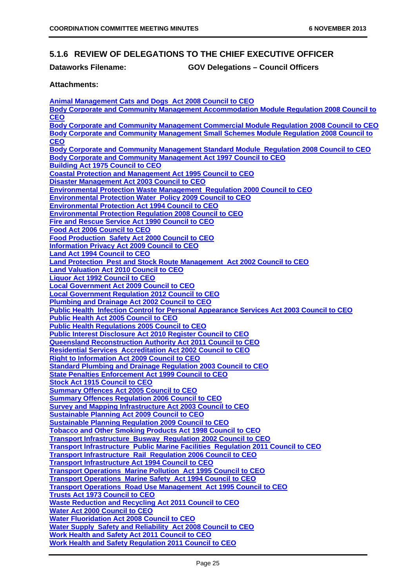#### **5.1.6 REVIEW OF DELEGATIONS TO THE CHIEF EXECUTIVE OFFICER**

#### **Dataworks Filename: GOV Delegations – Council Officers**

#### **Attachments:**

**Animal Management Cats and Dogs Act 2008 Council to CEO Body Corporate and Community Management Accommodation Module Regulation 2008 Council to CEO Body Corporate and Community Management Commercial Module Regulation 2008 Council to CEO Body Corporate and Community Management Small Schemes Module Regulation 2008 Council to CEO Body Corporate and Community Management Standard Module Regulation 2008 Council to CEO Body Corporate and Community Management Act 1997 Council to CEO Building Act 1975 Council to CEO Coastal Protection and Management Act 1995 Council to CEO Disaster Management Act 2003 Council to CEO Environmental Protection Waste Management Regulation 2000 Council to CEO Environmental Protection Water Policy 2009 Council to CEO Environmental Protection Act 1994 Council to CEO Environmental Protection Regulation 2008 Council to CEO Fire and Rescue Service Act 1990 Council to CEO Food Act 2006 Council to CEO Food Production Safety Act 2000 Council to CEO Information Privacy Act 2009 Council to CEO Land Act 1994 Council to CEO Land Protection Pest and Stock Route Management Act 2002 Council to CEO Land Valuation Act 2010 Council to CEO Liquor Act 1992 Council to CEO Local Government Act 2009 Council to CEO Local Government Regulation 2012 Council to CEO Plumbing and Drainage Act 2002 Council to CEO Public Health Infection Control for Personal Appearance Services Act 2003 Council to CEO Public Health Act 2005 Council to CEO Public Health Regulations 2005 Council to CEO Public Interest Disclosure Act 2010 Register Council to CEO Queensland Reconstruction Authority Act 2011 Council to CEO Residential Services Accreditation Act 2002 Council to CEO Right to Information Act 2009 Council to CEO Standard Plumbing and Drainage Regulation 2003 Council to CEO State Penalties Enforcement Act 1999 Council to CEO Stock Act 1915 Council to CEO Summary Offences Act 2005 Council to CEO Summary Offences Regulation 2006 Council to CEO Survey and Mapping Infrastructure Act 2003 Council to CEO Sustainable Planning Act 2009 Council to CEO Sustainable Planning Regulation 2009 Council to CEO Tobacco and Other Smoking Products Act 1998 Council to CEO Transport Infrastructure Busway Regulation 2002 Council to CEO Transport Infrastructure Public Marine Facilities Regulation 2011 Council to CEO Transport Infrastructure Rail Regulation 2006 Council to CEO Transport Infrastructure Act 1994 Council to CEO Transport Operations Marine Pollution Act 1995 Council to CEO Transport Operations Marine Safety Act 1994 Council to CEO Transport Operations Road Use Management Act 1995 Council to CEO Trusts Act 1973 Council to CEO Waste Reduction and Recycling Act 2011 Council to CEO Water Act 2000 Council to CEO Water Fluoridation Act 2008 Council to CEO Water Supply Safety and Reliability Act 2008 Council to CEO Work Health and Safety Act 2011 Council to CEO Work Health and Safety Regulation 2011 Council to CEO**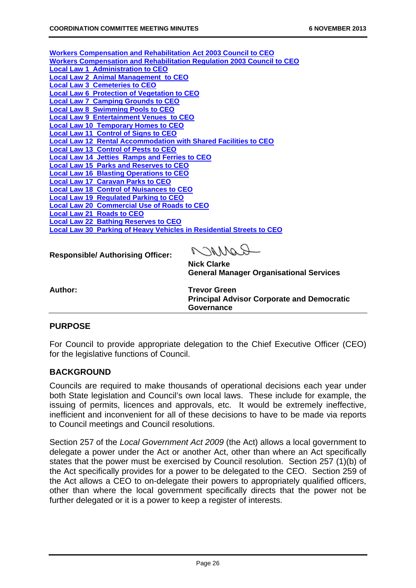| <b>Workers Compensation and Rehabilitation Act 2003 Council to CEO</b>        |
|-------------------------------------------------------------------------------|
| <b>Workers Compensation and Rehabilitation Regulation 2003 Council to CEO</b> |
| <b>Local Law 1 Administration to CEO</b>                                      |
| <b>Local Law 2 Animal Management to CEO</b>                                   |
| <b>Local Law 3 Cemeteries to CEO</b>                                          |
| <b>Local Law 6 Protection of Vegetation to CEO</b>                            |
| <b>Local Law 7 Camping Grounds to CEO</b>                                     |
| <b>Local Law 8 Swimming Pools to CEO</b>                                      |
| <b>Local Law 9 Entertainment Venues to CEO</b>                                |
| <b>Local Law 10 Temporary Homes to CEO</b>                                    |
| <b>Local Law 11 Control of Signs to CEO</b>                                   |
| <b>Local Law 12 Rental Accommodation with Shared Facilities to CEO</b>        |
| <b>Local Law 13 Control of Pests to CEO</b>                                   |
| <b>Local Law 14 Jetties Ramps and Ferries to CEO</b>                          |
| <b>Local Law 15 Parks and Reserves to CEO</b>                                 |
| <b>Local Law 16 Blasting Operations to CEO</b>                                |
| <b>Local Law 17 Caravan Parks to CEO</b>                                      |
| <b>Local Law 18 Control of Nuisances to CEO</b>                               |
| <b>Local Law 19 Regulated Parking to CEO</b>                                  |
| <b>Local Law 20 Commercial Use of Roads to CEO</b>                            |
| <b>Local Law 21 Roads to CEO</b>                                              |
| <b>Local Law 22 Bathing Reserves to CEO</b>                                   |
| <b>Local Law 30 Parking of Heavy Vehicles in Residential Streets to CEO</b>   |
|                                                                               |

**Responsible/ Authorising Officer:** 

 $0.70110$ 

**Nick Clarke General Manager Organisational Services** 

Author: Trevor Green **Principal Advisor Corporate and Democratic Governance** 

#### **PURPOSE**

For Council to provide appropriate delegation to the Chief Executive Officer (CEO) for the legislative functions of Council.

#### **BACKGROUND**

Councils are required to make thousands of operational decisions each year under both State legislation and Council's own local laws. These include for example, the issuing of permits, licences and approvals, etc. It would be extremely ineffective, inefficient and inconvenient for all of these decisions to have to be made via reports to Council meetings and Council resolutions.

Section 257 of the *Local Government Act 2009* (the Act) allows a local government to delegate a power under the Act or another Act, other than where an Act specifically states that the power must be exercised by Council resolution. Section 257 (1)(b) of the Act specifically provides for a power to be delegated to the CEO. Section 259 of the Act allows a CEO to on-delegate their powers to appropriately qualified officers, other than where the local government specifically directs that the power not be further delegated or it is a power to keep a register of interests.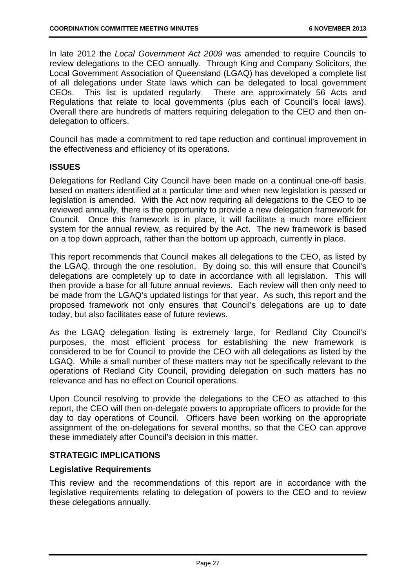In late 2012 the *Local Government Act 2009* was amended to require Councils to review delegations to the CEO annually. Through King and Company Solicitors, the Local Government Association of Queensland (LGAQ) has developed a complete list of all delegations under State laws which can be delegated to local government CEOs. This list is updated regularly. There are approximately 56 Acts and Regulations that relate to local governments (plus each of Council's local laws). Overall there are hundreds of matters requiring delegation to the CEO and then ondelegation to officers.

Council has made a commitment to red tape reduction and continual improvement in the effectiveness and efficiency of its operations.

#### **ISSUES**

Delegations for Redland City Council have been made on a continual one-off basis, based on matters identified at a particular time and when new legislation is passed or legislation is amended. With the Act now requiring all delegations to the CEO to be reviewed annually, there is the opportunity to provide a new delegation framework for Council. Once this framework is in place, it will facilitate a much more efficient system for the annual review, as required by the Act. The new framework is based on a top down approach, rather than the bottom up approach, currently in place.

This report recommends that Council makes all delegations to the CEO, as listed by the LGAQ, through the one resolution. By doing so, this will ensure that Council's delegations are completely up to date in accordance with all legislation. This will then provide a base for all future annual reviews. Each review will then only need to be made from the LGAQ's updated listings for that year. As such, this report and the proposed framework not only ensures that Council's delegations are up to date today, but also facilitates ease of future reviews.

As the LGAQ delegation listing is extremely large, for Redland City Council's purposes, the most efficient process for establishing the new framework is considered to be for Council to provide the CEO with all delegations as listed by the LGAQ. While a small number of these matters may not be specifically relevant to the operations of Redland City Council, providing delegation on such matters has no relevance and has no effect on Council operations.

Upon Council resolving to provide the delegations to the CEO as attached to this report, the CEO will then on-delegate powers to appropriate officers to provide for the day to day operations of Council. Officers have been working on the appropriate assignment of the on-delegations for several months, so that the CEO can approve these immediately after Council's decision in this matter.

#### **STRATEGIC IMPLICATIONS**

#### **Legislative Requirements**

This review and the recommendations of this report are in accordance with the legislative requirements relating to delegation of powers to the CEO and to review these delegations annually.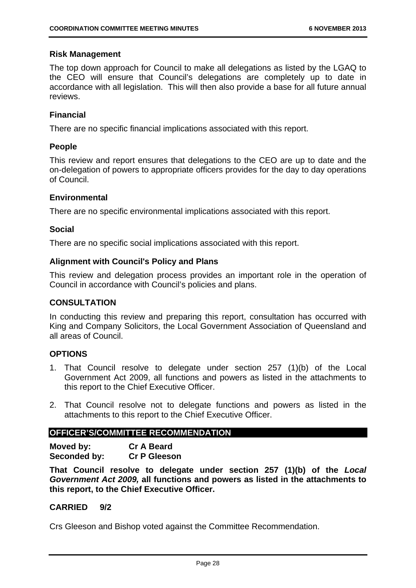#### **Risk Management**

The top down approach for Council to make all delegations as listed by the LGAQ to the CEO will ensure that Council's delegations are completely up to date in accordance with all legislation. This will then also provide a base for all future annual reviews.

#### **Financial**

There are no specific financial implications associated with this report.

#### **People**

This review and report ensures that delegations to the CEO are up to date and the on-delegation of powers to appropriate officers provides for the day to day operations of Council.

#### **Environmental**

There are no specific environmental implications associated with this report.

#### **Social**

There are no specific social implications associated with this report.

#### **Alignment with Council's Policy and Plans**

This review and delegation process provides an important role in the operation of Council in accordance with Council's policies and plans.

#### **CONSULTATION**

In conducting this review and preparing this report, consultation has occurred with King and Company Solicitors, the Local Government Association of Queensland and all areas of Council.

#### **OPTIONS**

- 1. That Council resolve to delegate under section 257 (1)(b) of the Local Government Act 2009, all functions and powers as listed in the attachments to this report to the Chief Executive Officer.
- 2. That Council resolve not to delegate functions and powers as listed in the attachments to this report to the Chief Executive Officer.

#### **OFFICER'S/COMMITTEE RECOMMENDATION**

**Moved by: Cr A Beard Seconded by: Cr P Gleeson** 

**That Council resolve to delegate under section 257 (1)(b) of the** *Local Government Act 2009,* **all functions and powers as listed in the attachments to this report, to the Chief Executive Officer.** 

#### **CARRIED 9/2**

Crs Gleeson and Bishop voted against the Committee Recommendation.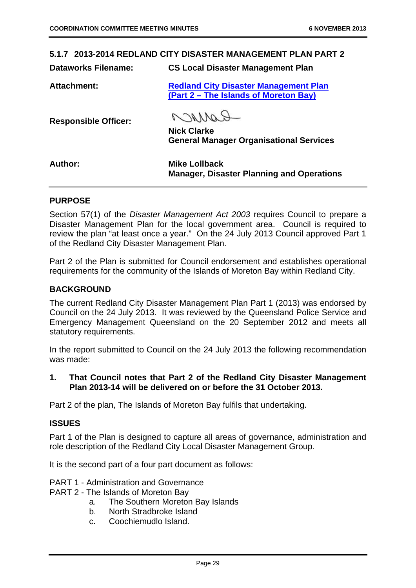#### **5.1.7 2013-2014 REDLAND CITY DISASTER MANAGEMENT PLAN PART 2**

**Dataworks Filename: CS Local Disaster Management Plan** 

**Attachment: Redland City Disaster Management Plan** 

**(Part 2 – The Islands of Moreton Bay)** 

**Responsible Officer:** 

ROMMag

**Nick Clarke General Manager Organisational Services** 

| <b>Author:</b> | <b>Mike Lollback</b>                             |
|----------------|--------------------------------------------------|
|                | <b>Manager, Disaster Planning and Operations</b> |

#### **PURPOSE**

Section 57(1) of the *Disaster Management Act 2003* requires Council to prepare a Disaster Management Plan for the local government area. Council is required to review the plan "at least once a year." On the 24 July 2013 Council approved Part 1 of the Redland City Disaster Management Plan.

Part 2 of the Plan is submitted for Council endorsement and establishes operational requirements for the community of the Islands of Moreton Bay within Redland City.

#### **BACKGROUND**

The current Redland City Disaster Management Plan Part 1 (2013) was endorsed by Council on the 24 July 2013. It was reviewed by the Queensland Police Service and Emergency Management Queensland on the 20 September 2012 and meets all statutory requirements.

In the report submitted to Council on the 24 July 2013 the following recommendation was made:

**1. That Council notes that Part 2 of the Redland City Disaster Management Plan 2013-14 will be delivered on or before the 31 October 2013.** 

Part 2 of the plan, The Islands of Moreton Bay fulfils that undertaking.

#### **ISSUES**

Part 1 of the Plan is designed to capture all areas of governance, administration and role description of the Redland City Local Disaster Management Group.

It is the second part of a four part document as follows:

- PART 1 Administration and Governance
- PART 2 The Islands of Moreton Bay
	- a. The Southern Moreton Bay Islands
	- b. North Stradbroke Island
	- c. Coochiemudlo Island.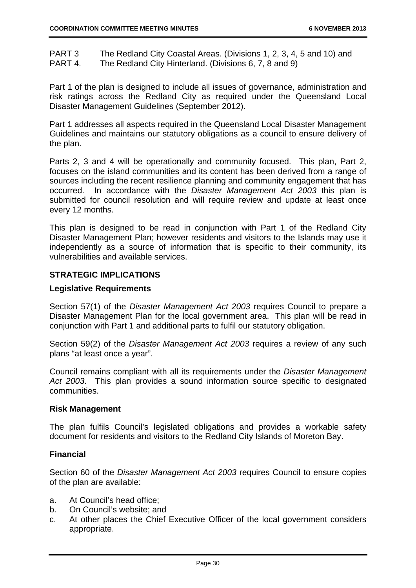PART 3 The Redland City Coastal Areas. (Divisions 1, 2, 3, 4, 5 and 10) and PART 4. The Redland City Hinterland. (Divisions 6, 7, 8 and 9)

Part 1 of the plan is designed to include all issues of governance, administration and risk ratings across the Redland City as required under the Queensland Local Disaster Management Guidelines (September 2012).

Part 1 addresses all aspects required in the Queensland Local Disaster Management Guidelines and maintains our statutory obligations as a council to ensure delivery of the plan.

Parts 2, 3 and 4 will be operationally and community focused. This plan, Part 2, focuses on the island communities and its content has been derived from a range of sources including the recent resilience planning and community engagement that has occurred. In accordance with the *Disaster Management Act 2003* this plan is submitted for council resolution and will require review and update at least once every 12 months.

This plan is designed to be read in conjunction with Part 1 of the Redland City Disaster Management Plan; however residents and visitors to the Islands may use it independently as a source of information that is specific to their community, its vulnerabilities and available services.

#### **STRATEGIC IMPLICATIONS**

#### **Legislative Requirements**

Section 57(1) of the *Disaster Management Act 2003* requires Council to prepare a Disaster Management Plan for the local government area. This plan will be read in conjunction with Part 1 and additional parts to fulfil our statutory obligation.

Section 59(2) of the *Disaster Management Act 2003* requires a review of any such plans "at least once a year".

Council remains compliant with all its requirements under the *Disaster Management Act 2003*. This plan provides a sound information source specific to designated communities.

#### **Risk Management**

The plan fulfils Council's legislated obligations and provides a workable safety document for residents and visitors to the Redland City Islands of Moreton Bay.

#### **Financial**

Section 60 of the *Disaster Management Act 2003* requires Council to ensure copies of the plan are available:

- a. At Council's head office;
- b. On Council's website; and
- c. At other places the Chief Executive Officer of the local government considers appropriate.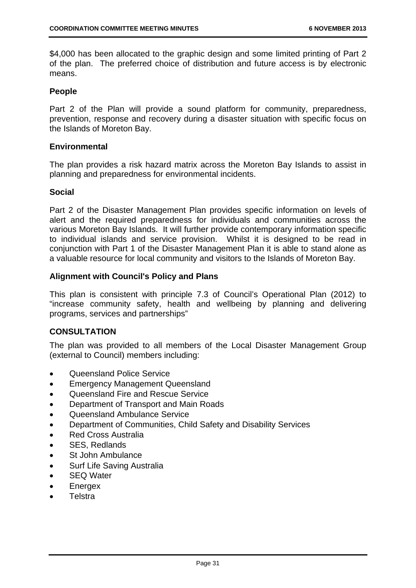\$4,000 has been allocated to the graphic design and some limited printing of Part 2 of the plan. The preferred choice of distribution and future access is by electronic means.

#### **People**

Part 2 of the Plan will provide a sound platform for community, preparedness, prevention, response and recovery during a disaster situation with specific focus on the Islands of Moreton Bay.

#### **Environmental**

The plan provides a risk hazard matrix across the Moreton Bay Islands to assist in planning and preparedness for environmental incidents.

#### **Social**

Part 2 of the Disaster Management Plan provides specific information on levels of alert and the required preparedness for individuals and communities across the various Moreton Bay Islands. It will further provide contemporary information specific to individual islands and service provision. Whilst it is designed to be read in conjunction with Part 1 of the Disaster Management Plan it is able to stand alone as a valuable resource for local community and visitors to the Islands of Moreton Bay.

#### **Alignment with Council's Policy and Plans**

This plan is consistent with principle 7.3 of Council's Operational Plan (2012) to "increase community safety, health and wellbeing by planning and delivering programs, services and partnerships"

#### **CONSULTATION**

The plan was provided to all members of the Local Disaster Management Group (external to Council) members including:

- **Queensland Police Service**
- Emergency Management Queensland
- Queensland Fire and Rescue Service
- Department of Transport and Main Roads
- Queensland Ambulance Service
- Department of Communities, Child Safety and Disability Services
- Red Cross Australia
- SES, Redlands
- St John Ambulance
- Surf Life Saving Australia
- SEQ Water
- Energex
- **Telstra**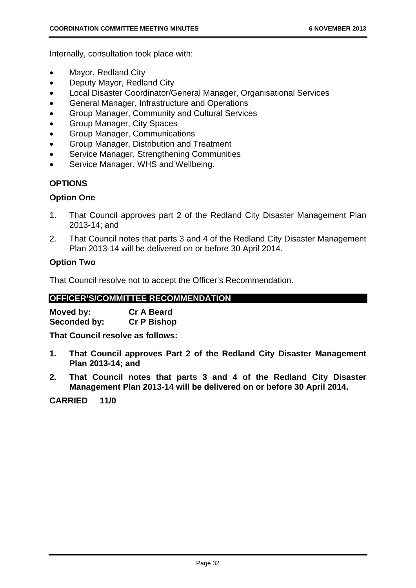Internally, consultation took place with:

- Mayor, Redland City
- Deputy Mayor, Redland City
- Local Disaster Coordinator/General Manager, Organisational Services
- General Manager, Infrastructure and Operations
- Group Manager, Community and Cultural Services
- Group Manager, City Spaces
- Group Manager, Communications
- Group Manager, Distribution and Treatment
- Service Manager, Strengthening Communities
- Service Manager, WHS and Wellbeing.

#### **OPTIONS**

#### **Option One**

- 1. That Council approves part 2 of the Redland City Disaster Management Plan 2013-14; and
- 2. That Council notes that parts 3 and 4 of the Redland City Disaster Management Plan 2013-14 will be delivered on or before 30 April 2014.

#### **Option Two**

That Council resolve not to accept the Officer's Recommendation.

#### **OFFICER'S/COMMITTEE RECOMMENDATION**

| Moved by:    | <b>Cr A Beard</b>  |
|--------------|--------------------|
| Seconded by: | <b>Cr P Bishop</b> |

**That Council resolve as follows:** 

- **1. That Council approves Part 2 of the Redland City Disaster Management Plan 2013-14; and**
- **2. That Council notes that parts 3 and 4 of the Redland City Disaster Management Plan 2013-14 will be delivered on or before 30 April 2014.**

**CARRIED 11/0**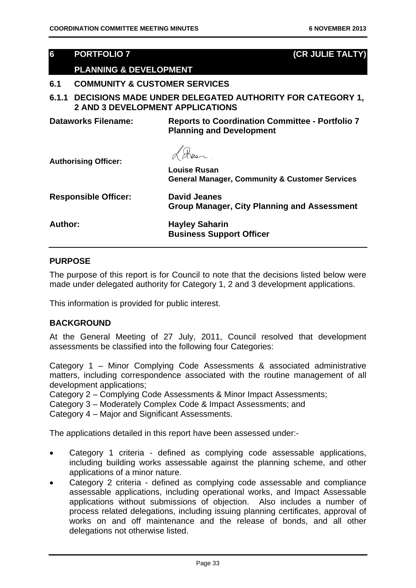#### **6 PORTFOLIO 7 (CR JULIE TALTY)**

#### **PLANNING & DEVELOPMENT**

#### **6.1 COMMUNITY & CUSTOMER SERVICES**

**6.1.1 DECISIONS MADE UNDER DELEGATED AUTHORITY FOR CATEGORY 1, 2 AND 3 DEVELOPMENT APPLICATIONS** 

**Dataworks Filename: Reports to Coordination Committee - Portfolio 7 Planning and Development** 

**Authorising Officer:** 

**Louise Rusan General Manager, Community & Customer Services** 

| <b>Responsible Officer:</b> | <b>David Jeanes</b><br><b>Group Manager, City Planning and Assessment</b> |
|-----------------------------|---------------------------------------------------------------------------|
| Author:                     | <b>Hayley Saharin</b><br><b>Business Support Officer</b>                  |

#### **PURPOSE**

The purpose of this report is for Council to note that the decisions listed below were made under delegated authority for Category 1, 2 and 3 development applications.

This information is provided for public interest.

#### **BACKGROUND**

At the General Meeting of 27 July, 2011, Council resolved that development assessments be classified into the following four Categories:

Category 1 – Minor Complying Code Assessments & associated administrative matters, including correspondence associated with the routine management of all development applications;

Category 2 – Complying Code Assessments & Minor Impact Assessments;

Category 3 – Moderately Complex Code & Impact Assessments; and

Category 4 – Major and Significant Assessments.

The applications detailed in this report have been assessed under:-

- Category 1 criteria defined as complying code assessable applications, including building works assessable against the planning scheme, and other applications of a minor nature.
- Category 2 criteria defined as complying code assessable and compliance assessable applications, including operational works, and Impact Assessable applications without submissions of objection. Also includes a number of process related delegations, including issuing planning certificates, approval of works on and off maintenance and the release of bonds, and all other delegations not otherwise listed.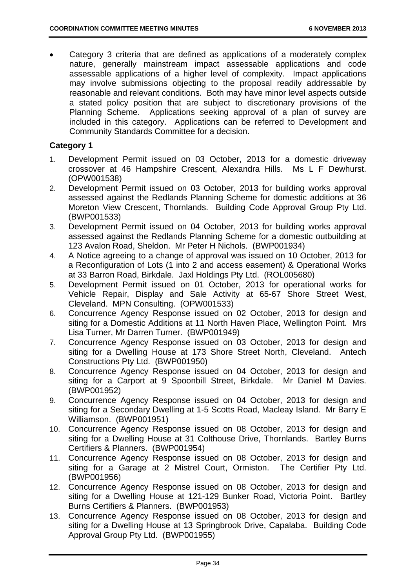Category 3 criteria that are defined as applications of a moderately complex nature, generally mainstream impact assessable applications and code assessable applications of a higher level of complexity. Impact applications may involve submissions objecting to the proposal readily addressable by reasonable and relevant conditions. Both may have minor level aspects outside a stated policy position that are subject to discretionary provisions of the Planning Scheme. Applications seeking approval of a plan of survey are included in this category. Applications can be referred to Development and Community Standards Committee for a decision.

# **Category 1**

- 1. Development Permit issued on 03 October, 2013 for a domestic driveway crossover at 46 Hampshire Crescent, Alexandra Hills. Ms L F Dewhurst. (OPW001538)
- 2. Development Permit issued on 03 October, 2013 for building works approval assessed against the Redlands Planning Scheme for domestic additions at 36 Moreton View Crescent, Thornlands. Building Code Approval Group Pty Ltd. (BWP001533)
- 3. Development Permit issued on 04 October, 2013 for building works approval assessed against the Redlands Planning Scheme for a domestic outbuilding at 123 Avalon Road, Sheldon. Mr Peter H Nichols. (BWP001934)
- 4. A Notice agreeing to a change of approval was issued on 10 October, 2013 for a Reconfiguration of Lots (1 into 2 and access easement) & Operational Works at 33 Barron Road, Birkdale. Jaxl Holdings Pty Ltd. (ROL005680)
- 5. Development Permit issued on 01 October, 2013 for operational works for Vehicle Repair, Display and Sale Activity at 65-67 Shore Street West, Cleveland. MPN Consulting. (OPW001533)
- 6. Concurrence Agency Response issued on 02 October, 2013 for design and siting for a Domestic Additions at 11 North Haven Place, Wellington Point. Mrs Lisa Turner, Mr Darren Turner. (BWP001949)
- 7. Concurrence Agency Response issued on 03 October, 2013 for design and siting for a Dwelling House at 173 Shore Street North, Cleveland. Antech Constructions Pty Ltd. (BWP001950)
- 8. Concurrence Agency Response issued on 04 October, 2013 for design and siting for a Carport at 9 Spoonbill Street, Birkdale. Mr Daniel M Davies. (BWP001952)
- 9. Concurrence Agency Response issued on 04 October, 2013 for design and siting for a Secondary Dwelling at 1-5 Scotts Road, Macleay Island. Mr Barry E Williamson. (BWP001951)
- 10. Concurrence Agency Response issued on 08 October, 2013 for design and siting for a Dwelling House at 31 Colthouse Drive, Thornlands. Bartley Burns Certifiers & Planners. (BWP001954)
- 11. Concurrence Agency Response issued on 08 October, 2013 for design and siting for a Garage at 2 Mistrel Court, Ormiston. The Certifier Pty Ltd. (BWP001956)
- 12. Concurrence Agency Response issued on 08 October, 2013 for design and siting for a Dwelling House at 121-129 Bunker Road, Victoria Point. Bartley Burns Certifiers & Planners. (BWP001953)
- 13. Concurrence Agency Response issued on 08 October, 2013 for design and siting for a Dwelling House at 13 Springbrook Drive, Capalaba. Building Code Approval Group Pty Ltd. (BWP001955)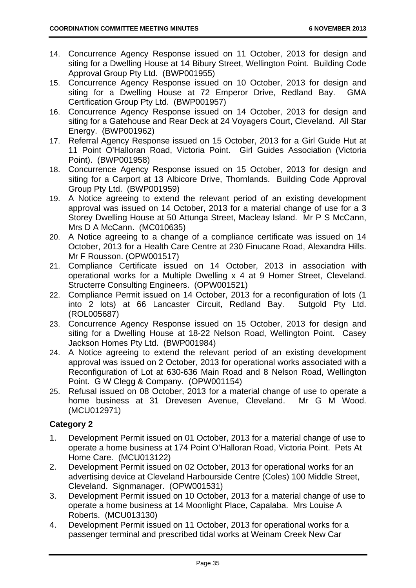- 14. Concurrence Agency Response issued on 11 October, 2013 for design and siting for a Dwelling House at 14 Bibury Street, Wellington Point. Building Code Approval Group Pty Ltd. (BWP001955)
- 15. Concurrence Agency Response issued on 10 October, 2013 for design and siting for a Dwelling House at 72 Emperor Drive, Redland Bay. GMA Certification Group Pty Ltd. (BWP001957)
- 16. Concurrence Agency Response issued on 14 October, 2013 for design and siting for a Gatehouse and Rear Deck at 24 Voyagers Court, Cleveland. All Star Energy. (BWP001962)
- 17. Referral Agency Response issued on 15 October, 2013 for a Girl Guide Hut at 11 Point O'Halloran Road, Victoria Point. Girl Guides Association (Victoria Point). (BWP001958)
- 18. Concurrence Agency Response issued on 15 October, 2013 for design and siting for a Carport at 13 Albicore Drive, Thornlands. Building Code Approval Group Pty Ltd. (BWP001959)
- 19. A Notice agreeing to extend the relevant period of an existing development approval was issued on 14 October, 2013 for a material change of use for a 3 Storey Dwelling House at 50 Attunga Street, Macleay Island. Mr P S McCann, Mrs D A McCann. (MC010635)
- 20. A Notice agreeing to a change of a compliance certificate was issued on 14 October, 2013 for a Health Care Centre at 230 Finucane Road, Alexandra Hills. Mr F Rousson. (OPW001517)
- 21. Compliance Certificate issued on 14 October, 2013 in association with operational works for a Multiple Dwelling x 4 at 9 Homer Street, Cleveland. Structerre Consulting Engineers. (OPW001521)
- 22. Compliance Permit issued on 14 October, 2013 for a reconfiguration of lots (1 into 2 lots) at 66 Lancaster Circuit, Redland Bay. Sutgold Pty Ltd. (ROL005687)
- 23. Concurrence Agency Response issued on 15 October, 2013 for design and siting for a Dwelling House at 18-22 Nelson Road, Wellington Point. Casey Jackson Homes Pty Ltd. (BWP001984)
- 24. A Notice agreeing to extend the relevant period of an existing development approval was issued on 2 October, 2013 for operational works associated with a Reconfiguration of Lot at 630-636 Main Road and 8 Nelson Road, Wellington Point. G W Clegg & Company. (OPW001154)
- 25. Refusal issued on 08 October, 2013 for a material change of use to operate a home business at 31 Drevesen Avenue, Cleveland. Mr G M Wood. (MCU012971)

# **Category 2**

- 1. Development Permit issued on 01 October, 2013 for a material change of use to operate a home business at 174 Point O'Halloran Road, Victoria Point. Pets At Home Care. (MCU013122)
- 2. Development Permit issued on 02 October, 2013 for operational works for an advertising device at Cleveland Harbourside Centre (Coles) 100 Middle Street, Cleveland. Signmanager. (OPW001531)
- 3. Development Permit issued on 10 October, 2013 for a material change of use to operate a home business at 14 Moonlight Place, Capalaba. Mrs Louise A Roberts. (MCU013130)
- 4. Development Permit issued on 11 October, 2013 for operational works for a passenger terminal and prescribed tidal works at Weinam Creek New Car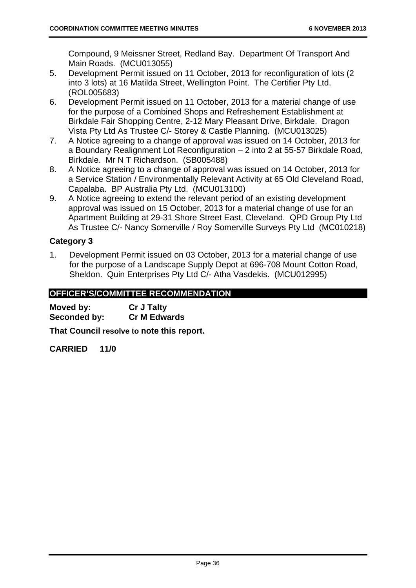Compound, 9 Meissner Street, Redland Bay. Department Of Transport And Main Roads. (MCU013055)

- 5. Development Permit issued on 11 October, 2013 for reconfiguration of lots (2 into 3 lots) at 16 Matilda Street, Wellington Point. The Certifier Pty Ltd. (ROL005683)
- 6. Development Permit issued on 11 October, 2013 for a material change of use for the purpose of a Combined Shops and Refreshement Establishment at Birkdale Fair Shopping Centre, 2-12 Mary Pleasant Drive, Birkdale. Dragon Vista Pty Ltd As Trustee C/- Storey & Castle Planning. (MCU013025)
- 7. A Notice agreeing to a change of approval was issued on 14 October, 2013 for a Boundary Realignment Lot Reconfiguration – 2 into 2 at 55-57 Birkdale Road, Birkdale. Mr N T Richardson. (SB005488)
- 8. A Notice agreeing to a change of approval was issued on 14 October, 2013 for a Service Station / Environmentally Relevant Activity at 65 Old Cleveland Road, Capalaba. BP Australia Pty Ltd. (MCU013100)
- 9. A Notice agreeing to extend the relevant period of an existing development approval was issued on 15 October, 2013 for a material change of use for an Apartment Building at 29-31 Shore Street East, Cleveland. QPD Group Pty Ltd As Trustee C/- Nancy Somerville / Roy Somerville Surveys Pty Ltd (MC010218)

# **Category 3**

1. Development Permit issued on 03 October, 2013 for a material change of use for the purpose of a Landscape Supply Depot at 696-708 Mount Cotton Road, Sheldon. Quin Enterprises Pty Ltd C/- Atha Vasdekis. (MCU012995)

# **OFFICER'S/COMMITTEE RECOMMENDATION**

**Moved by: Cr J Talty Seconded by: Cr M Edwards** 

**That Council resolve to note this report.** 

**CARRIED 11/0**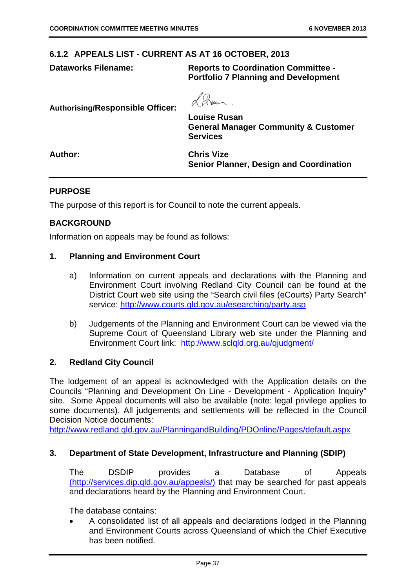# **6.1.2 APPEALS LIST - CURRENT AS AT 16 OCTOBER, 2013**

**Dataworks Filename: Reports to Coordination Committee - Portfolio 7 Planning and Development** 

**Authorising/Responsible Officer:** 

**Louise Rusan** 

**General Manager Community & Customer Services** 

**Author: Chris Vize** 

**Senior Planner, Design and Coordination** 

# **PURPOSE**

The purpose of this report is for Council to note the current appeals.

# **BACKGROUND**

Information on appeals may be found as follows:

## **1. Planning and Environment Court**

- a) Information on current appeals and declarations with the Planning and Environment Court involving Redland City Council can be found at the District Court web site using the "Search civil files (eCourts) Party Search" service: http://www.courts.qld.gov.au/esearching/party.asp
- b) Judgements of the Planning and Environment Court can be viewed via the Supreme Court of Queensland Library web site under the Planning and Environment Court link: http://www.sclqld.org.au/qjudgment/

## **2. Redland City Council**

The lodgement of an appeal is acknowledged with the Application details on the Councils "Planning and Development On Line - Development - Application Inquiry" site. Some Appeal documents will also be available (note: legal privilege applies to some documents). All judgements and settlements will be reflected in the Council Decision Notice documents:

http://www.redland.qld.gov.au/PlanningandBuilding/PDOnline/Pages/default.aspx

## **3. Department of State Development, Infrastructure and Planning (SDIP)**

The DSDIP provides a Database of Appeals (http://services.dip.qld.gov.au/appeals/) that may be searched for past appeals and declarations heard by the Planning and Environment Court.

The database contains:

 A consolidated list of all appeals and declarations lodged in the Planning and Environment Courts across Queensland of which the Chief Executive has been notified.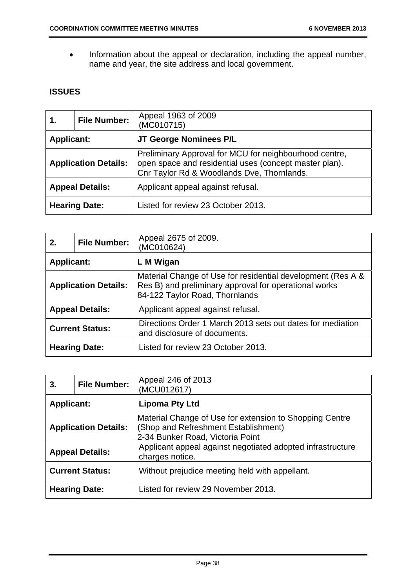• Information about the appeal or declaration, including the appeal number, name and year, the site address and local government.

# **ISSUES**

| 1.                          | <b>File Number:</b> | Appeal 1963 of 2009<br>(MC010715)                                                                                                                              |
|-----------------------------|---------------------|----------------------------------------------------------------------------------------------------------------------------------------------------------------|
| <b>Applicant:</b>           |                     | JT George Nominees P/L                                                                                                                                         |
| <b>Application Details:</b> |                     | Preliminary Approval for MCU for neighbourhood centre,<br>open space and residential uses (concept master plan).<br>Cnr Taylor Rd & Woodlands Dve, Thornlands. |
| <b>Appeal Details:</b>      |                     | Applicant appeal against refusal.                                                                                                                              |
| <b>Hearing Date:</b>        |                     | Listed for review 23 October 2013.                                                                                                                             |

| 2.                          | <b>File Number:</b> | Appeal 2675 of 2009.<br>(MC010624)                                                                                                                     |  |
|-----------------------------|---------------------|--------------------------------------------------------------------------------------------------------------------------------------------------------|--|
| <b>Applicant:</b>           |                     | L M Wigan                                                                                                                                              |  |
| <b>Application Details:</b> |                     | Material Change of Use for residential development (Res A &<br>Res B) and preliminary approval for operational works<br>84-122 Taylor Road, Thornlands |  |
| <b>Appeal Details:</b>      |                     | Applicant appeal against refusal.                                                                                                                      |  |
| <b>Current Status:</b>      |                     | Directions Order 1 March 2013 sets out dates for mediation<br>and disclosure of documents.                                                             |  |
| <b>Hearing Date:</b>        |                     | Listed for review 23 October 2013.                                                                                                                     |  |

| 3.                          | <b>File Number:</b> | Appeal 246 of 2013<br>(MCU012617)                                                                                                   |
|-----------------------------|---------------------|-------------------------------------------------------------------------------------------------------------------------------------|
| <b>Applicant:</b>           |                     | <b>Lipoma Pty Ltd</b>                                                                                                               |
| <b>Application Details:</b> |                     | Material Change of Use for extension to Shopping Centre<br>(Shop and Refreshment Establishment)<br>2-34 Bunker Road, Victoria Point |
| <b>Appeal Details:</b>      |                     | Applicant appeal against negotiated adopted infrastructure<br>charges notice.                                                       |
| <b>Current Status:</b>      |                     | Without prejudice meeting held with appellant.                                                                                      |
| <b>Hearing Date:</b>        |                     | Listed for review 29 November 2013.                                                                                                 |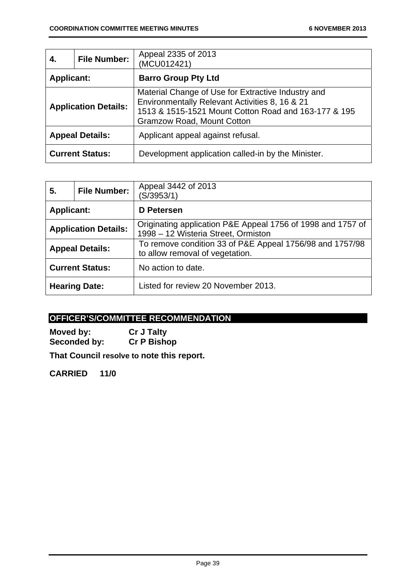| 4.                          | <b>File Number:</b> | Appeal 2335 of 2013<br>(MCU012421)                                                                                                                                                                |
|-----------------------------|---------------------|---------------------------------------------------------------------------------------------------------------------------------------------------------------------------------------------------|
| <b>Applicant:</b>           |                     | <b>Barro Group Pty Ltd</b>                                                                                                                                                                        |
| <b>Application Details:</b> |                     | Material Change of Use for Extractive Industry and<br>Environmentally Relevant Activities 8, 16 & 21<br>1513 & 1515-1521 Mount Cotton Road and 163-177 & 195<br><b>Gramzow Road, Mount Cotton</b> |
| <b>Appeal Details:</b>      |                     | Applicant appeal against refusal.                                                                                                                                                                 |
| <b>Current Status:</b>      |                     | Development application called-in by the Minister.                                                                                                                                                |

| 5.                          | <b>File Number:</b> | Appeal 3442 of 2013<br>(S/3953/1)                                                                  |
|-----------------------------|---------------------|----------------------------------------------------------------------------------------------------|
| <b>Applicant:</b>           |                     | D Petersen                                                                                         |
| <b>Application Details:</b> |                     | Originating application P&E Appeal 1756 of 1998 and 1757 of<br>1998 – 12 Wisteria Street, Ormiston |
| <b>Appeal Details:</b>      |                     | To remove condition 33 of P&E Appeal 1756/98 and 1757/98<br>to allow removal of vegetation.        |
| <b>Current Status:</b>      |                     | No action to date.                                                                                 |
| <b>Hearing Date:</b>        |                     | Listed for review 20 November 2013.                                                                |

# **OFFICER'S/COMMITTEE RECOMMENDATION**

**Moved by:** Cr J Talty<br> **Seconded by:** Cr P Bishop **Seconded by:** 

**That Council resolve to note this report.** 

**CARRIED 11/0**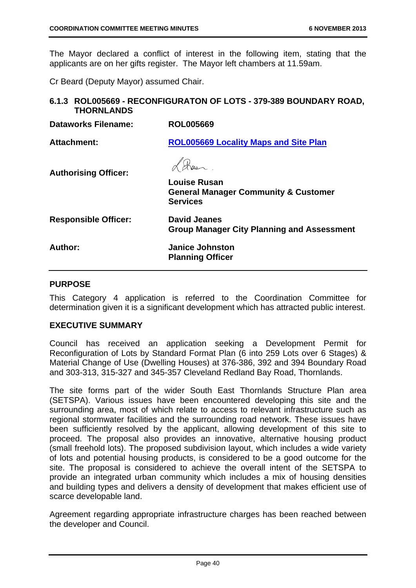The Mayor declared a conflict of interest in the following item, stating that the applicants are on her gifts register. The Mayor left chambers at 11.59am.

Cr Beard (Deputy Mayor) assumed Chair.

# **6.1.3 ROL005669 - RECONFIGURATON OF LOTS - 379-389 BOUNDARY ROAD, THORNLANDS**

| <b>Dataworks Filename:</b>  | <b>ROL005669</b>                                                                          |
|-----------------------------|-------------------------------------------------------------------------------------------|
| <b>Attachment:</b>          | <b>ROL005669 Locality Maps and Site Plan</b>                                              |
| <b>Authorising Officer:</b> | <b>Louise Rusan</b><br><b>General Manager Community &amp; Customer</b><br><b>Services</b> |
| <b>Responsible Officer:</b> | <b>David Jeanes</b><br><b>Group Manager City Planning and Assessment</b>                  |
| Author:                     | <b>Janice Johnston</b><br><b>Planning Officer</b>                                         |

# **PURPOSE**

This Category 4 application is referred to the Coordination Committee for determination given it is a significant development which has attracted public interest.

# **EXECUTIVE SUMMARY**

Council has received an application seeking a Development Permit for Reconfiguration of Lots by Standard Format Plan (6 into 259 Lots over 6 Stages) & Material Change of Use (Dwelling Houses) at 376-386, 392 and 394 Boundary Road and 303-313, 315-327 and 345-357 Cleveland Redland Bay Road, Thornlands.

The site forms part of the wider South East Thornlands Structure Plan area (SETSPA). Various issues have been encountered developing this site and the surrounding area, most of which relate to access to relevant infrastructure such as regional stormwater facilities and the surrounding road network. These issues have been sufficiently resolved by the applicant, allowing development of this site to proceed. The proposal also provides an innovative, alternative housing product (small freehold lots). The proposed subdivision layout, which includes a wide variety of lots and potential housing products, is considered to be a good outcome for the site. The proposal is considered to achieve the overall intent of the SETSPA to provide an integrated urban community which includes a mix of housing densities and building types and delivers a density of development that makes efficient use of scarce developable land.

Agreement regarding appropriate infrastructure charges has been reached between the developer and Council.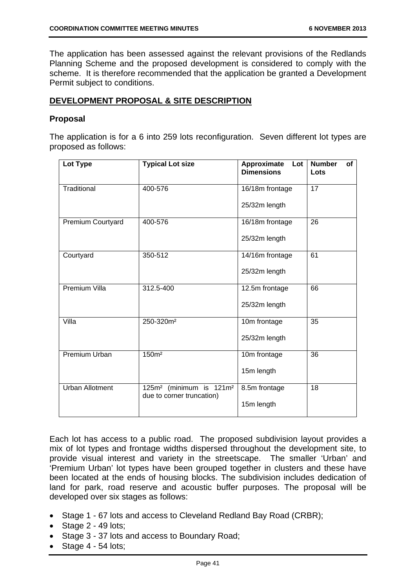The application has been assessed against the relevant provisions of the Redlands Planning Scheme and the proposed development is considered to comply with the scheme. It is therefore recommended that the application be granted a Development Permit subject to conditions.

# **DEVELOPMENT PROPOSAL & SITE DESCRIPTION**

# **Proposal**

The application is for a 6 into 259 lots reconfiguration. Seven different lot types are proposed as follows:

| Lot Type               | <b>Typical Lot size</b>                                                         | Approximate<br>Lot<br><b>Dimensions</b> | <b>Number</b><br><b>of</b><br>Lots |
|------------------------|---------------------------------------------------------------------------------|-----------------------------------------|------------------------------------|
| Traditional            | 400-576                                                                         | 16/18m frontage<br>25/32m length        | 17                                 |
| Premium Courtyard      | 400-576                                                                         | 16/18m frontage<br>25/32m length        | 26                                 |
| Courtyard              | 350-512                                                                         | 14/16m frontage<br>25/32m length        | 61                                 |
| Premium Villa          | 312.5-400                                                                       | 12.5m frontage<br>25/32m length         | 66                                 |
| Villa                  | 250-320m <sup>2</sup>                                                           | 10m frontage<br>25/32m length           | 35                                 |
| <b>Premium Urban</b>   | 150m <sup>2</sup>                                                               | 10m frontage<br>15m length              | $\overline{36}$                    |
| <b>Urban Allotment</b> | (minimum is 121m <sup>2</sup><br>125m <sup>2</sup><br>due to corner truncation) | 8.5m frontage<br>15m length             | 18                                 |

Each lot has access to a public road. The proposed subdivision layout provides a mix of lot types and frontage widths dispersed throughout the development site, to provide visual interest and variety in the streetscape. The smaller 'Urban' and 'Premium Urban' lot types have been grouped together in clusters and these have been located at the ends of housing blocks. The subdivision includes dedication of land for park, road reserve and acoustic buffer purposes. The proposal will be developed over six stages as follows:

- Stage 1 67 lots and access to Cleveland Redland Bay Road (CRBR);
- $\bullet$  Stage 2 49 lots:
- Stage 3 37 lots and access to Boundary Road;
- $\bullet$  Stage 4 54 lots;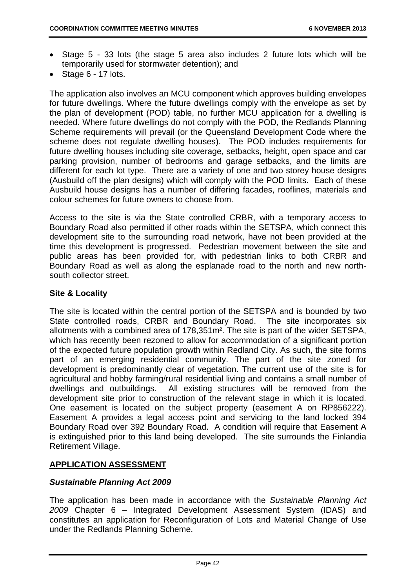- Stage 5 33 lots (the stage 5 area also includes 2 future lots which will be temporarily used for stormwater detention); and
- $\bullet$  Stage 6 17 lots.

The application also involves an MCU component which approves building envelopes for future dwellings. Where the future dwellings comply with the envelope as set by the plan of development (POD) table, no further MCU application for a dwelling is needed. Where future dwellings do not comply with the POD, the Redlands Planning Scheme requirements will prevail (or the Queensland Development Code where the scheme does not regulate dwelling houses). The POD includes requirements for future dwelling houses including site coverage, setbacks, height, open space and car parking provision, number of bedrooms and garage setbacks, and the limits are different for each lot type. There are a variety of one and two storey house designs (Ausbuild off the plan designs) which will comply with the POD limits. Each of these Ausbuild house designs has a number of differing facades, rooflines, materials and colour schemes for future owners to choose from.

Access to the site is via the State controlled CRBR, with a temporary access to Boundary Road also permitted if other roads within the SETSPA, which connect this development site to the surrounding road network, have not been provided at the time this development is progressed. Pedestrian movement between the site and public areas has been provided for, with pedestrian links to both CRBR and Boundary Road as well as along the esplanade road to the north and new northsouth collector street.

# **Site & Locality**

The site is located within the central portion of the SETSPA and is bounded by two State controlled roads, CRBR and Boundary Road. The site incorporates six allotments with a combined area of 178,351m². The site is part of the wider SETSPA, which has recently been rezoned to allow for accommodation of a significant portion of the expected future population growth within Redland City. As such, the site forms part of an emerging residential community. The part of the site zoned for development is predominantly clear of vegetation. The current use of the site is for agricultural and hobby farming/rural residential living and contains a small number of dwellings and outbuildings. All existing structures will be removed from the development site prior to construction of the relevant stage in which it is located. One easement is located on the subject property (easement A on RP856222). Easement A provides a legal access point and servicing to the land locked 394 Boundary Road over 392 Boundary Road. A condition will require that Easement A is extinguished prior to this land being developed. The site surrounds the Finlandia Retirement Village.

# **APPLICATION ASSESSMENT**

## *Sustainable Planning Act 2009*

The application has been made in accordance with the *Sustainable Planning Act 2009* Chapter 6 – Integrated Development Assessment System (IDAS) and constitutes an application for Reconfiguration of Lots and Material Change of Use under the Redlands Planning Scheme.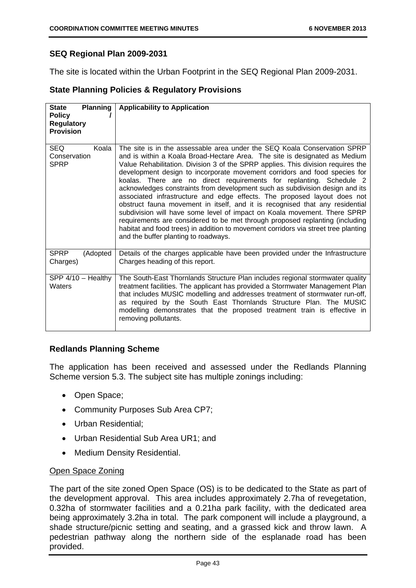# **SEQ Regional Plan 2009-2031**

The site is located within the Urban Footprint in the SEQ Regional Plan 2009-2031.

# **State Planning Policies & Regulatory Provisions**

| <b>Planning</b><br><b>State</b><br><b>Policy</b><br><b>Regulatory</b><br><b>Provision</b> | <b>Applicability to Application</b>                                                                                                                                                                                                                                                                                                                                                                                                                                                                                                                                                                                                                                                                                                                                                                                                                                                                                                  |
|-------------------------------------------------------------------------------------------|--------------------------------------------------------------------------------------------------------------------------------------------------------------------------------------------------------------------------------------------------------------------------------------------------------------------------------------------------------------------------------------------------------------------------------------------------------------------------------------------------------------------------------------------------------------------------------------------------------------------------------------------------------------------------------------------------------------------------------------------------------------------------------------------------------------------------------------------------------------------------------------------------------------------------------------|
| <b>SEQ</b><br>Koala<br>Conservation<br><b>SPRP</b>                                        | The site is in the assessable area under the SEQ Koala Conservation SPRP<br>and is within a Koala Broad-Hectare Area. The site is designated as Medium<br>Value Rehabilitation. Division 3 of the SPRP applies. This division requires the<br>development design to incorporate movement corridors and food species for<br>koalas. There are no direct requirements for replanting. Schedule 2<br>acknowledges constraints from development such as subdivision design and its<br>associated infrastructure and edge effects. The proposed layout does not<br>obstruct fauna movement in itself, and it is recognised that any residential<br>subdivision will have some level of impact on Koala movement. There SPRP<br>requirements are considered to be met through proposed replanting (including<br>habitat and food trees) in addition to movement corridors via street tree planting<br>and the buffer planting to roadways. |
| <b>SPRP</b><br>(Adopted<br>Charges)                                                       | Details of the charges applicable have been provided under the Infrastructure<br>Charges heading of this report.                                                                                                                                                                                                                                                                                                                                                                                                                                                                                                                                                                                                                                                                                                                                                                                                                     |
| $SPP$ 4/10 - Healthy<br>Waters                                                            | The South-East Thornlands Structure Plan includes regional stormwater quality<br>treatment facilities. The applicant has provided a Stormwater Management Plan<br>that includes MUSIC modelling and addresses treatment of stormwater run-off,<br>as required by the South East Thornlands Structure Plan. The MUSIC<br>modelling demonstrates that the proposed treatment train is effective in<br>removing pollutants.                                                                                                                                                                                                                                                                                                                                                                                                                                                                                                             |

# **Redlands Planning Scheme**

The application has been received and assessed under the Redlands Planning Scheme version 5.3. The subject site has multiple zonings including:

- Open Space;
- Community Purposes Sub Area CP7;
- Urban Residential:
- Urban Residential Sub Area UR1; and
- Medium Density Residential.

# Open Space Zoning

The part of the site zoned Open Space (OS) is to be dedicated to the State as part of the development approval. This area includes approximately 2.7ha of revegetation, 0.32ha of stormwater facilities and a 0.21ha park facility, with the dedicated area being approximately 3.2ha in total. The park component will include a playground, a shade structure/picnic setting and seating, and a grassed kick and throw lawn. A pedestrian pathway along the northern side of the esplanade road has been provided.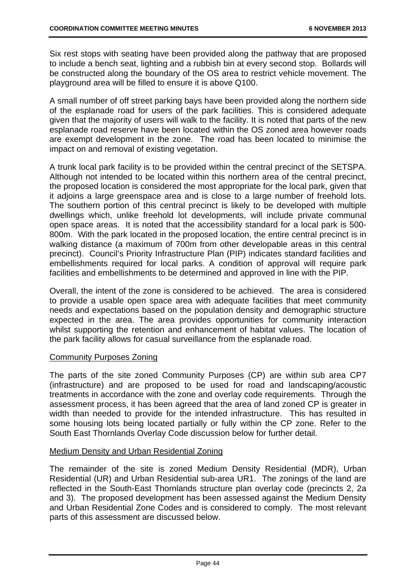Six rest stops with seating have been provided along the pathway that are proposed to include a bench seat, lighting and a rubbish bin at every second stop. Bollards will be constructed along the boundary of the OS area to restrict vehicle movement. The playground area will be filled to ensure it is above Q100.

A small number of off street parking bays have been provided along the northern side of the esplanade road for users of the park facilities. This is considered adequate given that the majority of users will walk to the facility. It is noted that parts of the new esplanade road reserve have been located within the OS zoned area however roads are exempt development in the zone. The road has been located to minimise the impact on and removal of existing vegetation.

A trunk local park facility is to be provided within the central precinct of the SETSPA. Although not intended to be located within this northern area of the central precinct, the proposed location is considered the most appropriate for the local park, given that it adjoins a large greenspace area and is close to a large number of freehold lots. The southern portion of this central precinct is likely to be developed with multiple dwellings which, unlike freehold lot developments, will include private communal open space areas. It is noted that the accessibility standard for a local park is 500- 800m. With the park located in the proposed location, the entire central precinct is in walking distance (a maximum of 700m from other developable areas in this central precinct). Council's Priority Infrastructure Plan (PIP) indicates standard facilities and embellishments required for local parks. A condition of approval will require park facilities and embellishments to be determined and approved in line with the PIP.

Overall, the intent of the zone is considered to be achieved. The area is considered to provide a usable open space area with adequate facilities that meet community needs and expectations based on the population density and demographic structure expected in the area. The area provides opportunities for community interaction whilst supporting the retention and enhancement of habitat values. The location of the park facility allows for casual surveillance from the esplanade road.

## Community Purposes Zoning

The parts of the site zoned Community Purposes (CP) are within sub area CP7 (infrastructure) and are proposed to be used for road and landscaping/acoustic treatments in accordance with the zone and overlay code requirements. Through the assessment process, it has been agreed that the area of land zoned CP is greater in width than needed to provide for the intended infrastructure. This has resulted in some housing lots being located partially or fully within the CP zone. Refer to the South East Thornlands Overlay Code discussion below for further detail.

## Medium Density and Urban Residential Zoning

The remainder of the site is zoned Medium Density Residential (MDR), Urban Residential (UR) and Urban Residential sub-area UR1. The zonings of the land are reflected in the South-East Thornlands structure plan overlay code (precincts 2, 2a and 3). The proposed development has been assessed against the Medium Density and Urban Residential Zone Codes and is considered to comply. The most relevant parts of this assessment are discussed below.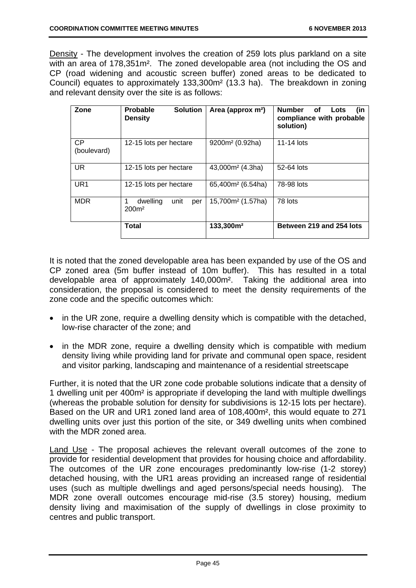Density - The development involves the creation of 259 lots plus parkland on a site with an area of 178,351m². The zoned developable area (not including the OS and CP (road widening and acoustic screen buffer) zoned areas to be dedicated to Council) equates to approximately 133,300m² (13.3 ha). The breakdown in zoning and relevant density over the site is as follows:

| Zone                     | <b>Solution</b><br><b>Probable</b><br><b>Density</b> | Area (approx m <sup>2</sup> ) | <b>Number</b><br>οf<br>Lots<br>(in<br>compliance with probable<br>solution) |
|--------------------------|------------------------------------------------------|-------------------------------|-----------------------------------------------------------------------------|
| <b>CP</b><br>(boulevard) | 12-15 lots per hectare                               | 9200m <sup>2</sup> (0.92ha)   | 11-14 lots                                                                  |
| UR.                      | 12-15 lots per hectare                               | $43,000m^2$ (4.3ha)           | 52-64 lots                                                                  |
| UR <sub>1</sub>          | 12-15 lots per hectare                               | 65,400m <sup>2</sup> (6.54ha) | 78-98 lots                                                                  |
| <b>MDR</b>               | dwelling<br>unit<br>per<br>200 <sup>m²</sup>         | 15,700m <sup>2</sup> (1.57ha) | 78 lots                                                                     |
|                          | <b>Total</b>                                         | 133,300m <sup>2</sup>         | Between 219 and 254 lots                                                    |

It is noted that the zoned developable area has been expanded by use of the OS and CP zoned area (5m buffer instead of 10m buffer). This has resulted in a total developable area of approximately 140,000m². Taking the additional area into consideration, the proposal is considered to meet the density requirements of the zone code and the specific outcomes which:

- in the UR zone, require a dwelling density which is compatible with the detached, low-rise character of the zone; and
- in the MDR zone, require a dwelling density which is compatible with medium density living while providing land for private and communal open space, resident and visitor parking, landscaping and maintenance of a residential streetscape

Further, it is noted that the UR zone code probable solutions indicate that a density of 1 dwelling unit per 400m² is appropriate if developing the land with multiple dwellings (whereas the probable solution for density for subdivisions is 12-15 lots per hectare). Based on the UR and UR1 zoned land area of 108,400m², this would equate to 271 dwelling units over just this portion of the site, or 349 dwelling units when combined with the MDR zoned area.

Land Use - The proposal achieves the relevant overall outcomes of the zone to provide for residential development that provides for housing choice and affordability. The outcomes of the UR zone encourages predominantly low-rise (1-2 storey) detached housing, with the UR1 areas providing an increased range of residential uses (such as multiple dwellings and aged persons/special needs housing). The MDR zone overall outcomes encourage mid-rise (3.5 storey) housing, medium density living and maximisation of the supply of dwellings in close proximity to centres and public transport.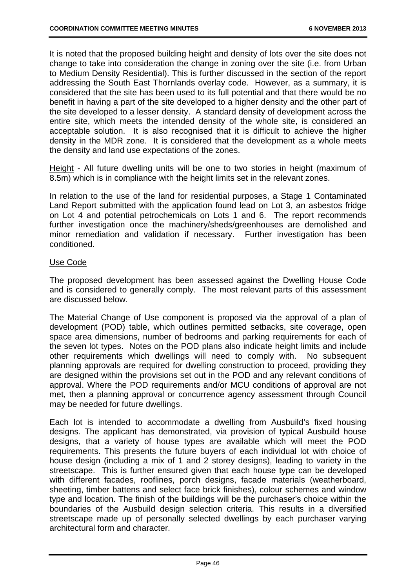It is noted that the proposed building height and density of lots over the site does not change to take into consideration the change in zoning over the site (i.e. from Urban to Medium Density Residential). This is further discussed in the section of the report addressing the South East Thornlands overlay code. However, as a summary, it is considered that the site has been used to its full potential and that there would be no benefit in having a part of the site developed to a higher density and the other part of the site developed to a lesser density. A standard density of development across the entire site, which meets the intended density of the whole site, is considered an acceptable solution. It is also recognised that it is difficult to achieve the higher density in the MDR zone. It is considered that the development as a whole meets the density and land use expectations of the zones.

Height - All future dwelling units will be one to two stories in height (maximum of 8.5m) which is in compliance with the height limits set in the relevant zones.

In relation to the use of the land for residential purposes, a Stage 1 Contaminated Land Report submitted with the application found lead on Lot 3, an asbestos fridge on Lot 4 and potential petrochemicals on Lots 1 and 6. The report recommends further investigation once the machinery/sheds/greenhouses are demolished and minor remediation and validation if necessary. Further investigation has been conditioned.

## Use Code

The proposed development has been assessed against the Dwelling House Code and is considered to generally comply. The most relevant parts of this assessment are discussed below.

The Material Change of Use component is proposed via the approval of a plan of development (POD) table, which outlines permitted setbacks, site coverage, open space area dimensions, number of bedrooms and parking requirements for each of the seven lot types. Notes on the POD plans also indicate height limits and include other requirements which dwellings will need to comply with. No subsequent planning approvals are required for dwelling construction to proceed, providing they are designed within the provisions set out in the POD and any relevant conditions of approval. Where the POD requirements and/or MCU conditions of approval are not met, then a planning approval or concurrence agency assessment through Council may be needed for future dwellings.

Each lot is intended to accommodate a dwelling from Ausbuild's fixed housing designs. The applicant has demonstrated, via provision of typical Ausbuild house designs, that a variety of house types are available which will meet the POD requirements. This presents the future buyers of each individual lot with choice of house design (including a mix of 1 and 2 storey designs), leading to variety in the streetscape. This is further ensured given that each house type can be developed with different facades, rooflines, porch designs, facade materials (weatherboard, sheeting, timber battens and select face brick finishes), colour schemes and window type and location. The finish of the buildings will be the purchaser's choice within the boundaries of the Ausbuild design selection criteria. This results in a diversified streetscape made up of personally selected dwellings by each purchaser varying architectural form and character.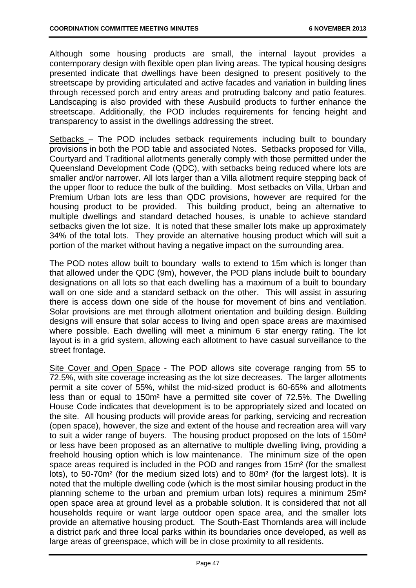Although some housing products are small, the internal layout provides a contemporary design with flexible open plan living areas. The typical housing designs presented indicate that dwellings have been designed to present positively to the streetscape by providing articulated and active facades and variation in building lines through recessed porch and entry areas and protruding balcony and patio features. Landscaping is also provided with these Ausbuild products to further enhance the streetscape. Additionally, the POD includes requirements for fencing height and transparency to assist in the dwellings addressing the street.

Setbacks – The POD includes setback requirements including built to boundary provisions in both the POD table and associated Notes. Setbacks proposed for Villa, Courtyard and Traditional allotments generally comply with those permitted under the Queensland Development Code (QDC), with setbacks being reduced where lots are smaller and/or narrower. All lots larger than a Villa allotment require stepping back of the upper floor to reduce the bulk of the building. Most setbacks on Villa, Urban and Premium Urban lots are less than QDC provisions, however are required for the housing product to be provided. This building product, being an alternative to multiple dwellings and standard detached houses, is unable to achieve standard setbacks given the lot size. It is noted that these smaller lots make up approximately 34% of the total lots. They provide an alternative housing product which will suit a portion of the market without having a negative impact on the surrounding area.

The POD notes allow built to boundary walls to extend to 15m which is longer than that allowed under the QDC (9m), however, the POD plans include built to boundary designations on all lots so that each dwelling has a maximum of a built to boundary wall on one side and a standard setback on the other. This will assist in assuring there is access down one side of the house for movement of bins and ventilation. Solar provisions are met through allotment orientation and building design. Building designs will ensure that solar access to living and open space areas are maximised where possible. Each dwelling will meet a minimum 6 star energy rating. The lot layout is in a grid system, allowing each allotment to have casual surveillance to the street frontage.

Site Cover and Open Space - The POD allows site coverage ranging from 55 to 72.5%, with site coverage increasing as the lot size decreases. The larger allotments permit a site cover of 55%, whilst the mid-sized product is 60-65% and allotments less than or equal to 150m² have a permitted site cover of 72.5%. The Dwelling House Code indicates that development is to be appropriately sized and located on the site. All housing products will provide areas for parking, servicing and recreation (open space), however, the size and extent of the house and recreation area will vary to suit a wider range of buyers. The housing product proposed on the lots of 150m² or less have been proposed as an alternative to multiple dwelling living, providing a freehold housing option which is low maintenance. The minimum size of the open space areas required is included in the POD and ranges from 15m² (for the smallest lots), to 50-70m² (for the medium sized lots) and to 80m² (for the largest lots). It is noted that the multiple dwelling code (which is the most similar housing product in the planning scheme to the urban and premium urban lots) requires a minimum 25m² open space area at ground level as a probable solution. It is considered that not all households require or want large outdoor open space area, and the smaller lots provide an alternative housing product. The South-East Thornlands area will include a district park and three local parks within its boundaries once developed, as well as large areas of greenspace, which will be in close proximity to all residents.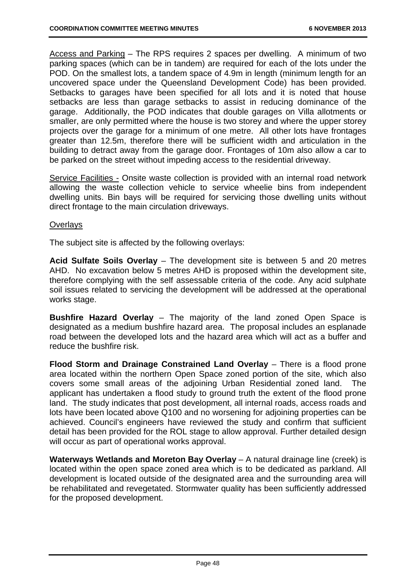Access and Parking – The RPS requires 2 spaces per dwelling. A minimum of two parking spaces (which can be in tandem) are required for each of the lots under the POD. On the smallest lots, a tandem space of 4.9m in length (minimum length for an uncovered space under the Queensland Development Code) has been provided. Setbacks to garages have been specified for all lots and it is noted that house setbacks are less than garage setbacks to assist in reducing dominance of the garage. Additionally, the POD indicates that double garages on Villa allotments or smaller, are only permitted where the house is two storey and where the upper storey projects over the garage for a minimum of one metre. All other lots have frontages greater than 12.5m, therefore there will be sufficient width and articulation in the building to detract away from the garage door. Frontages of 10m also allow a car to be parked on the street without impeding access to the residential driveway.

Service Facilities - Onsite waste collection is provided with an internal road network allowing the waste collection vehicle to service wheelie bins from independent dwelling units. Bin bays will be required for servicing those dwelling units without direct frontage to the main circulation driveways.

## **Overlays**

The subject site is affected by the following overlays:

**Acid Sulfate Soils Overlay** – The development site is between 5 and 20 metres AHD. No excavation below 5 metres AHD is proposed within the development site, therefore complying with the self assessable criteria of the code. Any acid sulphate soil issues related to servicing the development will be addressed at the operational works stage.

**Bushfire Hazard Overlay** – The majority of the land zoned Open Space is designated as a medium bushfire hazard area. The proposal includes an esplanade road between the developed lots and the hazard area which will act as a buffer and reduce the bushfire risk.

**Flood Storm and Drainage Constrained Land Overlay** – There is a flood prone area located within the northern Open Space zoned portion of the site, which also covers some small areas of the adjoining Urban Residential zoned land. The applicant has undertaken a flood study to ground truth the extent of the flood prone land. The study indicates that post development, all internal roads, access roads and lots have been located above Q100 and no worsening for adjoining properties can be achieved. Council's engineers have reviewed the study and confirm that sufficient detail has been provided for the ROL stage to allow approval. Further detailed design will occur as part of operational works approval.

**Waterways Wetlands and Moreton Bay Overlay** – A natural drainage line (creek) is located within the open space zoned area which is to be dedicated as parkland. All development is located outside of the designated area and the surrounding area will be rehabilitated and revegetated. Stormwater quality has been sufficiently addressed for the proposed development.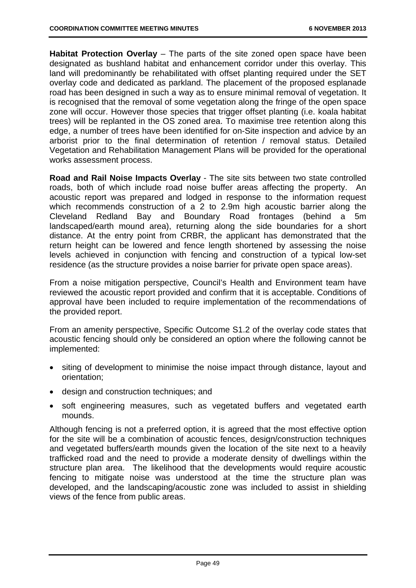**Habitat Protection Overlay** – The parts of the site zoned open space have been designated as bushland habitat and enhancement corridor under this overlay. This land will predominantly be rehabilitated with offset planting required under the SET overlay code and dedicated as parkland. The placement of the proposed esplanade road has been designed in such a way as to ensure minimal removal of vegetation. It is recognised that the removal of some vegetation along the fringe of the open space zone will occur. However those species that trigger offset planting (i.e. koala habitat trees) will be replanted in the OS zoned area. To maximise tree retention along this edge, a number of trees have been identified for on-Site inspection and advice by an arborist prior to the final determination of retention / removal status. Detailed Vegetation and Rehabilitation Management Plans will be provided for the operational works assessment process.

**Road and Rail Noise Impacts Overlay** - The site sits between two state controlled roads, both of which include road noise buffer areas affecting the property. An acoustic report was prepared and lodged in response to the information request which recommends construction of a 2 to 2.9m high acoustic barrier along the Cleveland Redland Bay and Boundary Road frontages (behind a 5m landscaped/earth mound area), returning along the side boundaries for a short distance. At the entry point from CRBR, the applicant has demonstrated that the return height can be lowered and fence length shortened by assessing the noise levels achieved in conjunction with fencing and construction of a typical low-set residence (as the structure provides a noise barrier for private open space areas).

From a noise mitigation perspective, Council's Health and Environment team have reviewed the acoustic report provided and confirm that it is acceptable. Conditions of approval have been included to require implementation of the recommendations of the provided report.

From an amenity perspective, Specific Outcome S1.2 of the overlay code states that acoustic fencing should only be considered an option where the following cannot be implemented:

- siting of development to minimise the noise impact through distance, layout and orientation;
- design and construction techniques; and
- soft engineering measures, such as vegetated buffers and vegetated earth mounds.

Although fencing is not a preferred option, it is agreed that the most effective option for the site will be a combination of acoustic fences, design/construction techniques and vegetated buffers/earth mounds given the location of the site next to a heavily trafficked road and the need to provide a moderate density of dwellings within the structure plan area. The likelihood that the developments would require acoustic fencing to mitigate noise was understood at the time the structure plan was developed, and the landscaping/acoustic zone was included to assist in shielding views of the fence from public areas.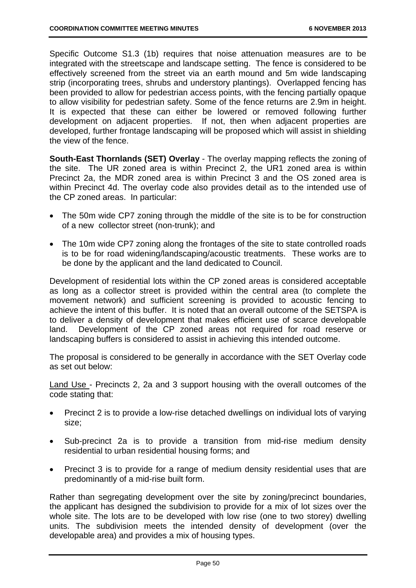Specific Outcome S1.3 (1b) requires that noise attenuation measures are to be integrated with the streetscape and landscape setting. The fence is considered to be effectively screened from the street via an earth mound and 5m wide landscaping strip (incorporating trees, shrubs and understory plantings). Overlapped fencing has been provided to allow for pedestrian access points, with the fencing partially opaque to allow visibility for pedestrian safety. Some of the fence returns are 2.9m in height. It is expected that these can either be lowered or removed following further development on adjacent properties. If not, then when adjacent properties are developed, further frontage landscaping will be proposed which will assist in shielding the view of the fence.

**South-East Thornlands (SET) Overlay** - The overlay mapping reflects the zoning of the site. The UR zoned area is within Precinct 2, the UR1 zoned area is within Precinct 2a, the MDR zoned area is within Precinct 3 and the OS zoned area is within Precinct 4d. The overlay code also provides detail as to the intended use of the CP zoned areas. In particular:

- The 50m wide CP7 zoning through the middle of the site is to be for construction of a new collector street (non-trunk); and
- The 10m wide CP7 zoning along the frontages of the site to state controlled roads is to be for road widening/landscaping/acoustic treatments. These works are to be done by the applicant and the land dedicated to Council.

Development of residential lots within the CP zoned areas is considered acceptable as long as a collector street is provided within the central area (to complete the movement network) and sufficient screening is provided to acoustic fencing to achieve the intent of this buffer. It is noted that an overall outcome of the SETSPA is to deliver a density of development that makes efficient use of scarce developable land. Development of the CP zoned areas not required for road reserve or landscaping buffers is considered to assist in achieving this intended outcome.

The proposal is considered to be generally in accordance with the SET Overlay code as set out below:

Land Use - Precincts 2, 2a and 3 support housing with the overall outcomes of the code stating that:

- Precinct 2 is to provide a low-rise detached dwellings on individual lots of varying size;
- Sub-precinct 2a is to provide a transition from mid-rise medium density residential to urban residential housing forms; and
- Precinct 3 is to provide for a range of medium density residential uses that are predominantly of a mid-rise built form.

Rather than segregating development over the site by zoning/precinct boundaries, the applicant has designed the subdivision to provide for a mix of lot sizes over the whole site. The lots are to be developed with low rise (one to two storey) dwelling units. The subdivision meets the intended density of development (over the developable area) and provides a mix of housing types.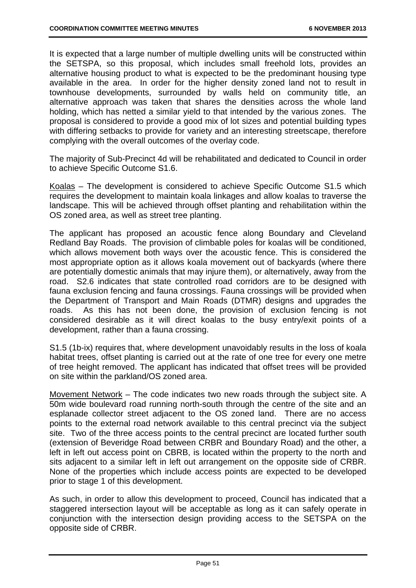It is expected that a large number of multiple dwelling units will be constructed within the SETSPA, so this proposal, which includes small freehold lots, provides an alternative housing product to what is expected to be the predominant housing type available in the area. In order for the higher density zoned land not to result in townhouse developments, surrounded by walls held on community title, an alternative approach was taken that shares the densities across the whole land holding, which has netted a similar yield to that intended by the various zones. The proposal is considered to provide a good mix of lot sizes and potential building types with differing setbacks to provide for variety and an interesting streetscape, therefore complying with the overall outcomes of the overlay code.

The majority of Sub-Precinct 4d will be rehabilitated and dedicated to Council in order to achieve Specific Outcome S1.6.

Koalas – The development is considered to achieve Specific Outcome S1.5 which requires the development to maintain koala linkages and allow koalas to traverse the landscape. This will be achieved through offset planting and rehabilitation within the OS zoned area, as well as street tree planting.

The applicant has proposed an acoustic fence along Boundary and Cleveland Redland Bay Roads. The provision of climbable poles for koalas will be conditioned, which allows movement both ways over the acoustic fence. This is considered the most appropriate option as it allows koala movement out of backyards (where there are potentially domestic animals that may injure them), or alternatively, away from the road. S2.6 indicates that state controlled road corridors are to be designed with fauna exclusion fencing and fauna crossings. Fauna crossings will be provided when the Department of Transport and Main Roads (DTMR) designs and upgrades the roads. As this has not been done, the provision of exclusion fencing is not considered desirable as it will direct koalas to the busy entry/exit points of a development, rather than a fauna crossing.

S1.5 (1b-ix) requires that, where development unavoidably results in the loss of koala habitat trees, offset planting is carried out at the rate of one tree for every one metre of tree height removed. The applicant has indicated that offset trees will be provided on site within the parkland/OS zoned area.

Movement Network – The code indicates two new roads through the subject site. A 50m wide boulevard road running north-south through the centre of the site and an esplanade collector street adjacent to the OS zoned land. There are no access points to the external road network available to this central precinct via the subject site. Two of the three access points to the central precinct are located further south (extension of Beveridge Road between CRBR and Boundary Road) and the other, a left in left out access point on CBRB, is located within the property to the north and sits adjacent to a similar left in left out arrangement on the opposite side of CRBR. None of the properties which include access points are expected to be developed prior to stage 1 of this development.

As such, in order to allow this development to proceed, Council has indicated that a staggered intersection layout will be acceptable as long as it can safely operate in conjunction with the intersection design providing access to the SETSPA on the opposite side of CRBR.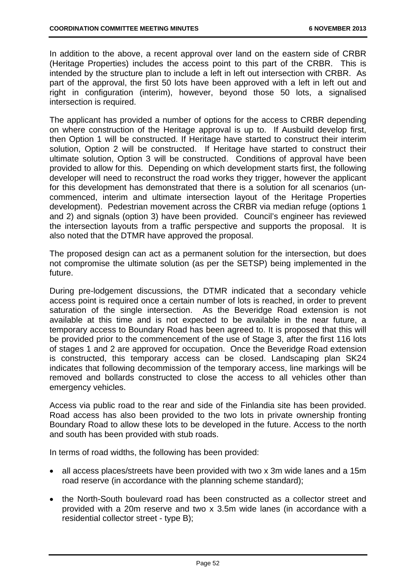In addition to the above, a recent approval over land on the eastern side of CRBR (Heritage Properties) includes the access point to this part of the CRBR. This is intended by the structure plan to include a left in left out intersection with CRBR. As part of the approval, the first 50 lots have been approved with a left in left out and right in configuration (interim), however, beyond those 50 lots, a signalised intersection is required.

The applicant has provided a number of options for the access to CRBR depending on where construction of the Heritage approval is up to. If Ausbuild develop first, then Option 1 will be constructed. If Heritage have started to construct their interim solution, Option 2 will be constructed. If Heritage have started to construct their ultimate solution, Option 3 will be constructed. Conditions of approval have been provided to allow for this. Depending on which development starts first, the following developer will need to reconstruct the road works they trigger, however the applicant for this development has demonstrated that there is a solution for all scenarios (uncommenced, interim and ultimate intersection layout of the Heritage Properties development). Pedestrian movement across the CRBR via median refuge (options 1 and 2) and signals (option 3) have been provided. Council's engineer has reviewed the intersection layouts from a traffic perspective and supports the proposal. It is also noted that the DTMR have approved the proposal.

The proposed design can act as a permanent solution for the intersection, but does not compromise the ultimate solution (as per the SETSP) being implemented in the future.

During pre-lodgement discussions, the DTMR indicated that a secondary vehicle access point is required once a certain number of lots is reached, in order to prevent saturation of the single intersection. As the Beveridge Road extension is not available at this time and is not expected to be available in the near future, a temporary access to Boundary Road has been agreed to. It is proposed that this will be provided prior to the commencement of the use of Stage 3, after the first 116 lots of stages 1 and 2 are approved for occupation. Once the Beveridge Road extension is constructed, this temporary access can be closed. Landscaping plan SK24 indicates that following decommission of the temporary access, line markings will be removed and bollards constructed to close the access to all vehicles other than emergency vehicles.

Access via public road to the rear and side of the Finlandia site has been provided. Road access has also been provided to the two lots in private ownership fronting Boundary Road to allow these lots to be developed in the future. Access to the north and south has been provided with stub roads.

In terms of road widths, the following has been provided:

- all access places/streets have been provided with two x 3m wide lanes and a 15m road reserve (in accordance with the planning scheme standard);
- the North-South boulevard road has been constructed as a collector street and provided with a 20m reserve and two x 3.5m wide lanes (in accordance with a residential collector street - type B);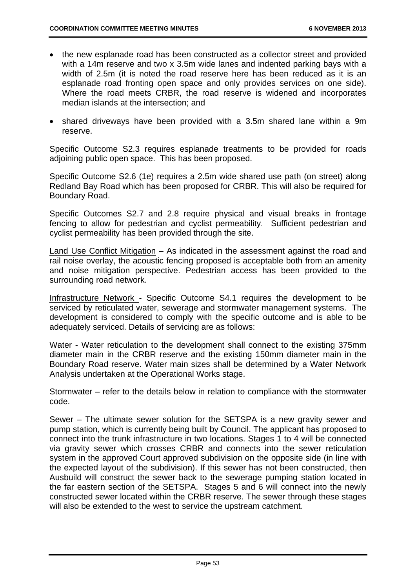- the new esplanade road has been constructed as a collector street and provided with a 14m reserve and two x 3.5m wide lanes and indented parking bays with a width of 2.5m (it is noted the road reserve here has been reduced as it is an esplanade road fronting open space and only provides services on one side). Where the road meets CRBR, the road reserve is widened and incorporates median islands at the intersection; and
- shared driveways have been provided with a 3.5m shared lane within a 9m reserve.

Specific Outcome S2.3 requires esplanade treatments to be provided for roads adjoining public open space. This has been proposed.

Specific Outcome S2.6 (1e) requires a 2.5m wide shared use path (on street) along Redland Bay Road which has been proposed for CRBR. This will also be required for Boundary Road.

Specific Outcomes S2.7 and 2.8 require physical and visual breaks in frontage fencing to allow for pedestrian and cyclist permeability. Sufficient pedestrian and cyclist permeability has been provided through the site.

Land Use Conflict Mitigation – As indicated in the assessment against the road and rail noise overlay, the acoustic fencing proposed is acceptable both from an amenity and noise mitigation perspective. Pedestrian access has been provided to the surrounding road network.

Infrastructure Network - Specific Outcome S4.1 requires the development to be serviced by reticulated water, sewerage and stormwater management systems. The development is considered to comply with the specific outcome and is able to be adequately serviced. Details of servicing are as follows:

Water - Water reticulation to the development shall connect to the existing 375mm diameter main in the CRBR reserve and the existing 150mm diameter main in the Boundary Road reserve. Water main sizes shall be determined by a Water Network Analysis undertaken at the Operational Works stage.

Stormwater – refer to the details below in relation to compliance with the stormwater code.

Sewer – The ultimate sewer solution for the SETSPA is a new gravity sewer and pump station, which is currently being built by Council. The applicant has proposed to connect into the trunk infrastructure in two locations. Stages 1 to 4 will be connected via gravity sewer which crosses CRBR and connects into the sewer reticulation system in the approved Court approved subdivision on the opposite side (in line with the expected layout of the subdivision). If this sewer has not been constructed, then Ausbuild will construct the sewer back to the sewerage pumping station located in the far eastern section of the SETSPA. Stages 5 and 6 will connect into the newly constructed sewer located within the CRBR reserve. The sewer through these stages will also be extended to the west to service the upstream catchment.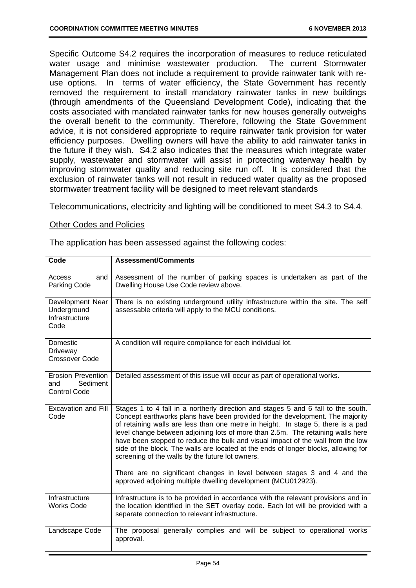Specific Outcome S4.2 requires the incorporation of measures to reduce reticulated water usage and minimise wastewater production. The current Stormwater Management Plan does not include a requirement to provide rainwater tank with reuse options. In terms of water efficiency, the State Government has recently removed the requirement to install mandatory rainwater tanks in new buildings (through amendments of the Queensland Development Code), indicating that the costs associated with mandated rainwater tanks for new houses generally outweighs the overall benefit to the community. Therefore, following the State Government advice, it is not considered appropriate to require rainwater tank provision for water efficiency purposes. Dwelling owners will have the ability to add rainwater tanks in the future if they wish. S4.2 also indicates that the measures which integrate water supply, wastewater and stormwater will assist in protecting waterway health by improving stormwater quality and reducing site run off. It is considered that the exclusion of rainwater tanks will not result in reduced water quality as the proposed stormwater treatment facility will be designed to meet relevant standards

Telecommunications, electricity and lighting will be conditioned to meet S4.3 to S4.4.

## Other Codes and Policies

| The application has been assessed against the following codes: |  |  |  |
|----------------------------------------------------------------|--|--|--|
|                                                                |  |  |  |

| Code                                                                                                                                                                                                    | <b>Assessment/Comments</b>                                                                                                                                                                                                                                                                                                                                                                                                                                                                                                                                                                                                                                                                                           |
|---------------------------------------------------------------------------------------------------------------------------------------------------------------------------------------------------------|----------------------------------------------------------------------------------------------------------------------------------------------------------------------------------------------------------------------------------------------------------------------------------------------------------------------------------------------------------------------------------------------------------------------------------------------------------------------------------------------------------------------------------------------------------------------------------------------------------------------------------------------------------------------------------------------------------------------|
| Assessment of the number of parking spaces is undertaken as part of the<br>and<br>Access<br>Parking Code<br>Dwelling House Use Code review above.                                                       |                                                                                                                                                                                                                                                                                                                                                                                                                                                                                                                                                                                                                                                                                                                      |
| Development Near<br>There is no existing underground utility infrastructure within the site. The self<br>assessable criteria will apply to the MCU conditions.<br>Underground<br>Infrastructure<br>Code |                                                                                                                                                                                                                                                                                                                                                                                                                                                                                                                                                                                                                                                                                                                      |
| Domestic<br>A condition will require compliance for each individual lot.<br>Driveway<br><b>Crossover Code</b>                                                                                           |                                                                                                                                                                                                                                                                                                                                                                                                                                                                                                                                                                                                                                                                                                                      |
| <b>Erosion Prevention</b><br>Sediment<br>and<br><b>Control Code</b>                                                                                                                                     | Detailed assessment of this issue will occur as part of operational works.                                                                                                                                                                                                                                                                                                                                                                                                                                                                                                                                                                                                                                           |
| <b>Excavation and Fill</b><br>Code                                                                                                                                                                      | Stages 1 to 4 fall in a northerly direction and stages 5 and 6 fall to the south.<br>Concept earthworks plans have been provided for the development. The majority<br>of retaining walls are less than one metre in height. In stage 5, there is a pad<br>level change between adjoining lots of more than 2.5m. The retaining walls here<br>have been stepped to reduce the bulk and visual impact of the wall from the low<br>side of the block. The walls are located at the ends of longer blocks, allowing for<br>screening of the walls by the future lot owners.<br>There are no significant changes in level between stages 3 and 4 and the<br>approved adjoining multiple dwelling development (MCU012923). |
| Infrastructure<br><b>Works Code</b>                                                                                                                                                                     | Infrastructure is to be provided in accordance with the relevant provisions and in<br>the location identified in the SET overlay code. Each lot will be provided with a<br>separate connection to relevant infrastructure.                                                                                                                                                                                                                                                                                                                                                                                                                                                                                           |
| Landscape Code                                                                                                                                                                                          | The proposal generally complies and will be subject to operational works<br>approval.                                                                                                                                                                                                                                                                                                                                                                                                                                                                                                                                                                                                                                |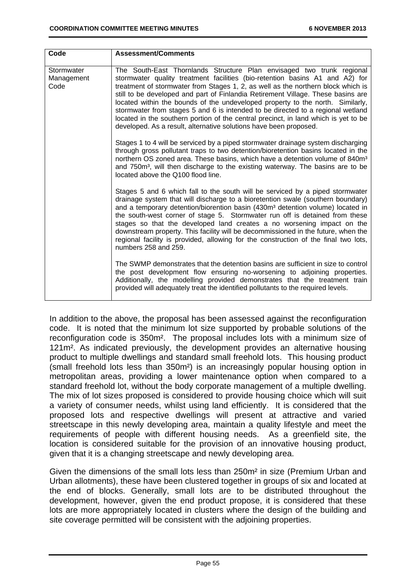| Code                             | <b>Assessment/Comments</b>                                                                                                                                                                                                                                                                                                                                                                                                                                                                                                                                                                                                                                     |
|----------------------------------|----------------------------------------------------------------------------------------------------------------------------------------------------------------------------------------------------------------------------------------------------------------------------------------------------------------------------------------------------------------------------------------------------------------------------------------------------------------------------------------------------------------------------------------------------------------------------------------------------------------------------------------------------------------|
| Stormwater<br>Management<br>Code | The South-East Thornlands Structure Plan envisaged two trunk regional<br>stormwater quality treatment facilities (bio-retention basins A1 and A2) for<br>treatment of stormwater from Stages 1, 2, as well as the northern block which is<br>still to be developed and part of Finlandia Retirement Village. These basins are<br>located within the bounds of the undeveloped property to the north. Similarly,<br>stormwater from stages 5 and 6 is intended to be directed to a regional wetland<br>located in the southern portion of the central precinct, in land which is yet to be<br>developed. As a result, alternative solutions have been proposed. |
|                                  | Stages 1 to 4 will be serviced by a piped stormwater drainage system discharging<br>through gross pollutant traps to two detention/bioretention basins located in the<br>northern OS zoned area. These basins, which have a detention volume of 840m <sup>3</sup><br>and 750m <sup>3</sup> , will then discharge to the existing waterway. The basins are to be<br>located above the Q100 flood line.                                                                                                                                                                                                                                                          |
|                                  | Stages 5 and 6 which fall to the south will be serviced by a piped stormwater<br>drainage system that will discharge to a bioretention swale (southern boundary)<br>and a temporary detention/biorention basin (430m <sup>3</sup> detention volume) located in<br>the south-west corner of stage 5. Stormwater run off is detained from these<br>stages so that the developed land creates a no worsening impact on the<br>downstream property. This facility will be decommissioned in the future, when the<br>regional facility is provided, allowing for the construction of the final two lots,<br>numbers 258 and 259.                                    |
|                                  | The SWMP demonstrates that the detention basins are sufficient in size to control<br>the post development flow ensuring no-worsening to adjoining properties.<br>Additionally, the modelling provided demonstrates that the treatment train<br>provided will adequately treat the identified pollutants to the required levels.                                                                                                                                                                                                                                                                                                                                |

In addition to the above, the proposal has been assessed against the reconfiguration code. It is noted that the minimum lot size supported by probable solutions of the reconfiguration code is 350m². The proposal includes lots with a minimum size of 121m². As indicated previously, the development provides an alternative housing product to multiple dwellings and standard small freehold lots. This housing product (small freehold lots less than 350m²) is an increasingly popular housing option in metropolitan areas, providing a lower maintenance option when compared to a standard freehold lot, without the body corporate management of a multiple dwelling. The mix of lot sizes proposed is considered to provide housing choice which will suit a variety of consumer needs, whilst using land efficiently. It is considered that the proposed lots and respective dwellings will present at attractive and varied streetscape in this newly developing area, maintain a quality lifestyle and meet the requirements of people with different housing needs. As a greenfield site, the location is considered suitable for the provision of an innovative housing product, given that it is a changing streetscape and newly developing area.

Given the dimensions of the small lots less than 250m² in size (Premium Urban and Urban allotments), these have been clustered together in groups of six and located at the end of blocks. Generally, small lots are to be distributed throughout the development, however, given the end product propose, it is considered that these lots are more appropriately located in clusters where the design of the building and site coverage permitted will be consistent with the adjoining properties.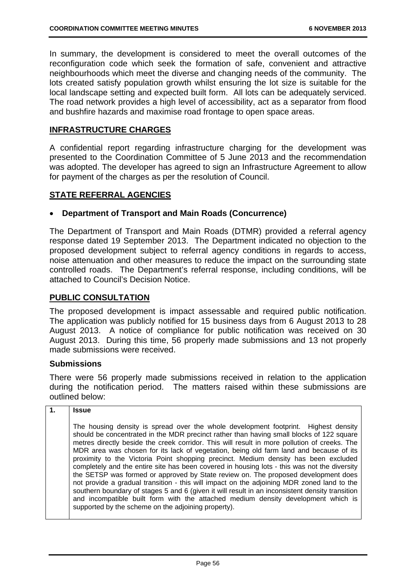In summary, the development is considered to meet the overall outcomes of the reconfiguration code which seek the formation of safe, convenient and attractive neighbourhoods which meet the diverse and changing needs of the community. The lots created satisfy population growth whilst ensuring the lot size is suitable for the local landscape setting and expected built form. All lots can be adequately serviced. The road network provides a high level of accessibility, act as a separator from flood and bushfire hazards and maximise road frontage to open space areas.

# **INFRASTRUCTURE CHARGES**

A confidential report regarding infrastructure charging for the development was presented to the Coordination Committee of 5 June 2013 and the recommendation was adopted. The developer has agreed to sign an Infrastructure Agreement to allow for payment of the charges as per the resolution of Council.

# **STATE REFERRAL AGENCIES**

## **Department of Transport and Main Roads (Concurrence)**

The Department of Transport and Main Roads (DTMR) provided a referral agency response dated 19 September 2013. The Department indicated no objection to the proposed development subject to referral agency conditions in regards to access, noise attenuation and other measures to reduce the impact on the surrounding state controlled roads. The Department's referral response, including conditions, will be attached to Council's Decision Notice.

# **PUBLIC CONSULTATION**

The proposed development is impact assessable and required public notification. The application was publicly notified for 15 business days from 6 August 2013 to 28 August 2013. A notice of compliance for public notification was received on 30 August 2013. During this time, 56 properly made submissions and 13 not properly made submissions were received.

## **Submissions**

There were 56 properly made submissions received in relation to the application during the notification period. The matters raised within these submissions are outlined below:

|  | <b>Issue</b> |
|--|--------------|
|--|--------------|

The housing density is spread over the whole development footprint. Highest density should be concentrated in the MDR precinct rather than having small blocks of 122 square metres directly beside the creek corridor. This will result in more pollution of creeks. The MDR area was chosen for its lack of vegetation, being old farm land and because of its proximity to the Victoria Point shopping precinct. Medium density has been excluded completely and the entire site has been covered in housing lots - this was not the diversity the SETSP was formed or approved by State review on. The proposed development does not provide a gradual transition - this will impact on the adjoining MDR zoned land to the southern boundary of stages 5 and 6 (given it will result in an inconsistent density transition and incompatible built form with the attached medium density development which is supported by the scheme on the adjoining property).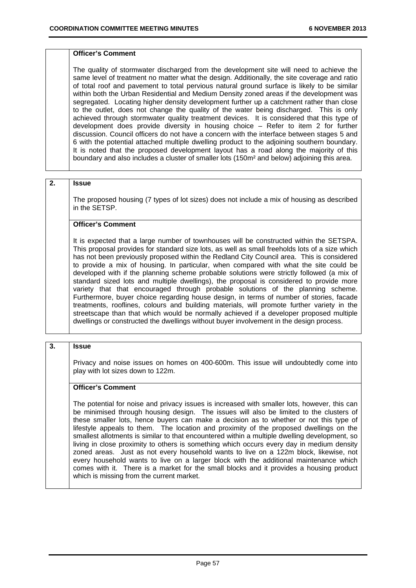#### **Officer's Comment**

The quality of stormwater discharged from the development site will need to achieve the same level of treatment no matter what the design. Additionally, the site coverage and ratio of total roof and pavement to total pervious natural ground surface is likely to be similar within both the Urban Residential and Medium Density zoned areas if the development was segregated. Locating higher density development further up a catchment rather than close to the outlet, does not change the quality of the water being discharged. This is only achieved through stormwater quality treatment devices. It is considered that this type of development does provide diversity in housing choice – Refer to item 2 for further discussion. Council officers do not have a concern with the interface between stages 5 and 6 with the potential attached multiple dwelling product to the adjoining southern boundary. It is noted that the proposed development layout has a road along the majority of this boundary and also includes a cluster of smaller lots (150m² and below) adjoining this area.

### **2. Issue**

The proposed housing (7 types of lot sizes) does not include a mix of housing as described in the SETSP.

#### **Officer's Comment**

It is expected that a large number of townhouses will be constructed within the SETSPA. This proposal provides for standard size lots, as well as small freeholds lots of a size which has not been previously proposed within the Redland City Council area. This is considered to provide a mix of housing. In particular, when compared with what the site could be developed with if the planning scheme probable solutions were strictly followed (a mix of standard sized lots and multiple dwellings), the proposal is considered to provide more variety that that encouraged through probable solutions of the planning scheme. Furthermore, buyer choice regarding house design, in terms of number of stories, facade treatments, rooflines, colours and building materials, will promote further variety in the streetscape than that which would be normally achieved if a developer proposed multiple dwellings or constructed the dwellings without buyer involvement in the design process.

#### **3. Issue**

Privacy and noise issues on homes on 400-600m. This issue will undoubtedly come into play with lot sizes down to 122m.

### **Officer's Comment**

The potential for noise and privacy issues is increased with smaller lots, however, this can be minimised through housing design. The issues will also be limited to the clusters of these smaller lots, hence buyers can make a decision as to whether or not this type of lifestyle appeals to them. The location and proximity of the proposed dwellings on the smallest allotments is similar to that encountered within a multiple dwelling development, so living in close proximity to others is something which occurs every day in medium density zoned areas. Just as not every household wants to live on a 122m block, likewise, not every household wants to live on a larger block with the additional maintenance which comes with it. There is a market for the small blocks and it provides a housing product which is missing from the current market.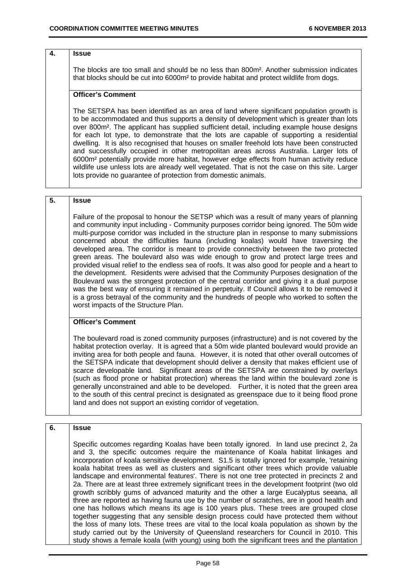#### **4. Issue**

The blocks are too small and should be no less than 800m². Another submission indicates that blocks should be cut into 6000m² to provide habitat and protect wildlife from dogs.

#### **Officer's Comment**

The SETSPA has been identified as an area of land where significant population growth is to be accommodated and thus supports a density of development which is greater than lots over 800m². The applicant has supplied sufficient detail, including example house designs for each lot type, to demonstrate that the lots are capable of supporting a residential dwelling. It is also recognised that houses on smaller freehold lots have been constructed and successfully occupied in other metropolitan areas across Australia. Larger lots of 6000m² potentially provide more habitat, however edge effects from human activity reduce wildlife use unless lots are already well vegetated. That is not the case on this site. Larger lots provide no guarantee of protection from domestic animals.

#### **5. Issue**

Failure of the proposal to honour the SETSP which was a result of many years of planning and community input including - Community purposes corridor being ignored. The 50m wide multi-purpose corridor was included in the structure plan in response to many submissions concerned about the difficulties fauna (including koalas) would have traversing the developed area. The corridor is meant to provide connectivity between the two protected green areas. The boulevard also was wide enough to grow and protect large trees and provided visual relief to the endless sea of roofs. It was also good for people and a heart to the development. Residents were advised that the Community Purposes designation of the Boulevard was the strongest protection of the central corridor and giving it a dual purpose was the best way of ensuring it remained in perpetuity. If Council allows it to be removed it is a gross betrayal of the community and the hundreds of people who worked to soften the worst impacts of the Structure Plan.

### **Officer's Comment**

The boulevard road is zoned community purposes (infrastructure) and is not covered by the habitat protection overlay. It is agreed that a 50m wide planted boulevard would provide an inviting area for both people and fauna. However, it is noted that other overall outcomes of the SETSPA indicate that development should deliver a density that makes efficient use of scarce developable land. Significant areas of the SETSPA are constrained by overlays (such as flood prone or habitat protection) whereas the land within the boulevard zone is generally unconstrained and able to be developed. Further, it is noted that the green area to the south of this central precinct is designated as greenspace due to it being flood prone land and does not support an existing corridor of vegetation.

# **6. Issue**

Specific outcomes regarding Koalas have been totally ignored. In land use precinct 2, 2a and 3, the specific outcomes require the maintenance of Koala habitat linkages and incorporation of koala sensitive development. S1.5 is totally ignored for example, 'retaining koala habitat trees as well as clusters and significant other trees which provide valuable landscape and environmental features'. There is not one tree protected in precincts 2 and 2a. There are at least three extremely significant trees in the development footprint (two old growth scribbly gums of advanced maturity and the other a large Eucalyptus seeana, all three are reported as having fauna use by the number of scratches, are in good health and one has hollows which means its age is 100 years plus. These trees are grouped close together suggesting that any sensible design process could have protected them without the loss of many lots. These trees are vital to the local koala population as shown by the study carried out by the University of Queensland researchers for Council in 2010. This study shows a female koala (with young) using both the significant trees and the plantation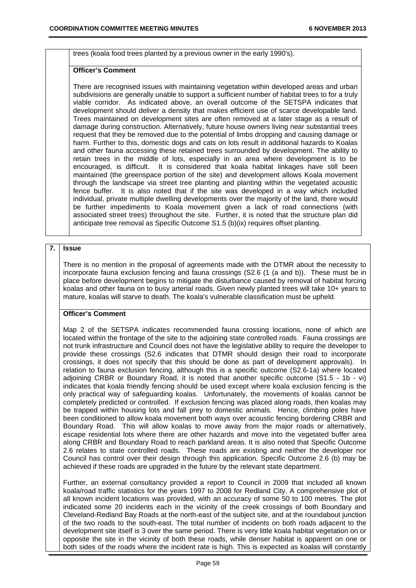trees (koala food trees planted by a previous owner in the early 1990's).

#### **Officer's Comment**

There are recognised issues with maintaining vegetation within developed areas and urban subdivisions are generally unable to support a sufficient number of habitat trees to for a truly viable corridor. As indicated above, an overall outcome of the SETSPA indicates that development should deliver a density that makes efficient use of scarce developable land. Trees maintained on development sites are often removed at a later stage as a result of damage during construction. Alternatively, future house owners living near substantial trees request that they be removed due to the potential of limbs dropping and causing damage or harm. Further to this, domestic dogs and cats on lots result in additional hazards to Koalas and other fauna accessing these retained trees surrounded by development. The ability to retain trees in the middle of lots, especially in an area where development is to be encouraged, is difficult. It is considered that koala habitat linkages have still been maintained (the greenspace portion of the site) and development allows Koala movement through the landscape via street tree planting and planting within the vegetated acoustic fence buffer. It is also noted that if the site was developed in a way which included individual, private multiple dwelling developments over the majority of the land, there would be further impediments to Koala movement given a lack of road connections (with associated street trees) throughout the site. Further, it is noted that the structure plan did anticipate tree removal as Specific Outcome S1.5 (b)(ix) requires offset planting.

#### **7. Issue**

There is no mention in the proposal of agreements made with the DTMR about the necessity to incorporate fauna exclusion fencing and fauna crossings (S2.6 (1 (a and b)). These must be in place before development begins to mitigate the disturbance caused by removal of habitat forcing koalas and other fauna on to busy arterial roads. Given newly planted trees will take 10+ years to mature, koalas will starve to death. The koala's vulnerable classification must be upheld.

### **Officer's Comment**

Map 2 of the SETSPA indicates recommended fauna crossing locations, none of which are located within the frontage of the site to the adjoining state controlled roads. Fauna crossings are not trunk infrastructure and Council does not have the legislative ability to require the developer to provide these crossings (S2.6 indicates that DTMR should design their road to incorporate crossings, it does not specify that this should be done as part of development approvals). In relation to fauna exclusion fencing, although this is a specific outcome (S2.6-1a) where located adjoining CRBR or Boundary Road, it is noted that another specific outcome (S1.5 - 1b - vi) indicates that koala friendly fencing should be used except where koala exclusion fencing is the only practical way of safeguarding koalas. Unfortunately, the movements of koalas cannot be completely predicted or controlled. If exclusion fencing was placed along roads, then koalas may be trapped within housing lots and fall prey to domestic animals. Hence, climbing poles have been conditioned to allow koala movement both ways over acoustic fencing bordering CRBR and Boundary Road. This will allow koalas to move away from the major roads or alternatively, escape residential lots where there are other hazards and move into the vegetated buffer area along CRBR and Boundary Road to reach parkland areas. It is also noted that Specific Outcome 2.6 relates to state controlled roads. These roads are existing and neither the developer nor Council has control over their design through this application. Specific Outcome 2.6 (b) may be achieved if these roads are upgraded in the future by the relevant state department.

Further, an external consultancy provided a report to Council in 2009 that included all known koala/road traffic statistics for the years 1997 to 2008 for Redland City. A comprehensive plot of all known incident locations was provided, with an accuracy of some 50 to 100 metres. The plot indicated some 20 incidents each in the vicinity of the creek crossings of both Boundary and Cleveland-Redland Bay Roads at the north-east of the subject site, and at the roundabout junction of the two roads to the south-east. The total number of incidents on both roads adjacent to the development site itself is 3 over the same period. There is very little koala habitat vegetation on or opposite the site in the vicinity of both these roads, while denser habitat is apparent on one or both sides of the roads where the incident rate is high. This is expected as koalas will constantly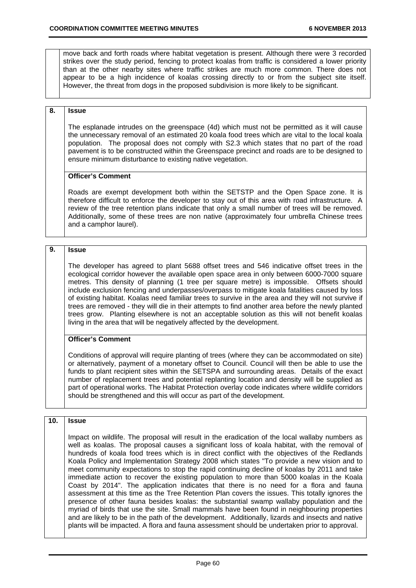move back and forth roads where habitat vegetation is present. Although there were 3 recorded strikes over the study period, fencing to protect koalas from traffic is considered a lower priority than at the other nearby sites where traffic strikes are much more common. There does not appear to be a high incidence of koalas crossing directly to or from the subject site itself. However, the threat from dogs in the proposed subdivision is more likely to be significant.

### **8. Issue**

The esplanade intrudes on the greenspace (4d) which must not be permitted as it will cause the unnecessary removal of an estimated 20 koala food trees which are vital to the local koala population. The proposal does not comply with S2.3 which states that no part of the road pavement is to be constructed within the Greenspace precinct and roads are to be designed to ensure minimum disturbance to existing native vegetation.

### **Officer's Comment**

Roads are exempt development both within the SETSTP and the Open Space zone. It is therefore difficult to enforce the developer to stay out of this area with road infrastructure. A review of the tree retention plans indicate that only a small number of trees will be removed. Additionally, some of these trees are non native (approximately four umbrella Chinese trees and a camphor laurel).

#### **9. Issue**

The developer has agreed to plant 5688 offset trees and 546 indicative offset trees in the ecological corridor however the available open space area in only between 6000-7000 square metres. This density of planning (1 tree per square metre) is impossible. Offsets should include exclusion fencing and underpasses/overpass to mitigate koala fatalities caused by loss of existing habitat. Koalas need familiar trees to survive in the area and they will not survive if trees are removed - they will die in their attempts to find another area before the newly planted trees grow. Planting elsewhere is not an acceptable solution as this will not benefit koalas living in the area that will be negatively affected by the development.

### **Officer's Comment**

Conditions of approval will require planting of trees (where they can be accommodated on site) or alternatively, payment of a monetary offset to Council. Council will then be able to use the funds to plant recipient sites within the SETSPA and surrounding areas. Details of the exact number of replacement trees and potential replanting location and density will be supplied as part of operational works. The Habitat Protection overlay code indicates where wildlife corridors should be strengthened and this will occur as part of the development.

### **10. Issue**

Impact on wildlife. The proposal will result in the eradication of the local wallaby numbers as well as koalas. The proposal causes a significant loss of koala habitat, with the removal of hundreds of koala food trees which is in direct conflict with the objectives of the Redlands Koala Policy and Implementation Strategy 2008 which states "To provide a new vision and to meet community expectations to stop the rapid continuing decline of koalas by 2011 and take immediate action to recover the existing population to more than 5000 koalas in the Koala Coast by 2014". The application indicates that there is no need for a flora and fauna assessment at this time as the Tree Retention Plan covers the issues. This totally ignores the presence of other fauna besides koalas: the substantial swamp wallaby population and the myriad of birds that use the site. Small mammals have been found in neighbouring properties and are likely to be in the path of the development. Additionally, lizards and insects and native plants will be impacted. A flora and fauna assessment should be undertaken prior to approval.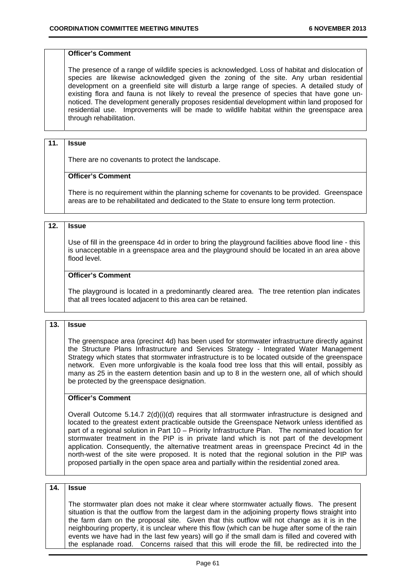#### **Officer's Comment**

The presence of a range of wildlife species is acknowledged. Loss of habitat and dislocation of species are likewise acknowledged given the zoning of the site. Any urban residential development on a greenfield site will disturb a large range of species. A detailed study of existing flora and fauna is not likely to reveal the presence of species that have gone unnoticed. The development generally proposes residential development within land proposed for residential use. Improvements will be made to wildlife habitat within the greenspace area through rehabilitation.

#### **11. Issue**

There are no covenants to protect the landscape.

#### **Officer's Comment**

There is no requirement within the planning scheme for covenants to be provided. Greenspace areas are to be rehabilitated and dedicated to the State to ensure long term protection.

### **12. Issue**

Use of fill in the greenspace 4d in order to bring the playground facilities above flood line - this is unacceptable in a greenspace area and the playground should be located in an area above flood level.

### **Officer's Comment**

The playground is located in a predominantly cleared area. The tree retention plan indicates that all trees located adjacent to this area can be retained.

#### **13. Issue**

The greenspace area (precinct 4d) has been used for stormwater infrastructure directly against the Structure Plans Infrastructure and Services Strategy - Integrated Water Management Strategy which states that stormwater infrastructure is to be located outside of the greenspace network. Even more unforgivable is the koala food tree loss that this will entail, possibly as many as 25 in the eastern detention basin and up to 8 in the western one, all of which should be protected by the greenspace designation.

#### **Officer's Comment**

Overall Outcome  $5.14.7 \ 2(d)(i)(d)$  requires that all stormwater infrastructure is designed and located to the greatest extent practicable outside the Greenspace Network unless identified as part of a regional solution in Part 10 – Priority Infrastructure Plan. The nominated location for stormwater treatment in the PIP is in private land which is not part of the development application. Consequently, the alternative treatment areas in greenspace Precinct 4d in the north-west of the site were proposed. It is noted that the regional solution in the PIP was proposed partially in the open space area and partially within the residential zoned area.

#### **14. Issue**

The stormwater plan does not make it clear where stormwater actually flows. The present situation is that the outflow from the largest dam in the adjoining property flows straight into the farm dam on the proposal site. Given that this outflow will not change as it is in the neighbouring property, it is unclear where this flow (which can be huge after some of the rain events we have had in the last few years) will go if the small dam is filled and covered with the esplanade road. Concerns raised that this will erode the fill, be redirected into the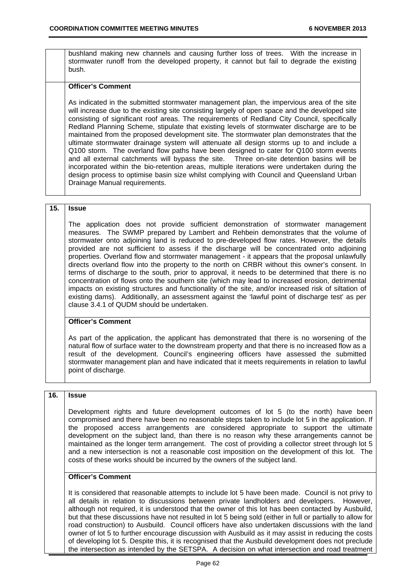bushland making new channels and causing further loss of trees. With the increase in stormwater runoff from the developed property, it cannot but fail to degrade the existing bush.

#### **Officer's Comment**

As indicated in the submitted stormwater management plan, the impervious area of the site will increase due to the existing site consisting largely of open space and the developed site consisting of significant roof areas. The requirements of Redland City Council, specifically Redland Planning Scheme, stipulate that existing levels of stormwater discharge are to be maintained from the proposed development site. The stormwater plan demonstrates that the ultimate stormwater drainage system will attenuate all design storms up to and include a Q100 storm. The overland flow paths have been designed to cater for Q100 storm events and all external catchments will bypass the site. Three on-site detention basins will be incorporated within the bio-retention areas, multiple iterations were undertaken during the design process to optimise basin size whilst complying with Council and Queensland Urban Drainage Manual requirements.

#### **15. Issue**

The application does not provide sufficient demonstration of stormwater management measures. The SWMP prepared by Lambert and Rehbein demonstrates that the volume of stormwater onto adjoining land is reduced to pre-developed flow rates. However, the details provided are not sufficient to assess if the discharge will be concentrated onto adjoining properties. Overland flow and stormwater management - it appears that the proposal unlawfully directs overland flow into the property to the north on CRBR without this owner's consent. In terms of discharge to the south, prior to approval, it needs to be determined that there is no concentration of flows onto the southern site (which may lead to increased erosion, detrimental impacts on existing structures and functionality of the site, and/or increased risk of siltation of existing dams). Additionally, an assessment against the 'lawful point of discharge test' as per clause 3.4.1 of QUDM should be undertaken.

### **Officer's Comment**

As part of the application, the applicant has demonstrated that there is no worsening of the natural flow of surface water to the downstream property and that there is no increased flow as a result of the development. Council's engineering officers have assessed the submitted stormwater management plan and have indicated that it meets requirements in relation to lawful point of discharge.

# **16. Issue**

Development rights and future development outcomes of lot 5 (to the north) have been compromised and there have been no reasonable steps taken to include lot 5 in the application. If the proposed access arrangements are considered appropriate to support the ultimate development on the subject land, than there is no reason why these arrangements cannot be maintained as the longer term arrangement. The cost of providing a collector street through lot 5 and a new intersection is not a reasonable cost imposition on the development of this lot. The costs of these works should be incurred by the owners of the subject land.

### **Officer's Comment**

It is considered that reasonable attempts to include lot 5 have been made. Council is not privy to all details in relation to discussions between private landholders and developers. However, although not required, it is understood that the owner of this lot has been contacted by Ausbuild, but that these discussions have not resulted in lot 5 being sold (either in full or partially to allow for road construction) to Ausbuild. Council officers have also undertaken discussions with the land owner of lot 5 to further encourage discussion with Ausbuild as it may assist in reducing the costs of developing lot 5. Despite this, it is recognised that the Ausbuild development does not preclude the intersection as intended by the SETSPA. A decision on what intersection and road treatment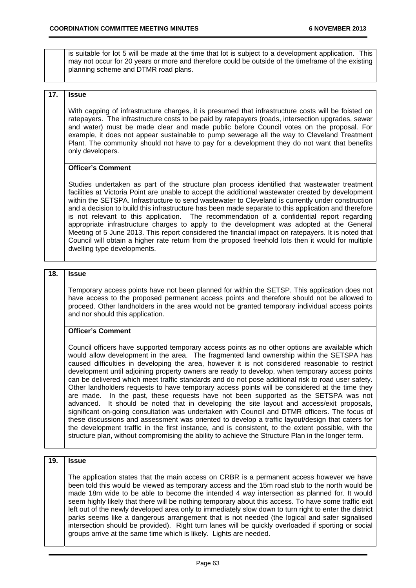is suitable for lot 5 will be made at the time that lot is subject to a development application. This may not occur for 20 years or more and therefore could be outside of the timeframe of the existing planning scheme and DTMR road plans.

### **17. Issue**

With capping of infrastructure charges, it is presumed that infrastructure costs will be foisted on ratepayers. The infrastructure costs to be paid by ratepayers (roads, intersection upgrades, sewer and water) must be made clear and made public before Council votes on the proposal. For example, it does not appear sustainable to pump sewerage all the way to Cleveland Treatment Plant. The community should not have to pay for a development they do not want that benefits only developers.

#### **Officer's Comment**

Studies undertaken as part of the structure plan process identified that wastewater treatment facilities at Victoria Point are unable to accept the additional wastewater created by development within the SETSPA. Infrastructure to send wastewater to Cleveland is currently under construction and a decision to build this infrastructure has been made separate to this application and therefore is not relevant to this application. The recommendation of a confidential report regarding appropriate infrastructure charges to apply to the development was adopted at the General Meeting of 5 June 2013. This report considered the financial impact on ratepayers. It is noted that Council will obtain a higher rate return from the proposed freehold lots then it would for multiple dwelling type developments.

### **18. Issue**

Temporary access points have not been planned for within the SETSP. This application does not have access to the proposed permanent access points and therefore should not be allowed to proceed. Other landholders in the area would not be granted temporary individual access points and nor should this application.

#### **Officer's Comment**

Council officers have supported temporary access points as no other options are available which would allow development in the area. The fragmented land ownership within the SETSPA has caused difficulties in developing the area, however it is not considered reasonable to restrict development until adjoining property owners are ready to develop, when temporary access points can be delivered which meet traffic standards and do not pose additional risk to road user safety. Other landholders requests to have temporary access points will be considered at the time they are made. In the past, these requests have not been supported as the SETSPA was not advanced. It should be noted that in developing the site layout and access/exit proposals, significant on-going consultation was undertaken with Council and DTMR officers. The focus of these discussions and assessment was oriented to develop a traffic layout/design that caters for the development traffic in the first instance, and is consistent, to the extent possible, with the structure plan, without compromising the ability to achieve the Structure Plan in the longer term.

#### **19. Issue**

The application states that the main access on CRBR is a permanent access however we have been told this would be viewed as temporary access and the 15m road stub to the north would be made 18m wide to be able to become the intended 4 way intersection as planned for. It would seem highly likely that there will be nothing temporary about this access. To have some traffic exit left out of the newly developed area only to immediately slow down to turn right to enter the district parks seems like a dangerous arrangement that is not needed (the logical and safer signalised intersection should be provided). Right turn lanes will be quickly overloaded if sporting or social groups arrive at the same time which is likely. Lights are needed.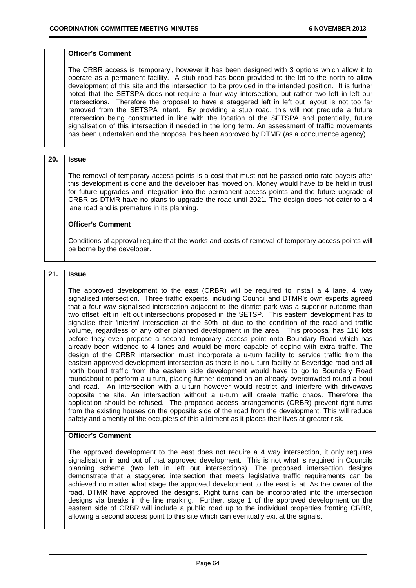#### **Officer's Comment**

The CRBR access is 'temporary', however it has been designed with 3 options which allow it to operate as a permanent facility. A stub road has been provided to the lot to the north to allow development of this site and the intersection to be provided in the intended position. It is further noted that the SETSPA does not require a four way intersection, but rather two left in left our intersections. Therefore the proposal to have a staggered left in left out layout is not too far removed from the SETSPA intent. By providing a stub road, this will not preclude a future intersection being constructed in line with the location of the SETSPA and potentially, future signalisation of this intersection if needed in the long term. An assessment of traffic movements has been undertaken and the proposal has been approved by DTMR (as a concurrence agency).

### **20. Issue**

The removal of temporary access points is a cost that must not be passed onto rate payers after this development is done and the developer has moved on. Money would have to be held in trust for future upgrades and integration into the permanent access points and the future upgrade of CRBR as DTMR have no plans to upgrade the road until 2021. The design does not cater to a 4 lane road and is premature in its planning.

#### **Officer's Comment**

Conditions of approval require that the works and costs of removal of temporary access points will be borne by the developer.

### **21. Issue**

The approved development to the east (CRBR) will be required to install a 4 lane, 4 way signalised intersection. Three traffic experts, including Council and DTMR's own experts agreed that a four way signalised intersection adjacent to the district park was a superior outcome than two offset left in left out intersections proposed in the SETSP. This eastern development has to signalise their 'interim' intersection at the 50th lot due to the condition of the road and traffic volume, regardless of any other planned development in the area. This proposal has 116 lots before they even propose a second 'temporary' access point onto Boundary Road which has already been widened to 4 lanes and would be more capable of coping with extra traffic. The design of the CRBR intersection must incorporate a u-turn facility to service traffic from the eastern approved development intersection as there is no u-turn facility at Beveridge road and all north bound traffic from the eastern side development would have to go to Boundary Road roundabout to perform a u-turn, placing further demand on an already overcrowded round-a-bout and road. An intersection with a u-turn however would restrict and interfere with driveways opposite the site. An intersection without a u-turn will create traffic chaos. Therefore the application should be refused. The proposed access arrangements (CRBR) prevent right turns from the existing houses on the opposite side of the road from the development. This will reduce safety and amenity of the occupiers of this allotment as it places their lives at greater risk.

### **Officer's Comment**

The approved development to the east does not require a 4 way intersection, it only requires signalisation in and out of that approved development. This is not what is required in Councils planning scheme (two left in left out intersections). The proposed intersection designs demonstrate that a staggered intersection that meets legislative traffic requirements can be achieved no matter what stage the approved development to the east is at. As the owner of the road, DTMR have approved the designs. Right turns can be incorporated into the intersection designs via breaks in the line marking. Further, stage 1 of the approved development on the eastern side of CRBR will include a public road up to the individual properties fronting CRBR, allowing a second access point to this site which can eventually exit at the signals.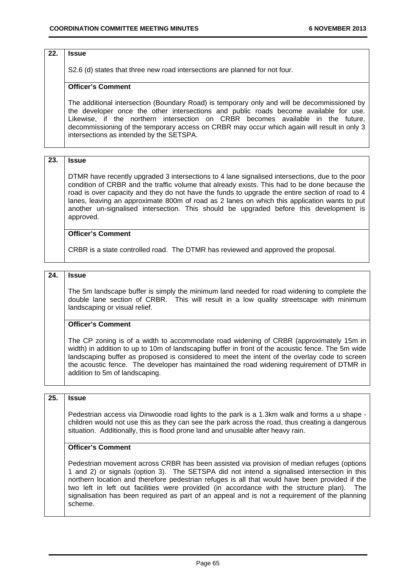#### **22. Issue**

S2.6 (d) states that three new road intersections are planned for not four.

#### **Officer's Comment**

The additional intersection (Boundary Road) is temporary only and will be decommissioned by the developer once the other intersections and public roads become available for use. Likewise, if the northern intersection on CRBR becomes available in the future, decommissioning of the temporary access on CRBR may occur which again will result in only 3 intersections as intended by the SETSPA.

## **23. Issue**

DTMR have recently upgraded 3 intersections to 4 lane signalised intersections, due to the poor condition of CRBR and the traffic volume that already exists. This had to be done because the road is over capacity and they do not have the funds to upgrade the entire section of road to 4 lanes, leaving an approximate 800m of road as 2 lanes on which this application wants to put another un-signalised intersection. This should be upgraded before this development is approved.

### **Officer's Comment**

CRBR is a state controlled road. The DTMR has reviewed and approved the proposal.

#### **24. Issue**

The 5m landscape buffer is simply the minimum land needed for road widening to complete the double lane section of CRBR. This will result in a low quality streetscape with minimum landscaping or visual relief.

### **Officer's Comment**

The CP zoning is of a width to accommodate road widening of CRBR (approximately 15m in width) in addition to up to 10m of landscaping buffer in front of the acoustic fence. The 5m wide landscaping buffer as proposed is considered to meet the intent of the overlay code to screen the acoustic fence. The developer has maintained the road widening requirement of DTMR in addition to 5m of landscaping.

#### **25. Issue**

Pedestrian access via Dinwoodie road lights to the park is a 1.3km walk and forms a u shape children would not use this as they can see the park across the road, thus creating a dangerous situation. Additionally, this is flood prone land and unusable after heavy rain.

### **Officer's Comment**

Pedestrian movement across CRBR has been assisted via provision of median refuges (options 1 and 2) or signals (option 3). The SETSPA did not intend a signalised intersection in this northern location and therefore pedestrian refuges is all that would have been provided if the two left in left out facilities were provided (in accordance with the structure plan). The signalisation has been required as part of an appeal and is not a requirement of the planning scheme.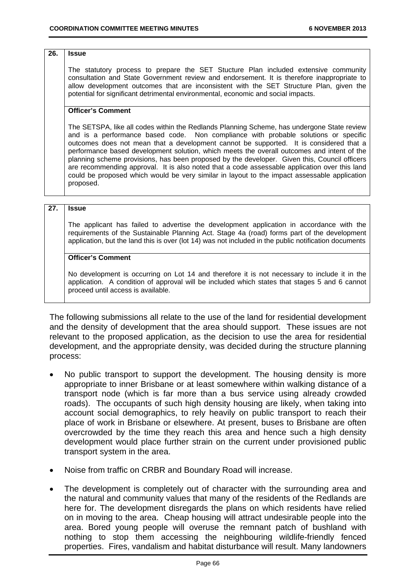#### **26. Issue**

The statutory process to prepare the SET Stucture Plan included extensive community consultation and State Government review and endorsement. It is therefore inappropriate to allow development outcomes that are inconsistent with the SET Structure Plan, given the potential for significant detrimental environmental, economic and social impacts.

### **Officer's Comment**

The SETSPA, like all codes within the Redlands Planning Scheme, has undergone State review and is a performance based code. Non compliance with probable solutions or specific outcomes does not mean that a development cannot be supported. It is considered that a performance based development solution, which meets the overall outcomes and intent of the planning scheme provisions, has been proposed by the developer. Given this, Council officers are recommending approval. It is also noted that a code assessable application over this land could be proposed which would be very similar in layout to the impact assessable application proposed.

#### **27. Issue**

The applicant has failed to advertise the development application in accordance with the requirements of the Sustainable Planning Act. Stage 4a (road) forms part of the development application, but the land this is over (lot 14) was not included in the public notification documents

### **Officer's Comment**

No development is occurring on Lot 14 and therefore it is not necessary to include it in the application. A condition of approval will be included which states that stages 5 and 6 cannot proceed until access is available.

The following submissions all relate to the use of the land for residential development and the density of development that the area should support. These issues are not relevant to the proposed application, as the decision to use the area for residential development, and the appropriate density, was decided during the structure planning process:

- No public transport to support the development. The housing density is more appropriate to inner Brisbane or at least somewhere within walking distance of a transport node (which is far more than a bus service using already crowded roads). The occupants of such high density housing are likely, when taking into account social demographics, to rely heavily on public transport to reach their place of work in Brisbane or elsewhere. At present, buses to Brisbane are often overcrowded by the time they reach this area and hence such a high density development would place further strain on the current under provisioned public transport system in the area.
- Noise from traffic on CRBR and Boundary Road will increase.
- The development is completely out of character with the surrounding area and the natural and community values that many of the residents of the Redlands are here for. The development disregards the plans on which residents have relied on in moving to the area. Cheap housing will attract undesirable people into the area. Bored young people will overuse the remnant patch of bushland with nothing to stop them accessing the neighbouring wildlife-friendly fenced properties. Fires, vandalism and habitat disturbance will result. Many landowners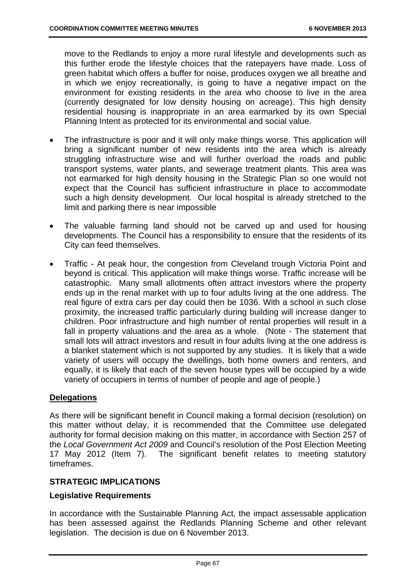move to the Redlands to enjoy a more rural lifestyle and developments such as this further erode the lifestyle choices that the ratepayers have made. Loss of green habitat which offers a buffer for noise, produces oxygen we all breathe and in which we enjoy recreationally, is going to have a negative impact on the environment for existing residents in the area who choose to live in the area (currently designated for low density housing on acreage). This high density residential housing is inappropriate in an area earmarked by its own Special Planning Intent as protected for its environmental and social value.

- The infrastructure is poor and it will only make things worse. This application will bring a significant number of new residents into the area which is already struggling infrastructure wise and will further overload the roads and public transport systems, water plants, and sewerage treatment plants. This area was not earmarked for high density housing in the Strategic Plan so one would not expect that the Council has sufficient infrastructure in place to accommodate such a high density development. Our local hospital is already stretched to the limit and parking there is near impossible
- The valuable farming land should not be carved up and used for housing developments. The Council has a responsibility to ensure that the residents of its City can feed themselves.
- Traffic At peak hour, the congestion from Cleveland trough Victoria Point and beyond is critical. This application will make things worse. Traffic increase will be catastrophic. Many small allotments often attract investors where the property ends up in the renal market with up to four adults living at the one address. The real figure of extra cars per day could then be 1036. With a school in such close proximity, the increased traffic particularly during building will increase danger to children. Poor infrastructure and high number of rental properties will result in a fall in property valuations and the area as a whole. (Note - The statement that small lots will attract investors and result in four adults living at the one address is a blanket statement which is not supported by any studies. It is likely that a wide variety of users will occupy the dwellings, both home owners and renters, and equally, it is likely that each of the seven house types will be occupied by a wide variety of occupiers in terms of number of people and age of people.)

# **Delegations**

As there will be significant benefit in Council making a formal decision (resolution) on this matter without delay, it is recommended that the Committee use delegated authority for formal decision making on this matter, in accordance with Section 257 of the *Local Government Act 2009* and Council's resolution of the Post Election Meeting 17 May 2012 (Item 7). The significant benefit relates to meeting statutory timeframes.

# **STRATEGIC IMPLICATIONS**

## **Legislative Requirements**

In accordance with the Sustainable Planning Act, the impact assessable application has been assessed against the Redlands Planning Scheme and other relevant legislation. The decision is due on 6 November 2013.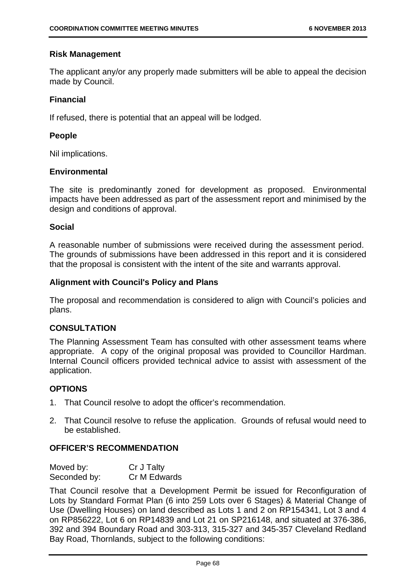## **Risk Management**

The applicant any/or any properly made submitters will be able to appeal the decision made by Council.

## **Financial**

If refused, there is potential that an appeal will be lodged.

## **People**

Nil implications.

## **Environmental**

The site is predominantly zoned for development as proposed. Environmental impacts have been addressed as part of the assessment report and minimised by the design and conditions of approval.

## **Social**

A reasonable number of submissions were received during the assessment period. The grounds of submissions have been addressed in this report and it is considered that the proposal is consistent with the intent of the site and warrants approval.

## **Alignment with Council's Policy and Plans**

The proposal and recommendation is considered to align with Council's policies and plans.

## **CONSULTATION**

The Planning Assessment Team has consulted with other assessment teams where appropriate. A copy of the original proposal was provided to Councillor Hardman. Internal Council officers provided technical advice to assist with assessment of the application.

# **OPTIONS**

- 1. That Council resolve to adopt the officer's recommendation.
- 2. That Council resolve to refuse the application. Grounds of refusal would need to be established.

# **OFFICER'S RECOMMENDATION**

| Moved by:    | Cr J Talty   |
|--------------|--------------|
| Seconded by: | Cr M Edwards |

That Council resolve that a Development Permit be issued for Reconfiguration of Lots by Standard Format Plan (6 into 259 Lots over 6 Stages) & Material Change of Use (Dwelling Houses) on land described as Lots 1 and 2 on RP154341, Lot 3 and 4 on RP856222, Lot 6 on RP14839 and Lot 21 on SP216148, and situated at 376-386, 392 and 394 Boundary Road and 303-313, 315-327 and 345-357 Cleveland Redland Bay Road, Thornlands, subject to the following conditions: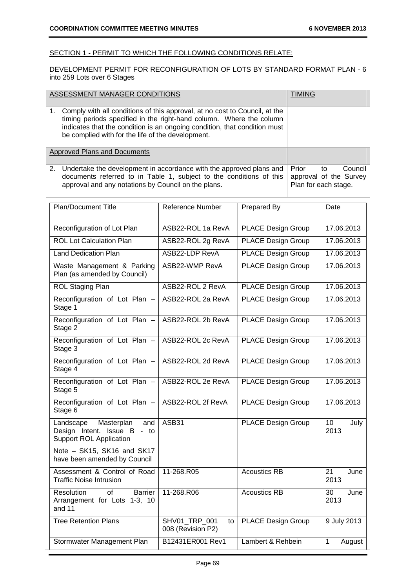### SECTION 1 - PERMIT TO WHICH THE FOLLOWING CONDITIONS RELATE:

DEVELOPMENT PERMIT FOR RECONFIGURATION OF LOTS BY STANDARD FORMAT PLAN - 6 into 259 Lots over 6 Stages

|    | ASSESSMENT MANAGER CONDITIONS                                                                                                                                                                                                                                                       | TIMING                                                  |    |         |
|----|-------------------------------------------------------------------------------------------------------------------------------------------------------------------------------------------------------------------------------------------------------------------------------------|---------------------------------------------------------|----|---------|
| 1. | Comply with all conditions of this approval, at no cost to Council, at the<br>timing periods specified in the right-hand column. Where the column<br>indicates that the condition is an ongoing condition, that condition must<br>be complied with for the life of the development. |                                                         |    |         |
|    | Approved Plans and Documents                                                                                                                                                                                                                                                        |                                                         |    |         |
|    | 2. Undertake the development in accordance with the approved plans and<br>documents referred to in Table 1, subject to the conditions of this<br>approval and any notations by Council on the plans.                                                                                | Prior<br>approval of the Survey<br>Plan for each stage. | to | Council |

| <b>Plan/Document Title</b>                                                                      | Reference Number                                | Prepared By               | Date                   |  |
|-------------------------------------------------------------------------------------------------|-------------------------------------------------|---------------------------|------------------------|--|
| Reconfiguration of Lot Plan                                                                     | ASB22-ROL 1a RevA                               | <b>PLACE Design Group</b> | 17.06.2013             |  |
| <b>ROL Lot Calculation Plan</b>                                                                 | ASB22-ROL 2g RevA                               | <b>PLACE Design Group</b> | 17.06.2013             |  |
| <b>Land Dedication Plan</b>                                                                     | ASB22-LDP RevA                                  | <b>PLACE Design Group</b> | 17.06.2013             |  |
| Waste Management & Parking<br>Plan (as amended by Council)                                      | ASB22-WMP RevA                                  | <b>PLACE Design Group</b> | 17.06.2013             |  |
| <b>ROL Staging Plan</b>                                                                         | ASB22-ROL 2 RevA                                | <b>PLACE Design Group</b> | 17.06.2013             |  |
| Reconfiguration of Lot Plan -<br>Stage 1                                                        | ASB22-ROL 2a RevA                               | <b>PLACE Design Group</b> | 17.06.2013             |  |
| Reconfiguration of Lot Plan -<br>Stage 2                                                        | ASB22-ROL 2b RevA                               | <b>PLACE Design Group</b> | 17.06.2013             |  |
| Reconfiguration of Lot Plan -<br>Stage 3                                                        | ASB22-ROL 2c RevA                               | <b>PLACE Design Group</b> | 17.06.2013             |  |
| Reconfiguration of Lot Plan -<br>Stage 4                                                        | ASB22-ROL 2d RevA                               | <b>PLACE Design Group</b> | 17.06.2013             |  |
| Reconfiguration of Lot Plan -<br>Stage 5                                                        | ASB22-ROL 2e RevA                               | <b>PLACE Design Group</b> | 17.06.2013             |  |
| Reconfiguration of Lot Plan -<br>Stage 6                                                        | ASB22-ROL 2f RevA                               | <b>PLACE Design Group</b> | 17.06.2013             |  |
| Masterplan<br>Landscape<br>and<br>Design Intent. Issue B - to<br><b>Support ROL Application</b> | ASB31                                           | <b>PLACE Design Group</b> | 10<br>July<br>2013     |  |
| Note - SK15, SK16 and SK17<br>have been amended by Council                                      |                                                 |                           |                        |  |
| Assessment & Control of Road<br><b>Traffic Noise Intrusion</b>                                  | 11-268.R05                                      | <b>Acoustics RB</b>       | 21<br>June<br>2013     |  |
| Resolution<br>Ωf<br><b>Barrier</b><br>Arrangement for Lots 1-3, 10<br>and 11                    | 11-268.R06                                      | <b>Acoustics RB</b>       | 30<br>June<br>2013     |  |
| <b>Tree Retention Plans</b>                                                                     | <b>SHV01 TRP 001</b><br>to<br>008 (Revision P2) | <b>PLACE Design Group</b> | 9 July 2013            |  |
| Stormwater Management Plan                                                                      | B12431ER001 Rev1                                | Lambert & Rehbein         | $\mathbf{1}$<br>August |  |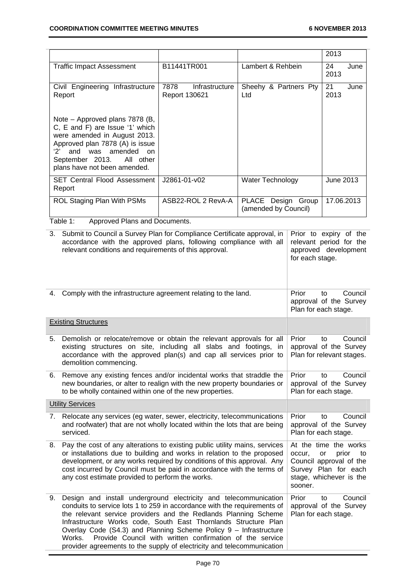|                                                                                                                                                                                                                                         |                                         |                                            | 2013               |
|-----------------------------------------------------------------------------------------------------------------------------------------------------------------------------------------------------------------------------------------|-----------------------------------------|--------------------------------------------|--------------------|
| <b>Traffic Impact Assessment</b>                                                                                                                                                                                                        | B11441TR001                             | Lambert & Rehbein                          | 24<br>June<br>2013 |
| Civil Engineering Infrastructure<br>Report                                                                                                                                                                                              | 7878<br>Infrastructure<br>Report 130621 | Sheehy & Partners Pty<br>Ltd               | 21<br>June<br>2013 |
| Note – Approved plans 7878 (B,<br>C, E and F) are Issue '1' which<br>were amended in August 2013.<br>Approved plan 7878 (A) is issue<br>and was amended on<br>$2^{\prime}$<br>September 2013. All other<br>plans have not been amended. |                                         |                                            |                    |
| <b>SET Central Flood Assessment</b><br>Report                                                                                                                                                                                           | J2861-01-v02                            | Water Technology                           | June 2013          |
| ROL Staging Plan With PSMs                                                                                                                                                                                                              | ASB22-ROL 2 RevA-A                      | PLACE Design Group<br>(amended by Council) | 17.06.2013         |
| Table 1:<br>Approved Plans and Documents.                                                                                                                                                                                               |                                         |                                            |                    |
| Cubmit to Council o Curvoy Dlan for Compliance Cortificate approval in Drior, to ovain of the<br>$\sim$                                                                                                                                 |                                         |                                            |                    |

3. Submit to Council a Survey Plan for Compliance Certificate approval, in accordance with the approved plans, following compliance with all relevant conditions and requirements of this approval. Prior to expiry of the relevant period for the approved development for each stage.

| 4. | Comply with the infrastructure agreement relating to the land.                                                                                                                                                                                                                                                                                                                                                                                                                                          | Prior<br>Council<br>to<br>approval of the Survey<br>Plan for each stage.                                                                      |
|----|---------------------------------------------------------------------------------------------------------------------------------------------------------------------------------------------------------------------------------------------------------------------------------------------------------------------------------------------------------------------------------------------------------------------------------------------------------------------------------------------------------|-----------------------------------------------------------------------------------------------------------------------------------------------|
|    | <b>Existing Structures</b>                                                                                                                                                                                                                                                                                                                                                                                                                                                                              |                                                                                                                                               |
|    | 5. Demolish or relocate/remove or obtain the relevant approvals for all<br>existing structures on site, including all slabs and footings, in<br>accordance with the approved plan(s) and cap all services prior to<br>demolition commencing.                                                                                                                                                                                                                                                            | Council<br>Prior<br>to<br>approval of the Survey<br>Plan for relevant stages.                                                                 |
|    | 6. Remove any existing fences and/or incidental works that straddle the<br>new boundaries, or alter to realign with the new property boundaries or<br>to be wholly contained within one of the new properties.                                                                                                                                                                                                                                                                                          | Prior<br>Council<br>to<br>approval of the Survey<br>Plan for each stage.                                                                      |
|    | <b>Utility Services</b>                                                                                                                                                                                                                                                                                                                                                                                                                                                                                 |                                                                                                                                               |
|    | 7. Relocate any services (eg water, sewer, electricity, telecommunications<br>and roofwater) that are not wholly located within the lots that are being<br>serviced.                                                                                                                                                                                                                                                                                                                                    | Prior<br>Council<br>to<br>approval of the Survey<br>Plan for each stage.                                                                      |
| 8. | Pay the cost of any alterations to existing public utility mains, services<br>or installations due to building and works in relation to the proposed<br>development, or any works required by conditions of this approval. Any<br>cost incurred by Council must be paid in accordance with the terms of<br>any cost estimate provided to perform the works.                                                                                                                                             | At the time the works<br>occur.<br>prior<br>or<br>to<br>Council approval of the<br>Survey Plan for each<br>stage, whichever is the<br>sooner. |
| 9. | Design and install underground electricity and telecommunication<br>conduits to service lots 1 to 259 in accordance with the requirements of<br>the relevant service providers and the Redlands Planning Scheme<br>Infrastructure Works code, South East Thornlands Structure Plan<br>Overlay Code (S4.3) and Planning Scheme Policy 9 - Infrastructure<br>Provide Council with written confirmation of the service<br>Works.<br>provider agreements to the supply of electricity and telecommunication | Prior<br>Council<br>to<br>approval of the Survey<br>Plan for each stage.                                                                      |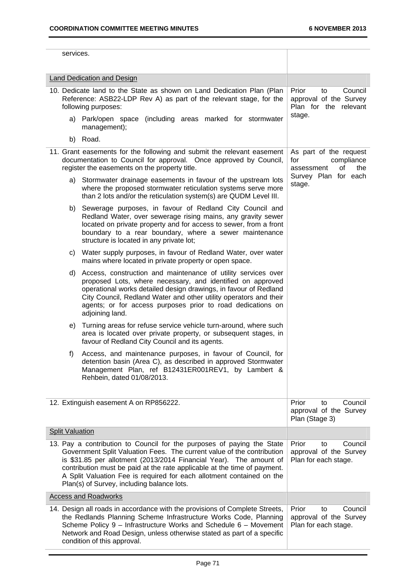| services.                                                                                                                                                                                                                                                                                                                                                                                                                                                                                             |                                                                                                                                                                                                                                                                                                                                                        |                                                                                                |  |  |  |  |
|-------------------------------------------------------------------------------------------------------------------------------------------------------------------------------------------------------------------------------------------------------------------------------------------------------------------------------------------------------------------------------------------------------------------------------------------------------------------------------------------------------|--------------------------------------------------------------------------------------------------------------------------------------------------------------------------------------------------------------------------------------------------------------------------------------------------------------------------------------------------------|------------------------------------------------------------------------------------------------|--|--|--|--|
|                                                                                                                                                                                                                                                                                                                                                                                                                                                                                                       | <b>Land Dedication and Design</b>                                                                                                                                                                                                                                                                                                                      |                                                                                                |  |  |  |  |
| 10. Dedicate land to the State as shown on Land Dedication Plan (Plan<br>Reference: ASB22-LDP Rev A) as part of the relevant stage, for the<br>following purposes:                                                                                                                                                                                                                                                                                                                                    |                                                                                                                                                                                                                                                                                                                                                        | Prior<br>Council<br>to<br>approval of the Survey<br>Plan for the relevant                      |  |  |  |  |
|                                                                                                                                                                                                                                                                                                                                                                                                                                                                                                       | a) Park/open space (including areas marked for stormwater<br>management);                                                                                                                                                                                                                                                                              | stage.                                                                                         |  |  |  |  |
| b)                                                                                                                                                                                                                                                                                                                                                                                                                                                                                                    | Road.                                                                                                                                                                                                                                                                                                                                                  |                                                                                                |  |  |  |  |
|                                                                                                                                                                                                                                                                                                                                                                                                                                                                                                       | 11. Grant easements for the following and submit the relevant easement<br>documentation to Council for approval. Once approved by Council,<br>register the easements on the property title.                                                                                                                                                            | As part of the request<br>for<br>compliance<br>οf<br>the<br>assessment<br>Survey Plan for each |  |  |  |  |
| a)                                                                                                                                                                                                                                                                                                                                                                                                                                                                                                    | Stormwater drainage easements in favour of the upstream lots<br>where the proposed stormwater reticulation systems serve more<br>than 2 lots and/or the reticulation system(s) are QUDM Level III.                                                                                                                                                     | stage.                                                                                         |  |  |  |  |
| b)                                                                                                                                                                                                                                                                                                                                                                                                                                                                                                    | Sewerage purposes, in favour of Redland City Council and<br>Redland Water, over sewerage rising mains, any gravity sewer<br>located on private property and for access to sewer, from a front<br>boundary to a rear boundary, where a sewer maintenance<br>structure is located in any private lot;                                                    |                                                                                                |  |  |  |  |
| C)                                                                                                                                                                                                                                                                                                                                                                                                                                                                                                    | Water supply purposes, in favour of Redland Water, over water<br>mains where located in private property or open space.                                                                                                                                                                                                                                |                                                                                                |  |  |  |  |
| d)                                                                                                                                                                                                                                                                                                                                                                                                                                                                                                    | Access, construction and maintenance of utility services over<br>proposed Lots, where necessary, and identified on approved<br>operational works detailed design drawings, in favour of Redland<br>City Council, Redland Water and other utility operators and their<br>agents; or for access purposes prior to road dedications on<br>adjoining land. |                                                                                                |  |  |  |  |
| e)                                                                                                                                                                                                                                                                                                                                                                                                                                                                                                    | Turning areas for refuse service vehicle turn-around, where such<br>area is located over private property, or subsequent stages, in<br>favour of Redland City Council and its agents.                                                                                                                                                                  |                                                                                                |  |  |  |  |
| f)                                                                                                                                                                                                                                                                                                                                                                                                                                                                                                    | Access, and maintenance purposes, in favour of Council, for<br>detention basin (Area C), as described in approved Stormwater<br>Management Plan, ref B12431ER001REV1, by Lambert &<br>Rehbein, dated 01/08/2013.                                                                                                                                       |                                                                                                |  |  |  |  |
|                                                                                                                                                                                                                                                                                                                                                                                                                                                                                                       | 12. Extinguish easement A on RP856222.                                                                                                                                                                                                                                                                                                                 | Prior<br>Council<br>to<br>approval of the Survey<br>Plan (Stage 3)                             |  |  |  |  |
| <b>Split Valuation</b>                                                                                                                                                                                                                                                                                                                                                                                                                                                                                |                                                                                                                                                                                                                                                                                                                                                        |                                                                                                |  |  |  |  |
| 13. Pay a contribution to Council for the purposes of paying the State<br>Prior<br>Council<br>to<br>Government Split Valuation Fees. The current value of the contribution<br>approval of the Survey<br>is \$31.85 per allotment (2013/2014 Financial Year). The amount of<br>Plan for each stage.<br>contribution must be paid at the rate applicable at the time of payment.<br>A Split Valuation Fee is required for each allotment contained on the<br>Plan(s) of Survey, including balance lots. |                                                                                                                                                                                                                                                                                                                                                        |                                                                                                |  |  |  |  |
|                                                                                                                                                                                                                                                                                                                                                                                                                                                                                                       | <b>Access and Roadworks</b>                                                                                                                                                                                                                                                                                                                            |                                                                                                |  |  |  |  |
|                                                                                                                                                                                                                                                                                                                                                                                                                                                                                                       | 14. Design all roads in accordance with the provisions of Complete Streets,<br>the Redlands Planning Scheme Infrastructure Works Code, Planning<br>Scheme Policy 9 - Infrastructure Works and Schedule 6 - Movement<br>Network and Road Design, unless otherwise stated as part of a specific<br>condition of this approval.                           | Prior<br>Council<br>to<br>approval of the Survey<br>Plan for each stage.                       |  |  |  |  |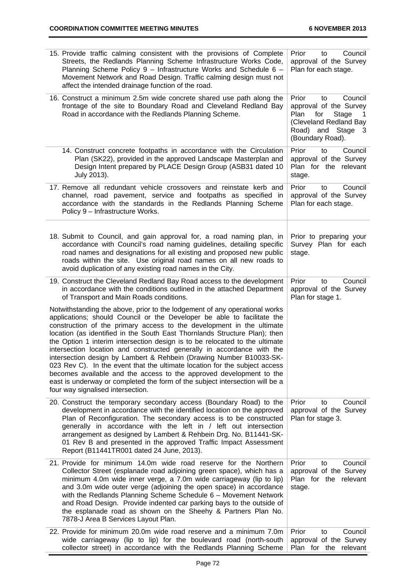| 15. Provide traffic calming consistent with the provisions of Complete<br>Streets, the Redlands Planning Scheme Infrastructure Works Code,<br>Planning Scheme Policy 9 - Infrastructure Works and Schedule 6 -<br>Movement Network and Road Design. Traffic calming design must not<br>affect the intended drainage function of the road.                                                                                                                                                                                                                                                                                                                                                                                                                                                                              | Prior<br>Council<br>to<br>approval of the Survey<br>Plan for each stage.                                                                            |
|------------------------------------------------------------------------------------------------------------------------------------------------------------------------------------------------------------------------------------------------------------------------------------------------------------------------------------------------------------------------------------------------------------------------------------------------------------------------------------------------------------------------------------------------------------------------------------------------------------------------------------------------------------------------------------------------------------------------------------------------------------------------------------------------------------------------|-----------------------------------------------------------------------------------------------------------------------------------------------------|
| 16. Construct a minimum 2.5m wide concrete shared use path along the<br>frontage of the site to Boundary Road and Cleveland Redland Bay<br>Road in accordance with the Redlands Planning Scheme.                                                                                                                                                                                                                                                                                                                                                                                                                                                                                                                                                                                                                       | Prior<br>Council<br>to<br>approval of the Survey<br>Plan<br>for<br>Stage<br>1<br>(Cleveland Redland Bay<br>Road)<br>and Stage 3<br>(Boundary Road). |
| 14. Construct concrete footpaths in accordance with the Circulation<br>Plan (SK22), provided in the approved Landscape Masterplan and<br>Design Intent prepared by PLACE Design Group (ASB31 dated 10<br>July 2013).                                                                                                                                                                                                                                                                                                                                                                                                                                                                                                                                                                                                   | Prior<br>Council<br>to<br>approval of the Survey<br>Plan for the relevant<br>stage.                                                                 |
| 17. Remove all redundant vehicle crossovers and reinstate kerb and<br>channel, road pavement, service and footpaths as specified in<br>accordance with the standards in the Redlands Planning Scheme<br>Policy 9 - Infrastructure Works.                                                                                                                                                                                                                                                                                                                                                                                                                                                                                                                                                                               | Prior<br>Council<br>to<br>approval of the Survey<br>Plan for each stage.                                                                            |
| 18. Submit to Council, and gain approval for, a road naming plan, in<br>accordance with Council's road naming guidelines, detailing specific<br>road names and designations for all existing and proposed new public<br>roads within the site. Use original road names on all new roads to<br>avoid duplication of any existing road names in the City.                                                                                                                                                                                                                                                                                                                                                                                                                                                                | Prior to preparing your<br>Survey Plan for each<br>stage.                                                                                           |
| 19. Construct the Cleveland Redland Bay Road access to the development<br>in accordance with the conditions outlined in the attached Department<br>of Transport and Main Roads conditions.                                                                                                                                                                                                                                                                                                                                                                                                                                                                                                                                                                                                                             | Council<br>Prior<br>to<br>approval of the Survey<br>Plan for stage 1.                                                                               |
| Notwithstanding the above, prior to the lodgement of any operational works<br>applications; should Council or the Developer be able to facilitate the<br>construction of the primary access to the development in the ultimate<br>location (as identified in the South East Thornlands Structure Plan); then<br>the Option 1 interim intersection design is to be relocated to the ultimate<br>intersection location and constructed generally in accordance with the<br>intersection design by Lambert & Rehbein (Drawing Number B10033-SK-<br>023 Rev C). In the event that the ultimate location for the subject access<br>becomes available and the access to the approved development to the<br>east is underway or completed the form of the subject intersection will be a<br>four way signalised intersection. |                                                                                                                                                     |
| 20. Construct the temporary secondary access (Boundary Road) to the<br>development in accordance with the identified location on the approved<br>Plan of Reconfiguration. The secondary access is to be constructed<br>generally in accordance with the left in / left out intersection<br>arrangement as designed by Lambert & Rehbein Drg. No. B11441-SK-<br>01 Rev B and presented in the approved Traffic Impact Assessment<br>Report (B11441TR001 dated 24 June, 2013).                                                                                                                                                                                                                                                                                                                                           | Prior<br>Council<br>to<br>approval of the Survey<br>Plan for stage 3.                                                                               |
| 21. Provide for minimum 14.0m wide road reserve for the Northern<br>Collector Street (esplanade road adjoining green space), which has a<br>minimum 4.0m wide inner verge, a 7.0m wide carriageway (lip to lip)<br>and 3.0m wide outer verge (adjoining the open space) in accordance<br>with the Redlands Planning Scheme Schedule 6 - Movement Network<br>and Road Design. Provide indented car parking bays to the outside of<br>the esplanade road as shown on the Sheehy & Partners Plan No.<br>7878-J Area B Services Layout Plan.                                                                                                                                                                                                                                                                               | Prior<br>Council<br>to<br>approval of the Survey<br>Plan for the relevant<br>stage.                                                                 |
| 22. Provide for minimum 20.0m wide road reserve and a minimum 7.0m<br>wide carriageway (lip to lip) for the boulevard road (north-south<br>collector street) in accordance with the Redlands Planning Scheme                                                                                                                                                                                                                                                                                                                                                                                                                                                                                                                                                                                                           | Prior<br>Council<br>to<br>approval of the Survey<br>Plan for the relevant                                                                           |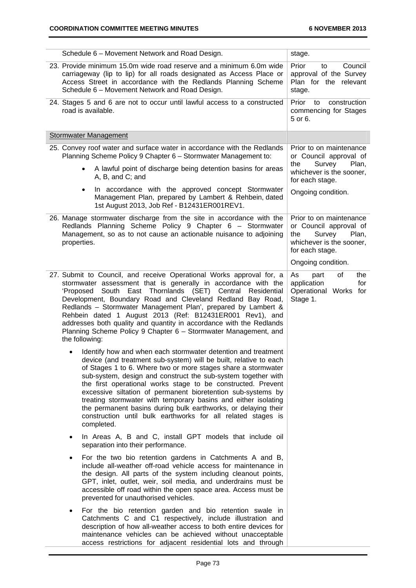j.

| Schedule 6 - Movement Network and Road Design.                                                                                                                                                                                                                                                                                                                                                                                                                                                                                                                                                                         | stage.                                                                                                                     |
|------------------------------------------------------------------------------------------------------------------------------------------------------------------------------------------------------------------------------------------------------------------------------------------------------------------------------------------------------------------------------------------------------------------------------------------------------------------------------------------------------------------------------------------------------------------------------------------------------------------------|----------------------------------------------------------------------------------------------------------------------------|
| 23. Provide minimum 15.0m wide road reserve and a minimum 6.0m wide<br>carriageway (lip to lip) for all roads designated as Access Place or<br>Access Street in accordance with the Redlands Planning Scheme<br>Schedule 6 - Movement Network and Road Design.                                                                                                                                                                                                                                                                                                                                                         | Prior<br>Council<br>to<br>approval of the Survey<br>Plan for the relevant<br>stage.                                        |
| 24. Stages 5 and 6 are not to occur until lawful access to a constructed<br>road is available.                                                                                                                                                                                                                                                                                                                                                                                                                                                                                                                         | Prior<br>construction<br>to<br>commencing for Stages<br>5 or 6.                                                            |
| <b>Stormwater Management</b>                                                                                                                                                                                                                                                                                                                                                                                                                                                                                                                                                                                           |                                                                                                                            |
| 25. Convey roof water and surface water in accordance with the Redlands<br>Planning Scheme Policy 9 Chapter 6 - Stormwater Management to:                                                                                                                                                                                                                                                                                                                                                                                                                                                                              | Prior to on maintenance<br>or Council approval of<br>Plan,<br>the                                                          |
| A lawful point of discharge being detention basins for areas<br>A, B, and C; and                                                                                                                                                                                                                                                                                                                                                                                                                                                                                                                                       | Survey<br>whichever is the sooner,<br>for each stage.                                                                      |
| In accordance with the approved concept Stormwater<br>Management Plan, prepared by Lambert & Rehbein, dated<br>1st August 2013, Job Ref - B12431ER001REV1.                                                                                                                                                                                                                                                                                                                                                                                                                                                             | Ongoing condition.                                                                                                         |
| 26. Manage stormwater discharge from the site in accordance with the<br>Redlands Planning Scheme Policy 9 Chapter 6 - Stormwater<br>Management, so as to not cause an actionable nuisance to adjoining<br>properties.                                                                                                                                                                                                                                                                                                                                                                                                  | Prior to on maintenance<br>or Council approval of<br>the<br>Survey<br>Plan,<br>whichever is the sooner,<br>for each stage. |
|                                                                                                                                                                                                                                                                                                                                                                                                                                                                                                                                                                                                                        | Ongoing condition.                                                                                                         |
| 27. Submit to Council, and receive Operational Works approval for, a<br>stormwater assessment that is generally in accordance with the<br>'Proposed<br>East Thornlands (SET)<br>Central<br>South<br>Residential<br>Development, Boundary Road and Cleveland Redland Bay Road,<br>Redlands - Stormwater Management Plan', prepared by Lambert &<br>Rehbein dated 1 August 2013 (Ref: B12431ER001 Rev1), and<br>addresses both quality and quantity in accordance with the Redlands<br>Planning Scheme Policy 9 Chapter 6 - Stormwater Management, and<br>the following:                                                 | of<br>the<br>As<br>part<br>application<br>for<br>Operational Works for<br>Stage 1.                                         |
| Identify how and when each stormwater detention and treatment<br>device (and treatment sub-system) will be built, relative to each<br>of Stages 1 to 6. Where two or more stages share a stormwater<br>sub-system, design and construct the sub-system together with<br>the first operational works stage to be constructed. Prevent<br>excessive siltation of permanent bioretention sub-systems by<br>treating stormwater with temporary basins and either isolating<br>the permanent basins during bulk earthworks, or delaying their<br>construction until bulk earthworks for all related stages is<br>completed. |                                                                                                                            |
| In Areas A, B and C, install GPT models that include oil<br>٠<br>separation into their performance.                                                                                                                                                                                                                                                                                                                                                                                                                                                                                                                    |                                                                                                                            |
| For the two bio retention gardens in Catchments A and B,<br>include all-weather off-road vehicle access for maintenance in<br>the design. All parts of the system including cleanout points,<br>GPT, inlet, outlet, weir, soil media, and underdrains must be<br>accessible off road within the open space area. Access must be<br>prevented for unauthorised vehicles.                                                                                                                                                                                                                                                |                                                                                                                            |
| For the bio retention garden and bio retention swale in<br>$\bullet$<br>Catchments C and C1 respectively, include illustration and<br>description of how all-weather access to both entire devices for<br>maintenance vehicles can be achieved without unacceptable<br>access restrictions for adjacent residential lots and through                                                                                                                                                                                                                                                                                   |                                                                                                                            |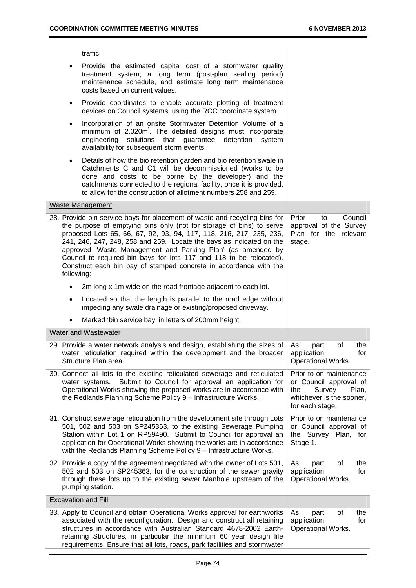$\overline{a}$ 

|           | traffic.                                                                                                                                                                                                                                                                                                                                                                                                                                                                                                                   |                                                                                                                            |
|-----------|----------------------------------------------------------------------------------------------------------------------------------------------------------------------------------------------------------------------------------------------------------------------------------------------------------------------------------------------------------------------------------------------------------------------------------------------------------------------------------------------------------------------------|----------------------------------------------------------------------------------------------------------------------------|
| ٠         | Provide the estimated capital cost of a stormwater quality<br>treatment system, a long term (post-plan sealing period)<br>maintenance schedule, and estimate long term maintenance<br>costs based on current values.                                                                                                                                                                                                                                                                                                       |                                                                                                                            |
| $\bullet$ | Provide coordinates to enable accurate plotting of treatment<br>devices on Council systems, using the RCC coordinate system.                                                                                                                                                                                                                                                                                                                                                                                               |                                                                                                                            |
| $\bullet$ | Incorporation of an onsite Stormwater Detention Volume of a<br>minimum of 2,020m <sup>3</sup> . The detailed designs must incorporate<br>engineering solutions that guarantee<br>detention<br>system<br>availability for subsequent storm events.                                                                                                                                                                                                                                                                          |                                                                                                                            |
| $\bullet$ | Details of how the bio retention garden and bio retention swale in<br>Catchments C and C1 will be decommissioned (works to be<br>done and costs to be borne by the developer) and the<br>catchments connected to the regional facility, once it is provided,<br>to allow for the construction of allotment numbers 258 and 259.                                                                                                                                                                                            |                                                                                                                            |
|           | Waste Management                                                                                                                                                                                                                                                                                                                                                                                                                                                                                                           |                                                                                                                            |
|           | 28. Provide bin service bays for placement of waste and recycling bins for<br>the purpose of emptying bins only (not for storage of bins) to serve<br>proposed Lots 65, 66, 67, 92, 93, 94, 117, 118, 216, 217, 235, 236,<br>241, 246, 247, 248, 258 and 259. Locate the bays as indicated on the<br>approved 'Waste Management and Parking Plan' (as amended by<br>Council to required bin bays for lots 117 and 118 to be relocated).<br>Construct each bin bay of stamped concrete in accordance with the<br>following: | Prior<br>Council<br>to<br>approval of the Survey<br>Plan for the relevant<br>stage.                                        |
|           | 2m long x 1m wide on the road frontage adjacent to each lot.                                                                                                                                                                                                                                                                                                                                                                                                                                                               |                                                                                                                            |
| $\bullet$ | Located so that the length is parallel to the road edge without<br>impeding any swale drainage or existing/proposed driveway.                                                                                                                                                                                                                                                                                                                                                                                              |                                                                                                                            |
|           | Marked 'bin service bay' in letters of 200mm height.                                                                                                                                                                                                                                                                                                                                                                                                                                                                       |                                                                                                                            |
|           | Water and Wastewater                                                                                                                                                                                                                                                                                                                                                                                                                                                                                                       |                                                                                                                            |
|           | 29. Provide a water network analysis and design, establishing the sizes of<br>water reticulation required within the development and the broader<br>Structure Plan area.                                                                                                                                                                                                                                                                                                                                                   | the<br>As<br>οf<br>part<br>application<br>for<br><b>Operational Works</b>                                                  |
|           | 30. Connect all lots to the existing reticulated sewerage and reticulated<br>Submit to Council for approval an application for<br>water systems.<br>Operational Works showing the proposed works are in accordance with<br>the Redlands Planning Scheme Policy 9 - Infrastructure Works.                                                                                                                                                                                                                                   | Prior to on maintenance<br>or Council approval of<br>Survey<br>Plan,<br>the<br>whichever is the sooner,<br>for each stage. |
|           | 31. Construct sewerage reticulation from the development site through Lots<br>501, 502 and 503 on SP245363, to the existing Sewerage Pumping<br>Station within Lot 1 on RP59490. Submit to Council for approval an<br>application for Operational Works showing the works are in accordance<br>with the Redlands Planning Scheme Policy 9 - Infrastructure Works.                                                                                                                                                          | Prior to on maintenance<br>or Council approval of<br>the Survey Plan, for<br>Stage 1.                                      |
|           | 32. Provide a copy of the agreement negotiated with the owner of Lots 501,<br>502 and 503 on SP245363, for the construction of the sewer gravity<br>through these lots up to the existing sewer Manhole upstream of the<br>pumping station.                                                                                                                                                                                                                                                                                | As<br>οf<br>the<br>part<br>application<br>for<br><b>Operational Works.</b>                                                 |
|           | <b>Excavation and Fill</b>                                                                                                                                                                                                                                                                                                                                                                                                                                                                                                 |                                                                                                                            |
|           | 33. Apply to Council and obtain Operational Works approval for earthworks<br>associated with the reconfiguration. Design and construct all retaining<br>structures in accordance with Australian Standard 4678-2002 Earth-<br>retaining Structures, in particular the minimum 60 year design life<br>requirements. Ensure that all lots, roads, park facilities and stormwater                                                                                                                                             | the<br>As<br>part<br>οf<br>application<br>for<br>Operational Works.                                                        |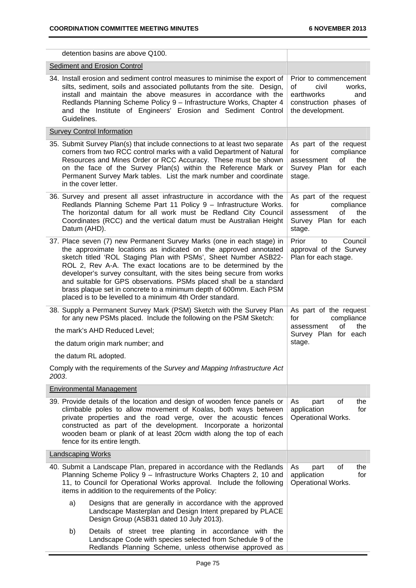|                                                                                                                                                                            | detention basins are above Q100.                                                                                                                                                                                                                                                                                                                                                                                                                                                                                                                                  |                                                                                                                   |  |
|----------------------------------------------------------------------------------------------------------------------------------------------------------------------------|-------------------------------------------------------------------------------------------------------------------------------------------------------------------------------------------------------------------------------------------------------------------------------------------------------------------------------------------------------------------------------------------------------------------------------------------------------------------------------------------------------------------------------------------------------------------|-------------------------------------------------------------------------------------------------------------------|--|
|                                                                                                                                                                            | Sediment and Erosion Control                                                                                                                                                                                                                                                                                                                                                                                                                                                                                                                                      |                                                                                                                   |  |
| Guidelines.                                                                                                                                                                | 34. Install erosion and sediment control measures to minimise the export of<br>silts, sediment, soils and associated pollutants from the site. Design,<br>install and maintain the above measures in accordance with the<br>Redlands Planning Scheme Policy 9 - Infrastructure Works, Chapter 4<br>and the Institute of Engineers' Erosion and Sediment Control                                                                                                                                                                                                   | Prior to commencement<br>of<br>civil<br>works.<br>earthworks<br>and<br>construction phases of<br>the development. |  |
|                                                                                                                                                                            | <b>Survey Control Information</b>                                                                                                                                                                                                                                                                                                                                                                                                                                                                                                                                 |                                                                                                                   |  |
|                                                                                                                                                                            | 35. Submit Survey Plan(s) that include connections to at least two separate<br>corners from two RCC control marks with a valid Department of Natural<br>Resources and Mines Order or RCC Accuracy. These must be shown<br>on the face of the Survey Plan(s) within the Reference Mark or<br>Permanent Survey Mark tables. List the mark number and coordinate<br>in the cover letter.                                                                                                                                                                             | As part of the request<br>compliance<br>for<br>0f<br>the<br>assessment<br>Survey Plan for each<br>stage.          |  |
| Datum (AHD).                                                                                                                                                               | 36. Survey and present all asset infrastructure in accordance with the<br>Redlands Planning Scheme Part 11 Policy 9 - Infrastructure Works.<br>The horizontal datum for all work must be Redland City Council<br>Coordinates (RCC) and the vertical datum must be Australian Height                                                                                                                                                                                                                                                                               | As part of the request<br>compliance<br>for<br>of<br>the<br>assessment<br>Survey Plan for each<br>stage.          |  |
|                                                                                                                                                                            | 37. Place seven (7) new Permanent Survey Marks (one in each stage) in<br>the approximate locations as indicated on the approved annotated<br>sketch titled 'ROL Staging Plan with PSMs', Sheet Number ASB22-<br>ROL 2, Rev A-A. The exact locations are to be determined by the<br>developer's survey consultant, with the sites being secure from works<br>and suitable for GPS observations. PSMs placed shall be a standard<br>brass plaque set in concrete to a minimum depth of 600mm. Each PSM<br>placed is to be levelled to a minimum 4th Order standard. | Prior<br>Council<br>to<br>approval of the Survey<br>Plan for each stage.                                          |  |
| 38. Supply a Permanent Survey Mark (PSM) Sketch with the Survey Plan<br>for any new PSMs placed. Include the following on the PSM Sketch:<br>the mark's AHD Reduced Level; |                                                                                                                                                                                                                                                                                                                                                                                                                                                                                                                                                                   | As part of the request<br>compliance<br>for<br>of<br>the<br>assessment<br>Survey Plan for each                    |  |
|                                                                                                                                                                            | the datum origin mark number; and                                                                                                                                                                                                                                                                                                                                                                                                                                                                                                                                 | stage.                                                                                                            |  |
|                                                                                                                                                                            | the datum RL adopted.                                                                                                                                                                                                                                                                                                                                                                                                                                                                                                                                             |                                                                                                                   |  |
| 2003.                                                                                                                                                                      | Comply with the requirements of the Survey and Mapping Infrastructure Act                                                                                                                                                                                                                                                                                                                                                                                                                                                                                         |                                                                                                                   |  |
|                                                                                                                                                                            | <b>Environmental Management</b>                                                                                                                                                                                                                                                                                                                                                                                                                                                                                                                                   |                                                                                                                   |  |
|                                                                                                                                                                            | 39. Provide details of the location and design of wooden fence panels or<br>climbable poles to allow movement of Koalas, both ways between<br>private properties and the road verge, over the acoustic fences<br>constructed as part of the development. Incorporate a horizontal<br>wooden beam or plank of at least 20cm width along the top of each<br>fence for its entire length.                                                                                                                                                                            | of<br>As<br>the<br>part<br>application<br>for<br><b>Operational Works.</b>                                        |  |
| <b>Landscaping Works</b>                                                                                                                                                   |                                                                                                                                                                                                                                                                                                                                                                                                                                                                                                                                                                   |                                                                                                                   |  |
|                                                                                                                                                                            | 40. Submit a Landscape Plan, prepared in accordance with the Redlands<br>Planning Scheme Policy 9 - Infrastructure Works Chapters 2, 10 and<br>11, to Council for Operational Works approval. Include the following<br>items in addition to the requirements of the Policy:                                                                                                                                                                                                                                                                                       | οf<br>the<br>As<br>part<br>application<br>for<br>Operational Works.                                               |  |
| a)                                                                                                                                                                         | Designs that are generally in accordance with the approved<br>Landscape Masterplan and Design Intent prepared by PLACE<br>Design Group (ASB31 dated 10 July 2013).                                                                                                                                                                                                                                                                                                                                                                                                |                                                                                                                   |  |
| b)                                                                                                                                                                         | Details of street tree planting in accordance with the<br>Landscape Code with species selected from Schedule 9 of the<br>Redlands Planning Scheme, unless otherwise approved as                                                                                                                                                                                                                                                                                                                                                                                   |                                                                                                                   |  |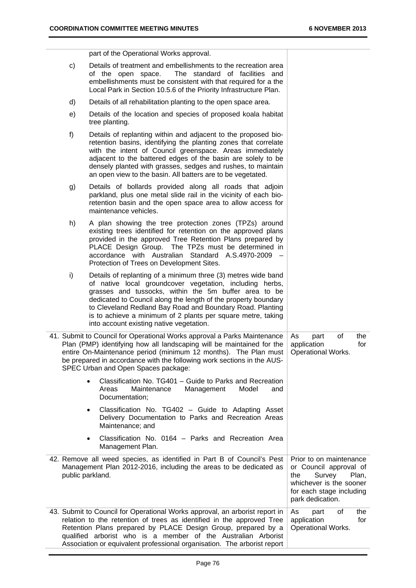for each stage including

park dedication.

part of the Operational Works approval.

- c) Details of treatment and embellishments to the recreation area of the open space. The standard of facilities and embellishments must be consistent with that required for a the Local Park in Section 10.5.6 of the Priority Infrastructure Plan.
- d) Details of all rehabilitation planting to the open space area.
- e) Details of the location and species of proposed koala habitat tree planting.
- f) Details of replanting within and adjacent to the proposed bioretention basins, identifying the planting zones that correlate with the intent of Council greenspace. Areas immediately adjacent to the battered edges of the basin are solely to be densely planted with grasses, sedges and rushes, to maintain an open view to the basin. All batters are to be vegetated.
- g) Details of bollards provided along all roads that adjoin parkland, plus one metal slide rail in the vicinity of each bioretention basin and the open space area to allow access for maintenance vehicles.
- h) A plan showing the tree protection zones (TPZs) around existing trees identified for retention on the approved plans provided in the approved Tree Retention Plans prepared by PLACE Design Group. The TPZs must be determined in accordance with Australian Standard A.S.4970-2009 – Protection of Trees on Development Sites.
- i) Details of replanting of a minimum three (3) metres wide band of native local groundcover vegetation, including herbs, grasses and tussocks, within the 5m buffer area to be dedicated to Council along the length of the property boundary to Cleveland Redland Bay Road and Boundary Road. Planting is to achieve a minimum of 2 plants per square metre, taking into account existing native vegetation.

| 41. Submit to Council for Operational Works approval a Parks Maintenance   As             | part | 0t | the |
|-------------------------------------------------------------------------------------------|------|----|-----|
| Plan (PMP) identifying how all landscaping will be maintained for the $\vert$ application |      |    | for |
| entire On-Maintenance period (minimum 12 months). The Plan must   Operational Works.      |      |    |     |
| be prepared in accordance with the following work sections in the AUS-                    |      |    |     |
| SPEC Urban and Open Spaces package:                                                       |      |    |     |
| Classification No. TG401 - Guide to Parks and Recreation<br>$\bullet$                     |      |    |     |

- Areas Maintenance Management Model and Documentation;
- Classification No. TG402 Guide to Adapting Asset Delivery Documentation to Parks and Recreation Areas Maintenance; and
- Classification No. 0164 Parks and Recreation Area Management Plan.
- 42. Remove all weed species, as identified in Part B of Council's Pest Management Plan 2012-2016, including the areas to be dedicated as public parkland. Prior to on maintenance or Council approval of the Survey Plan, whichever is the sooner
- 43. Submit to Council for Operational Works approval, an arborist report in relation to the retention of trees as identified in the approved Tree Retention Plans prepared by PLACE Design Group, prepared by a qualified arborist who is a member of the Australian Arborist Association or equivalent professional organisation. The arborist report As part of the application for Operational Works.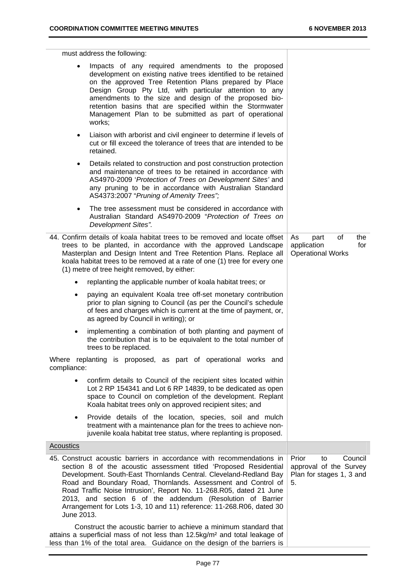must address the following: Impacts of any required amendments to the proposed development on existing native trees identified to be retained on the approved Tree Retention Plans prepared by Place Design Group Pty Ltd, with particular attention to any amendments to the size and design of the proposed bioretention basins that are specified within the Stormwater Management Plan to be submitted as part of operational works; Liaison with arborist and civil engineer to determine if levels of cut or fill exceed the tolerance of trees that are intended to be retained. Details related to construction and post construction protection and maintenance of trees to be retained in accordance with AS4970-2009 '*Protection of Trees on Development Sites'* and any pruning to be in accordance with Australian Standard AS4373:2007 "*Pruning of Amenity Trees";*  The tree assessment must be considered in accordance with Australian Standard AS4970-2009 "*Protection of Trees on Development Sites".* 44. Confirm details of koala habitat trees to be removed and locate offset trees to be planted, in accordance with the approved Landscape Masterplan and Design Intent and Tree Retention Plans. Replace all koala habitat trees to be removed at a rate of one (1) tree for every one (1) metre of tree height removed, by either: replanting the applicable number of koala habitat trees; or paying an equivalent Koala tree off-set monetary contribution prior to plan signing to Council (as per the Council's schedule of fees and charges which is current at the time of payment, or, as agreed by Council in writing); or implementing a combination of both planting and payment of the contribution that is to be equivalent to the total number of trees to be replaced. Where replanting is proposed, as part of operational works and compliance: confirm details to Council of the recipient sites located within Lot 2 RP 154341 and Lot 6 RP 14839, to be dedicated as open space to Council on completion of the development. Replant Koala habitat trees only on approved recipient sites; and Provide details of the location, species, soil and mulch treatment with a maintenance plan for the trees to achieve nonjuvenile koala habitat tree status, where replanting is proposed. As part of the application for Operational Works **Acoustics** 45. Construct acoustic barriers in accordance with recommendations in section 8 of the acoustic assessment titled 'Proposed Residential Development. South-East Thornlands Central. Cleveland-Redland Bay Road and Boundary Road, Thornlands. Assessment and Control of Road Traffic Noise Intrusion', Report No. 11-268.R05, dated 21 June 2013, and section 6 of the addendum (Resolution of Barrier Arrangement for Lots 1-3, 10 and 11) reference: 11-268.R06, dated 30 June 2013. Construct the acoustic barrier to achieve a minimum standard that attains a superficial mass of not less than 12.5kg/m² and total leakage of Prior to Council approval of the Survey Plan for stages 1, 3 and 5.

less than 1% of the total area. Guidance on the design of the barriers is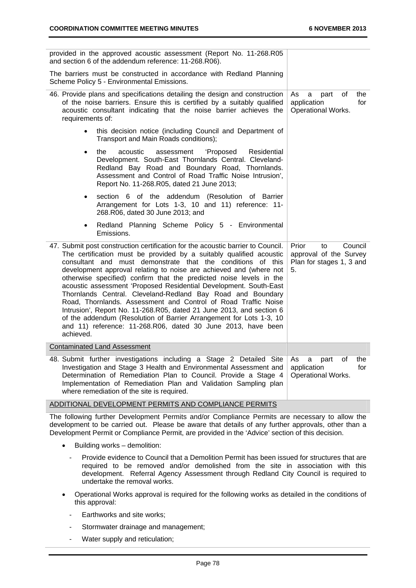| provided in the approved acoustic assessment (Report No. 11-268.R05<br>and section 6 of the addendum reference: 11-268.R06).                                                                                                                                                                                                                                                                                                                                                                                                                                                                                                                                                                                                                                                                         |                                                                                    |
|------------------------------------------------------------------------------------------------------------------------------------------------------------------------------------------------------------------------------------------------------------------------------------------------------------------------------------------------------------------------------------------------------------------------------------------------------------------------------------------------------------------------------------------------------------------------------------------------------------------------------------------------------------------------------------------------------------------------------------------------------------------------------------------------------|------------------------------------------------------------------------------------|
| The barriers must be constructed in accordance with Redland Planning<br>Scheme Policy 5 - Environmental Emissions.                                                                                                                                                                                                                                                                                                                                                                                                                                                                                                                                                                                                                                                                                   |                                                                                    |
| 46. Provide plans and specifications detailing the design and construction<br>of the noise barriers. Ensure this is certified by a suitably qualified<br>acoustic consultant indicating that the noise barrier achieves the<br>requirements of:                                                                                                                                                                                                                                                                                                                                                                                                                                                                                                                                                      | As<br>part<br>of<br>the<br>a<br>application<br>for<br>Operational Works.           |
| this decision notice (including Council and Department of<br>Transport and Main Roads conditions);                                                                                                                                                                                                                                                                                                                                                                                                                                                                                                                                                                                                                                                                                                   |                                                                                    |
| acoustic<br>assessment<br>'Proposed<br>Residential<br>the<br>$\bullet$<br>Development. South-East Thornlands Central. Cleveland-<br>Redland Bay Road and Boundary Road, Thornlands.<br>Assessment and Control of Road Traffic Noise Intrusion',<br>Report No. 11-268.R05, dated 21 June 2013;                                                                                                                                                                                                                                                                                                                                                                                                                                                                                                        |                                                                                    |
| section 6 of the addendum (Resolution of Barrier<br>$\bullet$<br>Arrangement for Lots 1-3, 10 and 11) reference: 11-<br>268.R06, dated 30 June 2013; and                                                                                                                                                                                                                                                                                                                                                                                                                                                                                                                                                                                                                                             |                                                                                    |
| Redland Planning Scheme Policy 5 - Environmental<br>$\bullet$<br>Emissions.                                                                                                                                                                                                                                                                                                                                                                                                                                                                                                                                                                                                                                                                                                                          |                                                                                    |
| 47. Submit post construction certification for the acoustic barrier to Council.<br>The certification must be provided by a suitably qualified acoustic<br>consultant and must demonstrate that the conditions of this<br>development approval relating to noise are achieved and (where not<br>otherwise specified) confirm that the predicted noise levels in the<br>acoustic assessment 'Proposed Residential Development. South-East<br>Thornlands Central. Cleveland-Redland Bay Road and Boundary<br>Road, Thornlands. Assessment and Control of Road Traffic Noise<br>Intrusion', Report No. 11-268.R05, dated 21 June 2013, and section 6<br>of the addendum (Resolution of Barrier Arrangement for Lots 1-3, 10<br>and 11) reference: 11-268.R06, dated 30 June 2013, have been<br>achieved. | Prior<br>Council<br>to<br>approval of the Survey<br>Plan for stages 1, 3 and<br>5. |
| <b>Contaminated Land Assessment</b>                                                                                                                                                                                                                                                                                                                                                                                                                                                                                                                                                                                                                                                                                                                                                                  |                                                                                    |
| 48. Submit further investigations including a Stage 2 Detailed Site<br>Investigation and Stage 3 Health and Environmental Assessment and<br>Determination of Remediation Plan to Council. Provide a Stage 4<br>Implementation of Remediation Plan and Validation Sampling plan<br>where remediation of the site is required.                                                                                                                                                                                                                                                                                                                                                                                                                                                                         | As<br>οf<br>the<br>a<br>part<br>application<br>for<br>Operational Works.           |
| ADDITIONAL DEVELOPMENT PERMITS AND COMPLIANCE PERMITS                                                                                                                                                                                                                                                                                                                                                                                                                                                                                                                                                                                                                                                                                                                                                |                                                                                    |
|                                                                                                                                                                                                                                                                                                                                                                                                                                                                                                                                                                                                                                                                                                                                                                                                      |                                                                                    |

The following further Development Permits and/or Compliance Permits are necessary to allow the development to be carried out. Please be aware that details of any further approvals, other than a Development Permit or Compliance Permit, are provided in the 'Advice' section of this decision.

- Building works demolition:
	- Provide evidence to Council that a Demolition Permit has been issued for structures that are required to be removed and/or demolished from the site in association with this development. Referral Agency Assessment through Redland City Council is required to undertake the removal works.
- Operational Works approval is required for the following works as detailed in the conditions of this approval:
	- Earthworks and site works;
	- Stormwater drainage and management;
	- Water supply and reticulation;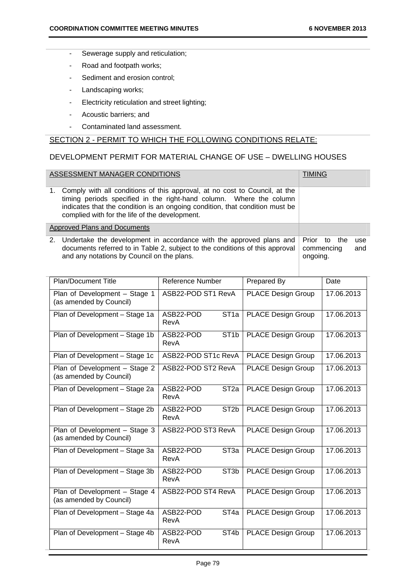- Sewerage supply and reticulation;
- Road and footpath works;
- Sediment and erosion control;
- Landscaping works;
- Electricity reticulation and street lighting;
- Acoustic barriers; and
- Contaminated land assessment.

## SECTION 2 - PERMIT TO WHICH THE FOLLOWING CONDITIONS RELATE:

## DEVELOPMENT PERMIT FOR MATERIAL CHANGE OF USE – DWELLING HOUSES

| ASSESSMENT MANAGER CONDITIONS                                                                                                                                                                                                                                                          | <b>TIMING</b>                          |            |
|----------------------------------------------------------------------------------------------------------------------------------------------------------------------------------------------------------------------------------------------------------------------------------------|----------------------------------------|------------|
| 1. Comply with all conditions of this approval, at no cost to Council, at the<br>timing periods specified in the right-hand column. Where the column<br>indicates that the condition is an ongoing condition, that condition must be<br>complied with for the life of the development. |                                        |            |
| Approved Plans and Documents                                                                                                                                                                                                                                                           |                                        |            |
| 2. Undertake the development in accordance with the approved plans and<br>documents referred to in Table 2, subject to the conditions of this approval<br>and any notations by Council on the plans.                                                                                   | Prior to the<br>commencing<br>ongoing. | use<br>and |

| <b>Plan/Document Title</b>                               | Reference Number                       | Prepared By               | Date       |
|----------------------------------------------------------|----------------------------------------|---------------------------|------------|
| Plan of Development - Stage 1<br>(as amended by Council) | ASB22-POD ST1 RevA                     | <b>PLACE Design Group</b> | 17.06.2013 |
| Plan of Development - Stage 1a                           | ST <sub>1a</sub><br>ASB22-POD<br>RevA  | <b>PLACE Design Group</b> | 17.06.2013 |
| Plan of Development - Stage 1b                           | ASB22-POD<br>ST <sub>1</sub> b<br>RevA | <b>PLACE Design Group</b> | 17.06.2013 |
| Plan of Development - Stage 1c                           | ASB22-POD ST1c RevA                    | <b>PLACE Design Group</b> | 17.06.2013 |
| Plan of Development - Stage 2<br>(as amended by Council) | ASB22-POD ST2 RevA                     | <b>PLACE Design Group</b> | 17.06.2013 |
| Plan of Development - Stage 2a                           | ST <sub>2a</sub><br>ASB22-POD<br>RevA  | <b>PLACE Design Group</b> | 17.06.2013 |
| Plan of Development - Stage 2b                           | ST <sub>2</sub> b<br>ASB22-POD<br>RevA | <b>PLACE Design Group</b> | 17.06.2013 |
| Plan of Development - Stage 3<br>(as amended by Council) | ASB22-POD ST3 RevA                     | <b>PLACE Design Group</b> | 17.06.2013 |
| Plan of Development - Stage 3a                           | ST <sub>3a</sub><br>ASB22-POD<br>RevA  | <b>PLACE Design Group</b> | 17.06.2013 |
| Plan of Development - Stage 3b                           | ST <sub>3</sub> b<br>ASB22-POD<br>RevA | <b>PLACE Design Group</b> | 17.06.2013 |
| Plan of Development - Stage 4<br>(as amended by Council) | ASB22-POD ST4 RevA                     | <b>PLACE Design Group</b> | 17.06.2013 |
| Plan of Development - Stage 4a                           | ST <sub>4a</sub><br>ASB22-POD<br>RevA  | <b>PLACE Design Group</b> | 17.06.2013 |
| Plan of Development - Stage 4b                           | ASB22-POD<br>ST <sub>4</sub> b<br>RevA | <b>PLACE Design Group</b> | 17.06.2013 |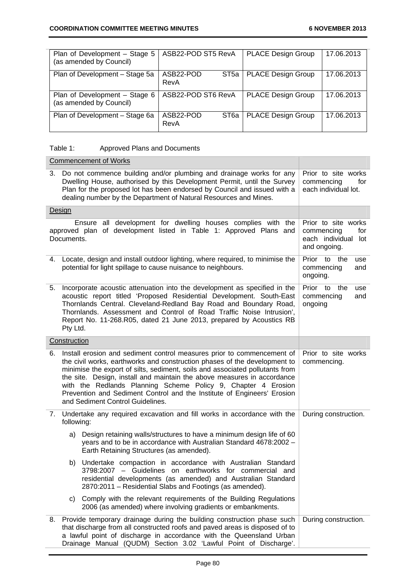| Plan of Development - Stage 5<br>(as amended by Council) | ASB22-POD ST5 RevA                    | <b>PLACE Design Group</b> | 17.06.2013 |
|----------------------------------------------------------|---------------------------------------|---------------------------|------------|
| Plan of Development - Stage 5a                           | ASB22-POD<br>ST <sub>5a</sub><br>RevA | <b>PLACE Design Group</b> | 17.06.2013 |
| Plan of Development - Stage 6<br>(as amended by Council) | ASB22-POD ST6 RevA                    | <b>PLACE Design Group</b> | 17.06.2013 |
| Plan of Development - Stage 6a                           | ASB22-POD<br>ST6a<br>RevA             | <b>PLACE Design Group</b> | 17.06.2013 |

## Table 1: Approved Plans and Documents

| <b>Commencement of Works</b> |                                                                                                                                                                                                                                                                                                                                                                                                                                                                                                                                      |                                                                                    |  |
|------------------------------|--------------------------------------------------------------------------------------------------------------------------------------------------------------------------------------------------------------------------------------------------------------------------------------------------------------------------------------------------------------------------------------------------------------------------------------------------------------------------------------------------------------------------------------|------------------------------------------------------------------------------------|--|
| 3.                           | Do not commence building and/or plumbing and drainage works for any<br>Dwelling House, authorised by this Development Permit, until the Survey<br>Plan for the proposed lot has been endorsed by Council and issued with a<br>dealing number by the Department of Natural Resources and Mines.                                                                                                                                                                                                                                       | Prior to site works<br>commencing<br>for<br>each individual lot.                   |  |
|                              | <b>Design</b>                                                                                                                                                                                                                                                                                                                                                                                                                                                                                                                        |                                                                                    |  |
|                              | Ensure all development for dwelling houses complies with the<br>approved plan of development listed in Table 1: Approved Plans and<br>Documents.                                                                                                                                                                                                                                                                                                                                                                                     | Prior to site works<br>commencing<br>for<br>each individual<br>lot<br>and ongoing. |  |
| 4.                           | Locate, design and install outdoor lighting, where required, to minimise the<br>potential for light spillage to cause nuisance to neighbours.                                                                                                                                                                                                                                                                                                                                                                                        | Prior to<br>the<br>use<br>commencing<br>and<br>ongoing.                            |  |
| 5.                           | Prior to<br>Incorporate acoustic attenuation into the development as specified in the<br>the<br>use<br>acoustic report titled 'Proposed Residential Development. South-East<br>commencing<br>and<br>Thornlands Central. Cleveland-Redland Bay Road and Boundary Road,<br>ongoing<br>Thornlands. Assessment and Control of Road Traffic Noise Intrusion',<br>Report No. 11-268. R05, dated 21 June 2013, prepared by Acoustics RB<br>Pty Ltd.                                                                                         |                                                                                    |  |
|                              | Construction                                                                                                                                                                                                                                                                                                                                                                                                                                                                                                                         |                                                                                    |  |
| 6.                           | Install erosion and sediment control measures prior to commencement of<br>Prior to site works<br>the civil works, earthworks and construction phases of the development to<br>commencing.<br>minimise the export of silts, sediment, soils and associated pollutants from<br>the site. Design, install and maintain the above measures in accordance<br>with the Redlands Planning Scheme Policy 9, Chapter 4 Erosion<br>Prevention and Sediment Control and the Institute of Engineers' Erosion<br>and Sediment Control Guidelines. |                                                                                    |  |
| 7.                           | Undertake any required excavation and fill works in accordance with the<br>following:                                                                                                                                                                                                                                                                                                                                                                                                                                                | During construction.                                                               |  |
|                              | Design retaining walls/structures to have a minimum design life of 60<br>a)<br>years and to be in accordance with Australian Standard 4678:2002 -<br>Earth Retaining Structures (as amended).                                                                                                                                                                                                                                                                                                                                        |                                                                                    |  |
|                              | Undertake compaction in accordance with Australian Standard<br>b)<br>3798:2007 - Guidelines on earthworks for commercial and<br>residential developments (as amended) and Australian Standard<br>2870:2011 - Residential Slabs and Footings (as amended).                                                                                                                                                                                                                                                                            |                                                                                    |  |
|                              | Comply with the relevant requirements of the Building Regulations<br>C)<br>2006 (as amended) where involving gradients or embankments.                                                                                                                                                                                                                                                                                                                                                                                               |                                                                                    |  |
| 8.                           | Provide temporary drainage during the building construction phase such<br>that discharge from all constructed roofs and paved areas is disposed of to<br>a lawful point of discharge in accordance with the Queensland Urban<br>Drainage Manual (QUDM) Section 3.02 'Lawful Point of Discharge'.                                                                                                                                                                                                                                     | During construction.                                                               |  |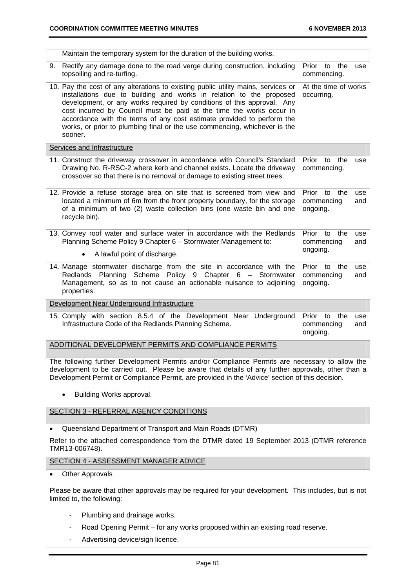|    | Maintain the temporary system for the duration of the building works.                                                                                                                                                                                                                                                                                                                                                                                                        |                                           |                   |
|----|------------------------------------------------------------------------------------------------------------------------------------------------------------------------------------------------------------------------------------------------------------------------------------------------------------------------------------------------------------------------------------------------------------------------------------------------------------------------------|-------------------------------------------|-------------------|
| 9. | Rectify any damage done to the road verge during construction, including<br>topsoiling and re-turfing.                                                                                                                                                                                                                                                                                                                                                                       | Prior to<br>the<br>commencing.            | use               |
|    | 10. Pay the cost of any alterations to existing public utility mains, services or<br>installations due to building and works in relation to the proposed<br>development, or any works required by conditions of this approval. Any<br>cost incurred by Council must be paid at the time the works occur in<br>accordance with the terms of any cost estimate provided to perform the<br>works, or prior to plumbing final or the use commencing, whichever is the<br>sooner. | At the time of works<br>occurring.        |                   |
|    | Services and Infrastructure                                                                                                                                                                                                                                                                                                                                                                                                                                                  |                                           |                   |
|    | 11. Construct the driveway crossover in accordance with Council's Standard<br>Drawing No. R-RSC-2 where kerb and channel exists. Locate the driveway<br>crossover so that there is no removal or damage to existing street trees.                                                                                                                                                                                                                                            | Prior<br>to<br>the<br>commencing.         | use               |
|    | 12. Provide a refuse storage area on site that is screened from view and<br>located a minimum of 6m from the front property boundary, for the storage<br>of a minimum of two (2) waste collection bins (one waste bin and one<br>recycle bin).                                                                                                                                                                                                                               | the<br>Prior to<br>commencing<br>ongoing. | use<br>and        |
|    | 13. Convey roof water and surface water in accordance with the Redlands<br>Planning Scheme Policy 9 Chapter 6 - Stormwater Management to:                                                                                                                                                                                                                                                                                                                                    | Prior to<br>the<br>commencing<br>ongoing. | use<br>and        |
|    | A lawful point of discharge.<br>$\bullet$                                                                                                                                                                                                                                                                                                                                                                                                                                    |                                           |                   |
|    | 14. Manage stormwater discharge from the site in accordance with the<br>Redlands Planning Scheme Policy 9 Chapter 6 - Stormwater<br>Management, so as to not cause an actionable nuisance to adjoining<br>properties.                                                                                                                                                                                                                                                        | the<br>Prior to<br>commencing<br>ongoing. | use<br>and        |
|    | Development Near Underground Infrastructure                                                                                                                                                                                                                                                                                                                                                                                                                                  |                                           |                   |
|    | 15. Comply with section 8.5.4 of the Development Near Underground<br>Infrastructure Code of the Redlands Planning Scheme.                                                                                                                                                                                                                                                                                                                                                    | Prior to<br>the<br>commencing<br>ongoing. | <b>use</b><br>and |
|    | ADDITIONAL DEVELOPMENT PERMITS AND COMPLIANCE PERMITS                                                                                                                                                                                                                                                                                                                                                                                                                        |                                           |                   |

The following further Development Permits and/or Compliance Permits are necessary to allow the development to be carried out. Please be aware that details of any further approvals, other than a Development Permit or Compliance Permit, are provided in the 'Advice' section of this decision.

• Building Works approval.

#### SECTION 3 - REFERRAL AGENCY CONDITIONS

Queensland Department of Transport and Main Roads (DTMR)

Refer to the attached correspondence from the DTMR dated 19 September 2013 (DTMR reference TMR13-006748).

#### SECTION 4 - ASSESSMENT MANAGER ADVICE

Other Approvals

Please be aware that other approvals may be required for your development. This includes, but is not limited to, the following:

- Plumbing and drainage works.
- Road Opening Permit for any works proposed within an existing road reserve.
- Advertising device/sign licence.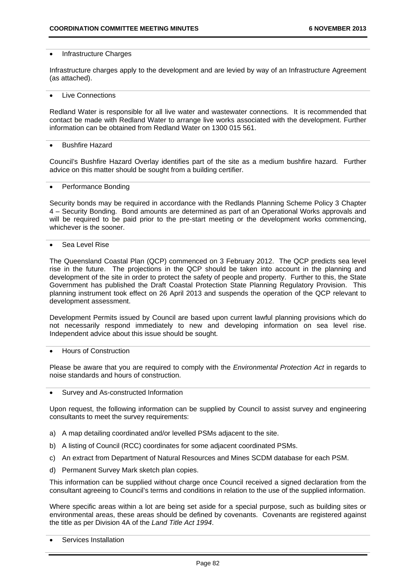#### Infrastructure Charges

Infrastructure charges apply to the development and are levied by way of an Infrastructure Agreement (as attached).

#### Live Connections

Redland Water is responsible for all live water and wastewater connections. It is recommended that contact be made with Redland Water to arrange live works associated with the development. Further information can be obtained from Redland Water on 1300 015 561.

#### Bushfire Hazard

Council's Bushfire Hazard Overlay identifies part of the site as a medium bushfire hazard. Further advice on this matter should be sought from a building certifier.

#### Performance Bonding

Security bonds may be required in accordance with the Redlands Planning Scheme Policy 3 Chapter 4 – Security Bonding. Bond amounts are determined as part of an Operational Works approvals and will be required to be paid prior to the pre-start meeting or the development works commencing. whichever is the sooner.

#### Sea Level Rise

The Queensland Coastal Plan (QCP) commenced on 3 February 2012. The QCP predicts sea level rise in the future. The projections in the QCP should be taken into account in the planning and development of the site in order to protect the safety of people and property. Further to this, the State Government has published the Draft Coastal Protection State Planning Regulatory Provision. This planning instrument took effect on 26 April 2013 and suspends the operation of the QCP relevant to development assessment.

Development Permits issued by Council are based upon current lawful planning provisions which do not necessarily respond immediately to new and developing information on sea level rise. Independent advice about this issue should be sought.

#### Hours of Construction

Please be aware that you are required to comply with the *Environmental Protection Act* in regards to noise standards and hours of construction.

#### Survey and As-constructed Information

Upon request, the following information can be supplied by Council to assist survey and engineering consultants to meet the survey requirements:

- a) A map detailing coordinated and/or levelled PSMs adjacent to the site.
- b) A listing of Council (RCC) coordinates for some adjacent coordinated PSMs.
- c) An extract from Department of Natural Resources and Mines SCDM database for each PSM.
- d) Permanent Survey Mark sketch plan copies.

This information can be supplied without charge once Council received a signed declaration from the consultant agreeing to Council's terms and conditions in relation to the use of the supplied information.

Where specific areas within a lot are being set aside for a special purpose, such as building sites or environmental areas, these areas should be defined by covenants. Covenants are registered against the title as per Division 4A of the *Land Title Act 1994*.

Services Installation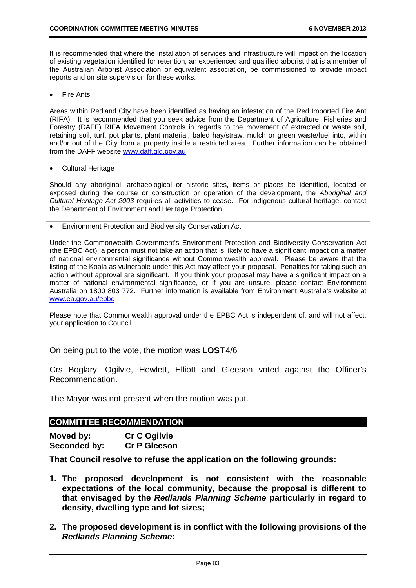It is recommended that where the installation of services and infrastructure will impact on the location of existing vegetation identified for retention, an experienced and qualified arborist that is a member of the Australian Arborist Association or equivalent association, be commissioned to provide impact reports and on site supervision for these works.

Fire Ants

Areas within Redland City have been identified as having an infestation of the Red Imported Fire Ant (RIFA). It is recommended that you seek advice from the Department of Agriculture, Fisheries and Forestry (DAFF) RIFA Movement Controls in regards to the movement of extracted or waste soil, retaining soil, turf, pot plants, plant material, baled hay/straw, mulch or green waste/fuel into, within and/or out of the City from a property inside a restricted area. Further information can be obtained from the DAFF website www.daff.qld.gov.au

#### Cultural Heritage

Should any aboriginal, archaeological or historic sites, items or places be identified, located or exposed during the course or construction or operation of the development, the *Aboriginal and Cultural Heritage Act 2003* requires all activities to cease. For indigenous cultural heritage, contact the Department of Environment and Heritage Protection.

Environment Protection and Biodiversity Conservation Act

Under the Commonwealth Government's Environment Protection and Biodiversity Conservation Act (the EPBC Act), a person must not take an action that is likely to have a significant impact on a matter of national environmental significance without Commonwealth approval. Please be aware that the listing of the Koala as vulnerable under this Act may affect your proposal. Penalties for taking such an action without approval are significant. If you think your proposal may have a significant impact on a matter of national environmental significance, or if you are unsure, please contact Environment Australia on 1800 803 772. Further information is available from Environment Australia's website at www.ea.gov.au/epbc

Please note that Commonwealth approval under the EPBC Act is independent of, and will not affect, your application to Council.

On being put to the vote, the motion was **LOST** 4/6

Crs Boglary, Ogilvie, Hewlett, Elliott and Gleeson voted against the Officer's Recommendation.

The Mayor was not present when the motion was put.

#### **COMMITTEE RECOMMENDATION**

**Moved by: Cr C Ogilvie Seconded by: Cr P Gleeson** 

**That Council resolve to refuse the application on the following grounds:** 

- **1. The proposed development is not consistent with the reasonable expectations of the local community, because the proposal is different to that envisaged by the** *Redlands Planning Scheme* **particularly in regard to density, dwelling type and lot sizes;**
- **2. The proposed development is in conflict with the following provisions of the**  *Redlands Planning Scheme***:**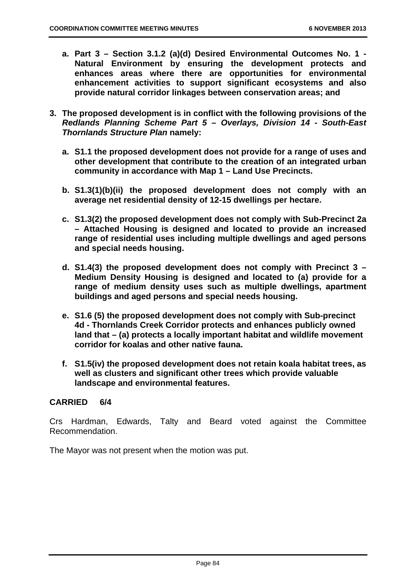- **a. Part 3 Section 3.1.2 (a)(d) Desired Environmental Outcomes No. 1 Natural Environment by ensuring the development protects and enhances areas where there are opportunities for environmental enhancement activities to support significant ecosystems and also provide natural corridor linkages between conservation areas; and**
- **3. The proposed development is in conflict with the following provisions of the** *Redlands Planning Scheme Part 5 – Overlays, Division 14 - South-East Thornlands Structure Plan* **namely:** 
	- **a. S1.1 the proposed development does not provide for a range of uses and other development that contribute to the creation of an integrated urban community in accordance with Map 1 – Land Use Precincts.**
	- **b. S1.3(1)(b)(ii) the proposed development does not comply with an average net residential density of 12-15 dwellings per hectare.**
	- **c. S1.3(2) the proposed development does not comply with Sub-Precinct 2a – Attached Housing is designed and located to provide an increased range of residential uses including multiple dwellings and aged persons and special needs housing.**
	- **d. S1.4(3) the proposed development does not comply with Precinct 3 Medium Density Housing is designed and located to (a) provide for a range of medium density uses such as multiple dwellings, apartment buildings and aged persons and special needs housing.**
	- **e. S1.6 (5) the proposed development does not comply with Sub-precinct 4d - Thornlands Creek Corridor protects and enhances publicly owned land that – (a) protects a locally important habitat and wildlife movement corridor for koalas and other native fauna.**
	- **f. S1.5(iv) the proposed development does not retain koala habitat trees, as well as clusters and significant other trees which provide valuable landscape and environmental features.**

# **CARRIED 6/4**

Crs Hardman, Edwards, Talty and Beard voted against the Committee Recommendation.

The Mayor was not present when the motion was put.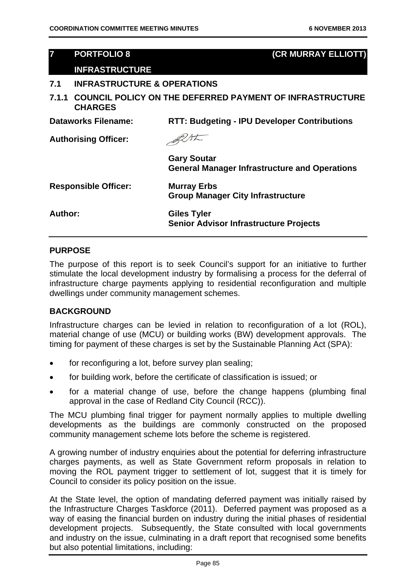| $\overline{7}$              | <b>PORTFOLIO 8</b>                     | (CR MURRAY ELLIOTT)                                                        |
|-----------------------------|----------------------------------------|----------------------------------------------------------------------------|
|                             | <b>INFRASTRUCTURE</b>                  |                                                                            |
| 7.1                         | <b>INFRASTRUCTURE &amp; OPERATIONS</b> |                                                                            |
| 7.1.1                       | <b>CHARGES</b>                         | <b>COUNCIL POLICY ON THE DEFERRED PAYMENT OF INFRASTRUCTURE</b>            |
|                             | Dataworks Filename:                    | <b>RTT: Budgeting - IPU Developer Contributions</b>                        |
| <b>Authorising Officer:</b> |                                        |                                                                            |
|                             |                                        | <b>Gary Soutar</b><br><b>General Manager Infrastructure and Operations</b> |
|                             | <b>Responsible Officer:</b>            | <b>Murray Erbs</b><br><b>Group Manager City Infrastructure</b>             |
| Author:                     |                                        | Giles Tyler<br><b>Senior Advisor Infrastructure Projects</b>               |
|                             |                                        |                                                                            |

## **PURPOSE**

The purpose of this report is to seek Council's support for an initiative to further stimulate the local development industry by formalising a process for the deferral of infrastructure charge payments applying to residential reconfiguration and multiple dwellings under community management schemes.

## **BACKGROUND**

Infrastructure charges can be levied in relation to reconfiguration of a lot (ROL), material change of use (MCU) or building works (BW) development approvals. The timing for payment of these charges is set by the Sustainable Planning Act (SPA):

- for reconfiguring a lot, before survey plan sealing;
- for building work, before the certificate of classification is issued; or
- for a material change of use, before the change happens (plumbing final approval in the case of Redland City Council (RCC)).

The MCU plumbing final trigger for payment normally applies to multiple dwelling developments as the buildings are commonly constructed on the proposed community management scheme lots before the scheme is registered.

A growing number of industry enquiries about the potential for deferring infrastructure charges payments, as well as State Government reform proposals in relation to moving the ROL payment trigger to settlement of lot, suggest that it is timely for Council to consider its policy position on the issue.

At the State level, the option of mandating deferred payment was initially raised by the Infrastructure Charges Taskforce (2011). Deferred payment was proposed as a way of easing the financial burden on industry during the initial phases of residential development projects. Subsequently, the State consulted with local governments and industry on the issue, culminating in a draft report that recognised some benefits but also potential limitations, including: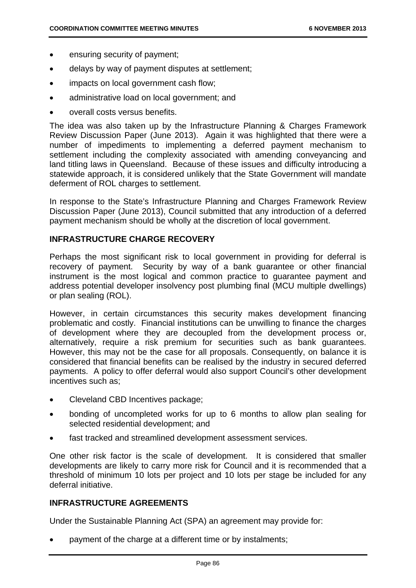- ensuring security of payment;
- delays by way of payment disputes at settlement;
- impacts on local government cash flow;
- administrative load on local government; and
- overall costs versus benefits.

The idea was also taken up by the Infrastructure Planning & Charges Framework Review Discussion Paper (June 2013). Again it was highlighted that there were a number of impediments to implementing a deferred payment mechanism to settlement including the complexity associated with amending conveyancing and land titling laws in Queensland. Because of these issues and difficulty introducing a statewide approach, it is considered unlikely that the State Government will mandate deferment of ROL charges to settlement.

In response to the State's Infrastructure Planning and Charges Framework Review Discussion Paper (June 2013), Council submitted that any introduction of a deferred payment mechanism should be wholly at the discretion of local government.

## **INFRASTRUCTURE CHARGE RECOVERY**

Perhaps the most significant risk to local government in providing for deferral is recovery of payment. Security by way of a bank guarantee or other financial instrument is the most logical and common practice to guarantee payment and address potential developer insolvency post plumbing final (MCU multiple dwellings) or plan sealing (ROL).

However, in certain circumstances this security makes development financing problematic and costly. Financial institutions can be unwilling to finance the charges of development where they are decoupled from the development process or, alternatively, require a risk premium for securities such as bank guarantees. However, this may not be the case for all proposals. Consequently, on balance it is considered that financial benefits can be realised by the industry in secured deferred payments. A policy to offer deferral would also support Council's other development incentives such as;

- Cleveland CBD Incentives package;
- bonding of uncompleted works for up to 6 months to allow plan sealing for selected residential development; and
- fast tracked and streamlined development assessment services.

One other risk factor is the scale of development. It is considered that smaller developments are likely to carry more risk for Council and it is recommended that a threshold of minimum 10 lots per project and 10 lots per stage be included for any deferral initiative.

## **INFRASTRUCTURE AGREEMENTS**

Under the Sustainable Planning Act (SPA) an agreement may provide for:

payment of the charge at a different time or by instalments;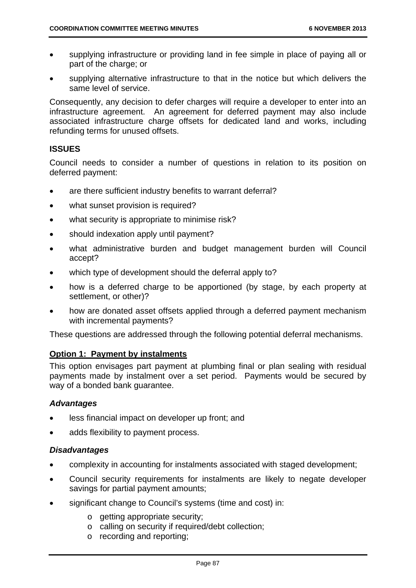- supplying infrastructure or providing land in fee simple in place of paying all or part of the charge; or
- supplying alternative infrastructure to that in the notice but which delivers the same level of service.

Consequently, any decision to defer charges will require a developer to enter into an infrastructure agreement. An agreement for deferred payment may also include associated infrastructure charge offsets for dedicated land and works, including refunding terms for unused offsets.

## **ISSUES**

Council needs to consider a number of questions in relation to its position on deferred payment:

- are there sufficient industry benefits to warrant deferral?
- what sunset provision is required?
- what security is appropriate to minimise risk?
- should indexation apply until payment?
- what administrative burden and budget management burden will Council accept?
- which type of development should the deferral apply to?
- how is a deferred charge to be apportioned (by stage, by each property at settlement, or other)?
- how are donated asset offsets applied through a deferred payment mechanism with incremental payments?

These questions are addressed through the following potential deferral mechanisms.

## **Option 1: Payment by instalments**

This option envisages part payment at plumbing final or plan sealing with residual payments made by instalment over a set period. Payments would be secured by way of a bonded bank guarantee.

## *Advantages*

- less financial impact on developer up front; and
- adds flexibility to payment process.

## *Disadvantages*

- complexity in accounting for instalments associated with staged development;
- Council security requirements for instalments are likely to negate developer savings for partial payment amounts;
- significant change to Council's systems (time and cost) in:
	- o getting appropriate security;
	- o calling on security if required/debt collection;
	- o recording and reporting;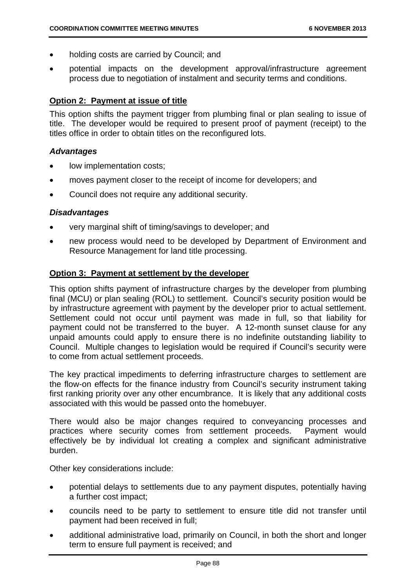- holding costs are carried by Council; and
- potential impacts on the development approval/infrastructure agreement process due to negotiation of instalment and security terms and conditions.

## **Option 2: Payment at issue of title**

This option shifts the payment trigger from plumbing final or plan sealing to issue of title. The developer would be required to present proof of payment (receipt) to the titles office in order to obtain titles on the reconfigured lots.

#### *Advantages*

- low implementation costs;
- moves payment closer to the receipt of income for developers; and
- Council does not require any additional security.

## *Disadvantages*

- very marginal shift of timing/savings to developer; and
- new process would need to be developed by Department of Environment and Resource Management for land title processing.

## **Option 3: Payment at settlement by the developer**

This option shifts payment of infrastructure charges by the developer from plumbing final (MCU) or plan sealing (ROL) to settlement. Council's security position would be by infrastructure agreement with payment by the developer prior to actual settlement. Settlement could not occur until payment was made in full, so that liability for payment could not be transferred to the buyer. A 12-month sunset clause for any unpaid amounts could apply to ensure there is no indefinite outstanding liability to Council. Multiple changes to legislation would be required if Council's security were to come from actual settlement proceeds.

The key practical impediments to deferring infrastructure charges to settlement are the flow-on effects for the finance industry from Council's security instrument taking first ranking priority over any other encumbrance. It is likely that any additional costs associated with this would be passed onto the homebuyer.

There would also be major changes required to conveyancing processes and practices where security comes from settlement proceeds. Payment would effectively be by individual lot creating a complex and significant administrative burden.

Other key considerations include:

- potential delays to settlements due to any payment disputes, potentially having a further cost impact;
- councils need to be party to settlement to ensure title did not transfer until payment had been received in full;
- additional administrative load, primarily on Council, in both the short and longer term to ensure full payment is received; and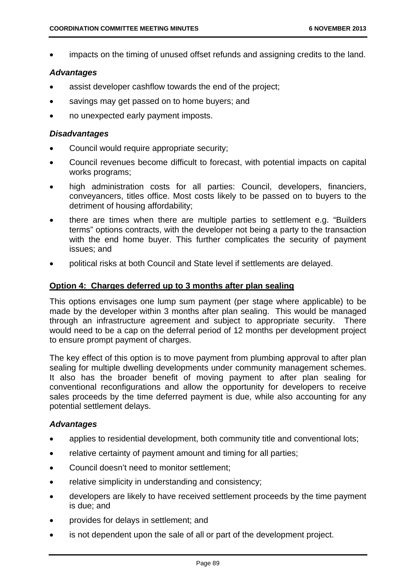impacts on the timing of unused offset refunds and assigning credits to the land.

## *Advantages*

- assist developer cashflow towards the end of the project;
- savings may get passed on to home buyers; and
- no unexpected early payment imposts.

## *Disadvantages*

- Council would require appropriate security;
- Council revenues become difficult to forecast, with potential impacts on capital works programs;
- high administration costs for all parties: Council, developers, financiers, conveyancers, titles office. Most costs likely to be passed on to buyers to the detriment of housing affordability;
- there are times when there are multiple parties to settlement e.g. "Builders terms" options contracts, with the developer not being a party to the transaction with the end home buyer. This further complicates the security of payment issues; and
- political risks at both Council and State level if settlements are delayed.

## **Option 4: Charges deferred up to 3 months after plan sealing**

This options envisages one lump sum payment (per stage where applicable) to be made by the developer within 3 months after plan sealing. This would be managed through an infrastructure agreement and subject to appropriate security. There would need to be a cap on the deferral period of 12 months per development project to ensure prompt payment of charges.

The key effect of this option is to move payment from plumbing approval to after plan sealing for multiple dwelling developments under community management schemes. It also has the broader benefit of moving payment to after plan sealing for conventional reconfigurations and allow the opportunity for developers to receive sales proceeds by the time deferred payment is due, while also accounting for any potential settlement delays.

## *Advantages*

- applies to residential development, both community title and conventional lots;
- relative certainty of payment amount and timing for all parties;
- Council doesn't need to monitor settlement:
- relative simplicity in understanding and consistency;
- developers are likely to have received settlement proceeds by the time payment is due; and
- provides for delays in settlement; and
- is not dependent upon the sale of all or part of the development project.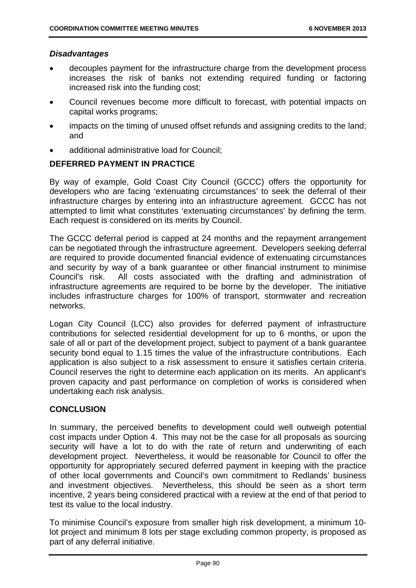## *Disadvantages*

- decouples payment for the infrastructure charge from the development process increases the risk of banks not extending required funding or factoring increased risk into the funding cost;
- Council revenues become more difficult to forecast, with potential impacts on capital works programs;
- impacts on the timing of unused offset refunds and assigning credits to the land; and
- additional administrative load for Council;

## **DEFERRED PAYMENT IN PRACTICE**

By way of example, Gold Coast City Council (GCCC) offers the opportunity for developers who are facing 'extenuating circumstances' to seek the deferral of their infrastructure charges by entering into an infrastructure agreement. GCCC has not attempted to limit what constitutes 'extenuating circumstances' by defining the term. Each request is considered on its merits by Council.

The GCCC deferral period is capped at 24 months and the repayment arrangement can be negotiated through the infrastructure agreement. Developers seeking deferral are required to provide documented financial evidence of extenuating circumstances and security by way of a bank guarantee or other financial instrument to minimise Council's risk. All costs associated with the drafting and administration of infrastructure agreements are required to be borne by the developer. The initiative includes infrastructure charges for 100% of transport, stormwater and recreation networks.

Logan City Council (LCC) also provides for deferred payment of infrastructure contributions for selected residential development for up to 6 months, or upon the sale of all or part of the development project, subject to payment of a bank guarantee security bond equal to 1.15 times the value of the infrastructure contributions. Each application is also subject to a risk assessment to ensure it satisfies certain criteria. Council reserves the right to determine each application on its merits. An applicant's proven capacity and past performance on completion of works is considered when undertaking each risk analysis.

## **CONCLUSION**

In summary, the perceived benefits to development could well outweigh potential cost impacts under Option 4. This may not be the case for all proposals as sourcing security will have a lot to do with the rate of return and underwriting of each development project. Nevertheless, it would be reasonable for Council to offer the opportunity for appropriately secured deferred payment in keeping with the practice of other local governments and Council's own commitment to Redlands' business and investment objectives. Nevertheless, this should be seen as a short term incentive, 2 years being considered practical with a review at the end of that period to test its value to the local industry.

To minimise Council's exposure from smaller high risk development, a minimum 10 lot project and minimum 8 lots per stage excluding common property, is proposed as part of any deferral initiative.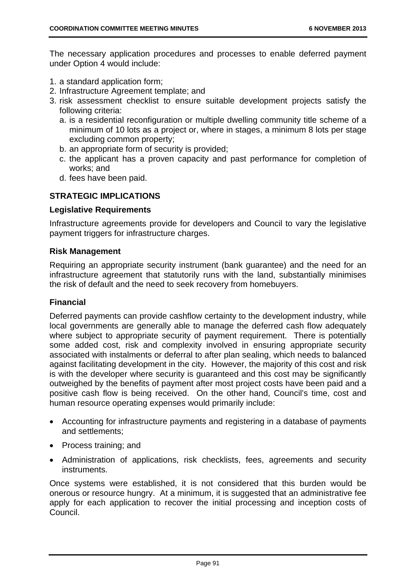The necessary application procedures and processes to enable deferred payment under Option 4 would include:

- 1. a standard application form;
- 2. Infrastructure Agreement template; and
- 3. risk assessment checklist to ensure suitable development projects satisfy the following criteria:
	- a. is a residential reconfiguration or multiple dwelling community title scheme of a minimum of 10 lots as a project or, where in stages, a minimum 8 lots per stage excluding common property;
	- b. an appropriate form of security is provided;
	- c. the applicant has a proven capacity and past performance for completion of works; and
	- d. fees have been paid.

## **STRATEGIC IMPLICATIONS**

## **Legislative Requirements**

Infrastructure agreements provide for developers and Council to vary the legislative payment triggers for infrastructure charges.

## **Risk Management**

Requiring an appropriate security instrument (bank guarantee) and the need for an infrastructure agreement that statutorily runs with the land, substantially minimises the risk of default and the need to seek recovery from homebuyers.

## **Financial**

Deferred payments can provide cashflow certainty to the development industry, while local governments are generally able to manage the deferred cash flow adequately where subject to appropriate security of payment requirement. There is potentially some added cost, risk and complexity involved in ensuring appropriate security associated with instalments or deferral to after plan sealing, which needs to balanced against facilitating development in the city. However, the majority of this cost and risk is with the developer where security is guaranteed and this cost may be significantly outweighed by the benefits of payment after most project costs have been paid and a positive cash flow is being received. On the other hand, Council's time, cost and human resource operating expenses would primarily include:

- Accounting for infrastructure payments and registering in a database of payments and settlements;
- Process training: and
- Administration of applications, risk checklists, fees, agreements and security instruments.

Once systems were established, it is not considered that this burden would be onerous or resource hungry. At a minimum, it is suggested that an administrative fee apply for each application to recover the initial processing and inception costs of Council.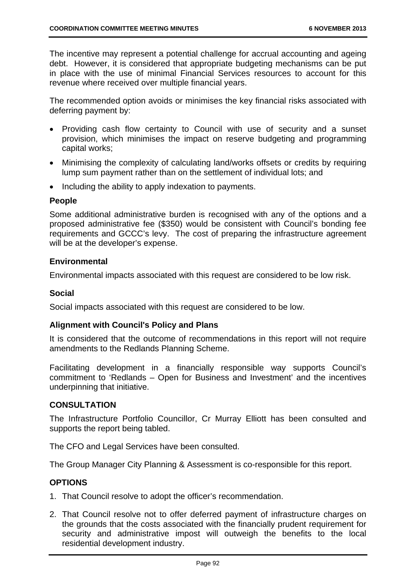The incentive may represent a potential challenge for accrual accounting and ageing debt. However, it is considered that appropriate budgeting mechanisms can be put in place with the use of minimal Financial Services resources to account for this revenue where received over multiple financial years.

The recommended option avoids or minimises the key financial risks associated with deferring payment by:

- Providing cash flow certainty to Council with use of security and a sunset provision, which minimises the impact on reserve budgeting and programming capital works;
- Minimising the complexity of calculating land/works offsets or credits by requiring lump sum payment rather than on the settlement of individual lots; and
- Including the ability to apply indexation to payments.

## **People**

Some additional administrative burden is recognised with any of the options and a proposed administrative fee (\$350) would be consistent with Council's bonding fee requirements and GCCC's levy. The cost of preparing the infrastructure agreement will be at the developer's expense.

## **Environmental**

Environmental impacts associated with this request are considered to be low risk.

## **Social**

Social impacts associated with this request are considered to be low.

## **Alignment with Council's Policy and Plans**

It is considered that the outcome of recommendations in this report will not require amendments to the Redlands Planning Scheme.

Facilitating development in a financially responsible way supports Council's commitment to 'Redlands – Open for Business and Investment' and the incentives underpinning that initiative.

## **CONSULTATION**

The Infrastructure Portfolio Councillor, Cr Murray Elliott has been consulted and supports the report being tabled.

The CFO and Legal Services have been consulted.

The Group Manager City Planning & Assessment is co-responsible for this report.

## **OPTIONS**

- 1. That Council resolve to adopt the officer's recommendation.
- 2. That Council resolve not to offer deferred payment of infrastructure charges on the grounds that the costs associated with the financially prudent requirement for security and administrative impost will outweigh the benefits to the local residential development industry.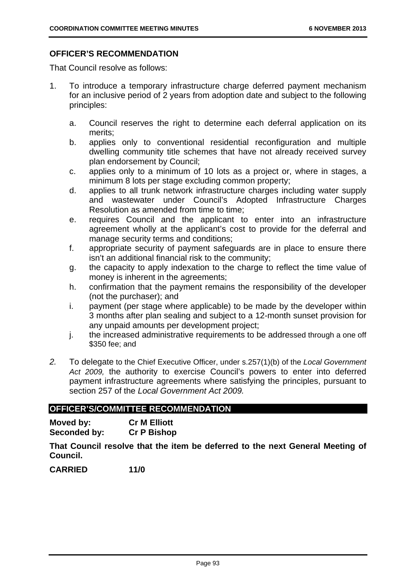## **OFFICER'S RECOMMENDATION**

That Council resolve as follows:

- 1. To introduce a temporary infrastructure charge deferred payment mechanism for an inclusive period of 2 years from adoption date and subject to the following principles:
	- a. Council reserves the right to determine each deferral application on its merits;
	- b. applies only to conventional residential reconfiguration and multiple dwelling community title schemes that have not already received survey plan endorsement by Council;
	- c. applies only to a minimum of 10 lots as a project or, where in stages, a minimum 8 lots per stage excluding common property;
	- d. applies to all trunk network infrastructure charges including water supply and wastewater under Council's Adopted Infrastructure Charges Resolution as amended from time to time;
	- e. requires Council and the applicant to enter into an infrastructure agreement wholly at the applicant's cost to provide for the deferral and manage security terms and conditions;
	- f. appropriate security of payment safeguards are in place to ensure there isn't an additional financial risk to the community;
	- g. the capacity to apply indexation to the charge to reflect the time value of money is inherent in the agreements;
	- h. confirmation that the payment remains the responsibility of the developer (not the purchaser); and
	- i. payment (per stage where applicable) to be made by the developer within 3 months after plan sealing and subject to a 12-month sunset provision for any unpaid amounts per development project;
	- j. the increased administrative requirements to be addressed through a one off \$350 fee; and
- *2.* To delegate to the Chief Executive Officer, under s.257(1)(b) of the *Local Government Act 2009,* the authority to exercise Council's powers to enter into deferred payment infrastructure agreements where satisfying the principles, pursuant to section 257 of the *Local Government Act 2009.*

## **OFFICER'S/COMMITTEE RECOMMENDATION**

| Moved by:    | <b>Cr M Elliott</b> |
|--------------|---------------------|
| Seconded by: | <b>Cr P Bishop</b>  |

**That Council resolve that the item be deferred to the next General Meeting of Council.** 

**CARRIED 11/0**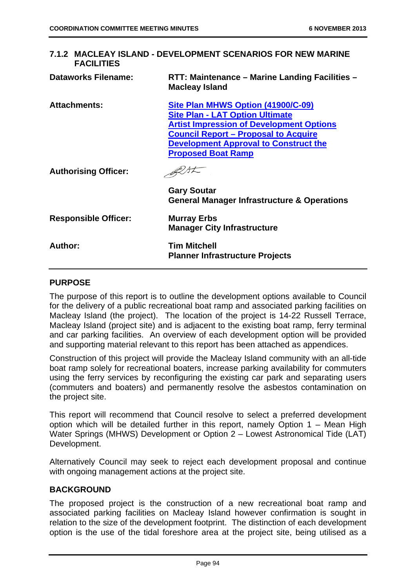| 7.1.2 MACLEAY ISLAND - DEVELOPMENT SCENARIOS FOR NEW MARINE<br><b>FACILITIES</b> |                                                                                                                                                                                                                                                                    |
|----------------------------------------------------------------------------------|--------------------------------------------------------------------------------------------------------------------------------------------------------------------------------------------------------------------------------------------------------------------|
| <b>Dataworks Filename:</b>                                                       | RTT: Maintenance - Marine Landing Facilities -<br><b>Macleay Island</b>                                                                                                                                                                                            |
| <b>Attachments:</b>                                                              | Site Plan MHWS Option (41900/C-09)<br><b>Site Plan - LAT Option Ultimate</b><br><b>Artist Impression of Development Options</b><br><u><b>Council Report – Proposal to Acquire</b></u><br><b>Development Approval to Construct the</b><br><b>Proposed Boat Ramp</b> |
| <b>Authorising Officer:</b>                                                      | <b>Gary Soutar</b>                                                                                                                                                                                                                                                 |
|                                                                                  | <b>General Manager Infrastructure &amp; Operations</b>                                                                                                                                                                                                             |
| <b>Responsible Officer:</b>                                                      | <b>Murray Erbs</b><br><b>Manager City Infrastructure</b>                                                                                                                                                                                                           |
| Author:                                                                          | Tim Mitchell<br><b>Planner Infrastructure Projects</b>                                                                                                                                                                                                             |
|                                                                                  |                                                                                                                                                                                                                                                                    |

## **PURPOSE**

The purpose of this report is to outline the development options available to Council for the delivery of a public recreational boat ramp and associated parking facilities on Macleay Island (the project). The location of the project is 14-22 Russell Terrace, Macleay Island (project site) and is adjacent to the existing boat ramp, ferry terminal and car parking facilities. An overview of each development option will be provided and supporting material relevant to this report has been attached as appendices.

Construction of this project will provide the Macleay Island community with an all-tide boat ramp solely for recreational boaters, increase parking availability for commuters using the ferry services by reconfiguring the existing car park and separating users (commuters and boaters) and permanently resolve the asbestos contamination on the project site.

This report will recommend that Council resolve to select a preferred development option which will be detailed further in this report, namely Option 1 – Mean High Water Springs (MHWS) Development or Option 2 – Lowest Astronomical Tide (LAT) Development.

Alternatively Council may seek to reject each development proposal and continue with ongoing management actions at the project site.

## **BACKGROUND**

The proposed project is the construction of a new recreational boat ramp and associated parking facilities on Macleay Island however confirmation is sought in relation to the size of the development footprint. The distinction of each development option is the use of the tidal foreshore area at the project site, being utilised as a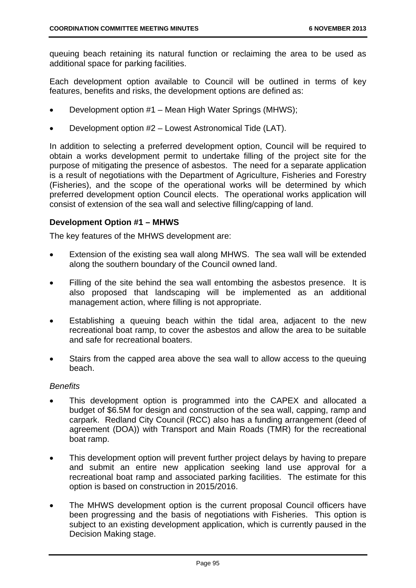queuing beach retaining its natural function or reclaiming the area to be used as additional space for parking facilities.

Each development option available to Council will be outlined in terms of key features, benefits and risks, the development options are defined as:

- Development option #1 Mean High Water Springs (MHWS);
- Development option #2 Lowest Astronomical Tide (LAT).

In addition to selecting a preferred development option, Council will be required to obtain a works development permit to undertake filling of the project site for the purpose of mitigating the presence of asbestos. The need for a separate application is a result of negotiations with the Department of Agriculture, Fisheries and Forestry (Fisheries), and the scope of the operational works will be determined by which preferred development option Council elects. The operational works application will consist of extension of the sea wall and selective filling/capping of land.

## **Development Option #1 – MHWS**

The key features of the MHWS development are:

- Extension of the existing sea wall along MHWS. The sea wall will be extended along the southern boundary of the Council owned land.
- Filling of the site behind the sea wall entombing the asbestos presence. It is also proposed that landscaping will be implemented as an additional management action, where filling is not appropriate.
- Establishing a queuing beach within the tidal area, adjacent to the new recreational boat ramp, to cover the asbestos and allow the area to be suitable and safe for recreational boaters.
- Stairs from the capped area above the sea wall to allow access to the queuing beach.

## *Benefits*

- This development option is programmed into the CAPEX and allocated a budget of \$6.5M for design and construction of the sea wall, capping, ramp and carpark. Redland City Council (RCC) also has a funding arrangement (deed of agreement (DOA)) with Transport and Main Roads (TMR) for the recreational boat ramp.
- This development option will prevent further project delays by having to prepare and submit an entire new application seeking land use approval for a recreational boat ramp and associated parking facilities. The estimate for this option is based on construction in 2015/2016.
- The MHWS development option is the current proposal Council officers have been progressing and the basis of negotiations with Fisheries. This option is subject to an existing development application, which is currently paused in the Decision Making stage.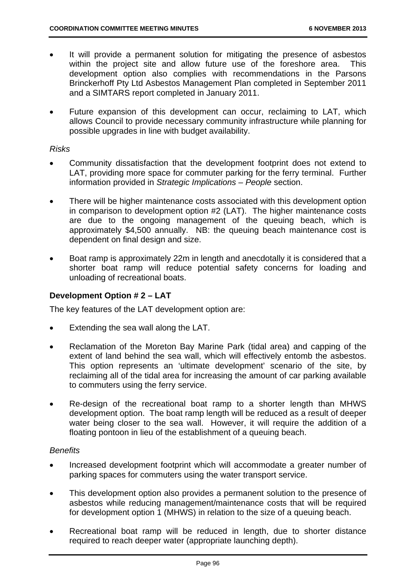- It will provide a permanent solution for mitigating the presence of asbestos within the project site and allow future use of the foreshore area. This development option also complies with recommendations in the Parsons Brinckerhoff Pty Ltd Asbestos Management Plan completed in September 2011 and a SIMTARS report completed in January 2011.
- Future expansion of this development can occur, reclaiming to LAT, which allows Council to provide necessary community infrastructure while planning for possible upgrades in line with budget availability.

## *Risks*

- Community dissatisfaction that the development footprint does not extend to LAT, providing more space for commuter parking for the ferry terminal. Further information provided in *Strategic Implications – People* section.
- There will be higher maintenance costs associated with this development option in comparison to development option #2 (LAT). The higher maintenance costs are due to the ongoing management of the queuing beach, which is approximately \$4,500 annually. NB: the queuing beach maintenance cost is dependent on final design and size.
- Boat ramp is approximately 22m in length and anecdotally it is considered that a shorter boat ramp will reduce potential safety concerns for loading and unloading of recreational boats.

## **Development Option # 2 – LAT**

The key features of the LAT development option are:

- Extending the sea wall along the LAT.
- Reclamation of the Moreton Bay Marine Park (tidal area) and capping of the extent of land behind the sea wall, which will effectively entomb the asbestos. This option represents an 'ultimate development' scenario of the site, by reclaiming all of the tidal area for increasing the amount of car parking available to commuters using the ferry service.
- Re-design of the recreational boat ramp to a shorter length than MHWS development option. The boat ramp length will be reduced as a result of deeper water being closer to the sea wall. However, it will require the addition of a floating pontoon in lieu of the establishment of a queuing beach.

## *Benefits*

- Increased development footprint which will accommodate a greater number of parking spaces for commuters using the water transport service.
- This development option also provides a permanent solution to the presence of asbestos while reducing management/maintenance costs that will be required for development option 1 (MHWS) in relation to the size of a queuing beach.
- Recreational boat ramp will be reduced in length, due to shorter distance required to reach deeper water (appropriate launching depth).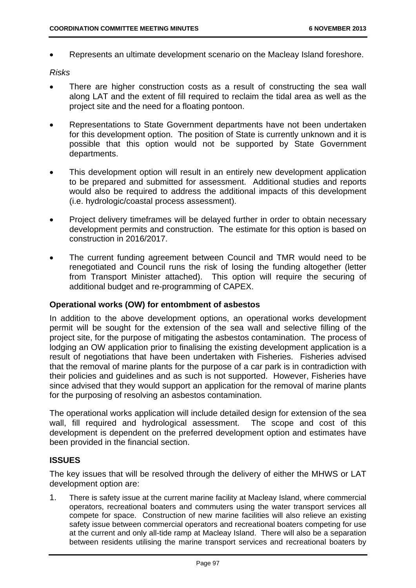Represents an ultimate development scenario on the Macleay Island foreshore.

## *Risks*

- There are higher construction costs as a result of constructing the sea wall along LAT and the extent of fill required to reclaim the tidal area as well as the project site and the need for a floating pontoon.
- Representations to State Government departments have not been undertaken for this development option. The position of State is currently unknown and it is possible that this option would not be supported by State Government departments.
- This development option will result in an entirely new development application to be prepared and submitted for assessment. Additional studies and reports would also be required to address the additional impacts of this development (i.e. hydrologic/coastal process assessment).
- Project delivery timeframes will be delayed further in order to obtain necessary development permits and construction. The estimate for this option is based on construction in 2016/2017.
- The current funding agreement between Council and TMR would need to be renegotiated and Council runs the risk of losing the funding altogether (letter from Transport Minister attached). This option will require the securing of additional budget and re-programming of CAPEX.

## **Operational works (OW) for entombment of asbestos**

In addition to the above development options, an operational works development permit will be sought for the extension of the sea wall and selective filling of the project site, for the purpose of mitigating the asbestos contamination. The process of lodging an OW application prior to finalising the existing development application is a result of negotiations that have been undertaken with Fisheries. Fisheries advised that the removal of marine plants for the purpose of a car park is in contradiction with their policies and guidelines and as such is not supported. However, Fisheries have since advised that they would support an application for the removal of marine plants for the purposing of resolving an asbestos contamination.

The operational works application will include detailed design for extension of the sea wall, fill required and hydrological assessment. The scope and cost of this development is dependent on the preferred development option and estimates have been provided in the financial section.

## **ISSUES**

The key issues that will be resolved through the delivery of either the MHWS or LAT development option are:

1. There is safety issue at the current marine facility at Macleay Island, where commercial operators, recreational boaters and commuters using the water transport services all compete for space. Construction of new marine facilities will also relieve an existing safety issue between commercial operators and recreational boaters competing for use at the current and only all-tide ramp at Macleay Island. There will also be a separation between residents utilising the marine transport services and recreational boaters by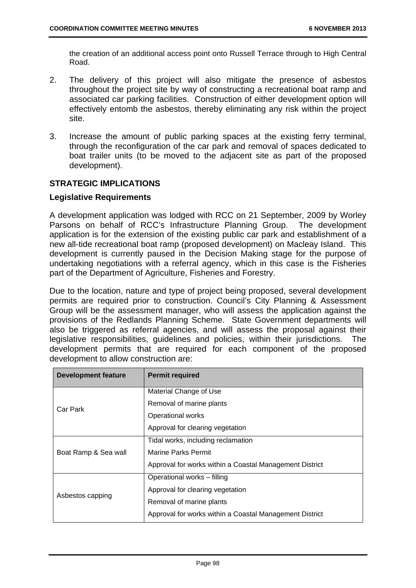the creation of an additional access point onto Russell Terrace through to High Central Road.

- 2. The delivery of this project will also mitigate the presence of asbestos throughout the project site by way of constructing a recreational boat ramp and associated car parking facilities. Construction of either development option will effectively entomb the asbestos, thereby eliminating any risk within the project site.
- 3. Increase the amount of public parking spaces at the existing ferry terminal, through the reconfiguration of the car park and removal of spaces dedicated to boat trailer units (to be moved to the adjacent site as part of the proposed development).

## **STRATEGIC IMPLICATIONS**

## **Legislative Requirements**

A development application was lodged with RCC on 21 September, 2009 by Worley Parsons on behalf of RCC's Infrastructure Planning Group. The development application is for the extension of the existing public car park and establishment of a new all-tide recreational boat ramp (proposed development) on Macleay Island. This development is currently paused in the Decision Making stage for the purpose of undertaking negotiations with a referral agency, which in this case is the Fisheries part of the Department of Agriculture, Fisheries and Forestry.

Due to the location, nature and type of project being proposed, several development permits are required prior to construction. Council's City Planning & Assessment Group will be the assessment manager, who will assess the application against the provisions of the Redlands Planning Scheme. State Government departments will also be triggered as referral agencies, and will assess the proposal against their legislative responsibilities, guidelines and policies, within their jurisdictions. The development permits that are required for each component of the proposed development to allow construction are:

| <b>Development feature</b> | <b>Permit required</b>                                  |
|----------------------------|---------------------------------------------------------|
|                            | Material Change of Use                                  |
| Car Park                   | Removal of marine plants                                |
|                            | Operational works                                       |
|                            | Approval for clearing vegetation                        |
|                            | Tidal works, including reclamation                      |
| Boat Ramp & Sea wall       | Marine Parks Permit                                     |
|                            | Approval for works within a Coastal Management District |
|                            | Operational works - filling                             |
|                            | Approval for clearing vegetation                        |
| Asbestos capping           | Removal of marine plants                                |
|                            | Approval for works within a Coastal Management District |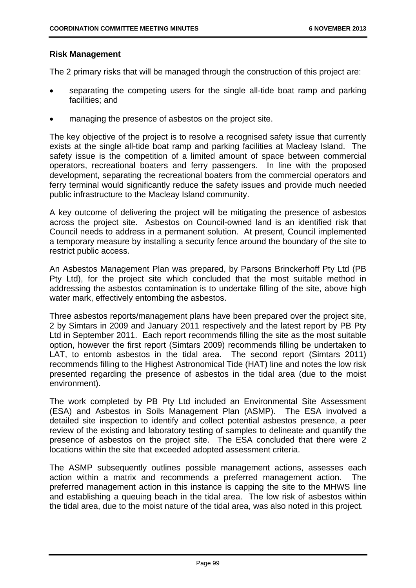## **Risk Management**

The 2 primary risks that will be managed through the construction of this project are:

- separating the competing users for the single all-tide boat ramp and parking facilities; and
- managing the presence of asbestos on the project site.

The key objective of the project is to resolve a recognised safety issue that currently exists at the single all-tide boat ramp and parking facilities at Macleay Island. The safety issue is the competition of a limited amount of space between commercial operators, recreational boaters and ferry passengers. In line with the proposed development, separating the recreational boaters from the commercial operators and ferry terminal would significantly reduce the safety issues and provide much needed public infrastructure to the Macleay Island community.

A key outcome of delivering the project will be mitigating the presence of asbestos across the project site. Asbestos on Council-owned land is an identified risk that Council needs to address in a permanent solution. At present, Council implemented a temporary measure by installing a security fence around the boundary of the site to restrict public access.

An Asbestos Management Plan was prepared, by Parsons Brinckerhoff Pty Ltd (PB Pty Ltd), for the project site which concluded that the most suitable method in addressing the asbestos contamination is to undertake filling of the site, above high water mark, effectively entombing the asbestos.

Three asbestos reports/management plans have been prepared over the project site, 2 by Simtars in 2009 and January 2011 respectively and the latest report by PB Pty Ltd in September 2011. Each report recommends filling the site as the most suitable option, however the first report (Simtars 2009) recommends filling be undertaken to LAT, to entomb asbestos in the tidal area. The second report (Simtars 2011) recommends filling to the Highest Astronomical Tide (HAT) line and notes the low risk presented regarding the presence of asbestos in the tidal area (due to the moist environment).

The work completed by PB Pty Ltd included an Environmental Site Assessment (ESA) and Asbestos in Soils Management Plan (ASMP). The ESA involved a detailed site inspection to identify and collect potential asbestos presence, a peer review of the existing and laboratory testing of samples to delineate and quantify the presence of asbestos on the project site. The ESA concluded that there were 2 locations within the site that exceeded adopted assessment criteria.

The ASMP subsequently outlines possible management actions, assesses each action within a matrix and recommends a preferred management action. The preferred management action in this instance is capping the site to the MHWS line and establishing a queuing beach in the tidal area. The low risk of asbestos within the tidal area, due to the moist nature of the tidal area, was also noted in this project.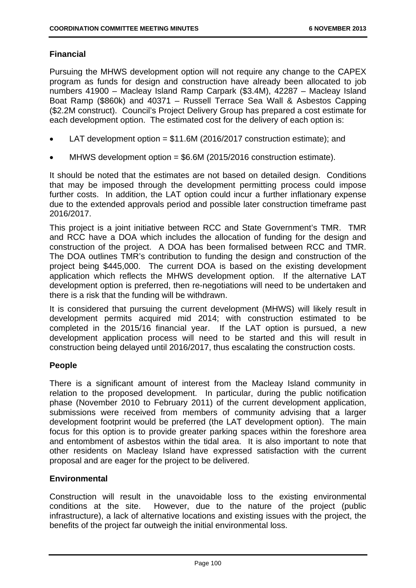# **Financial**

Pursuing the MHWS development option will not require any change to the CAPEX program as funds for design and construction have already been allocated to job numbers 41900 – Macleay Island Ramp Carpark (\$3.4M), 42287 – Macleay Island Boat Ramp (\$860k) and 40371 – Russell Terrace Sea Wall & Asbestos Capping (\$2.2M construct). Council's Project Delivery Group has prepared a cost estimate for each development option. The estimated cost for the delivery of each option is:

- LAT development option = \$11.6M (2016/2017 construction estimate); and
- MHWS development option = \$6.6M (2015/2016 construction estimate).

It should be noted that the estimates are not based on detailed design. Conditions that may be imposed through the development permitting process could impose further costs. In addition, the LAT option could incur a further inflationary expense due to the extended approvals period and possible later construction timeframe past 2016/2017.

This project is a joint initiative between RCC and State Government's TMR. TMR and RCC have a DOA which includes the allocation of funding for the design and construction of the project. A DOA has been formalised between RCC and TMR. The DOA outlines TMR's contribution to funding the design and construction of the project being \$445,000. The current DOA is based on the existing development application which reflects the MHWS development option. If the alternative LAT development option is preferred, then re-negotiations will need to be undertaken and there is a risk that the funding will be withdrawn.

It is considered that pursuing the current development (MHWS) will likely result in development permits acquired mid 2014; with construction estimated to be completed in the 2015/16 financial year. If the LAT option is pursued, a new development application process will need to be started and this will result in construction being delayed until 2016/2017, thus escalating the construction costs.

## **People**

There is a significant amount of interest from the Macleay Island community in relation to the proposed development. In particular, during the public notification phase (November 2010 to February 2011) of the current development application, submissions were received from members of community advising that a larger development footprint would be preferred (the LAT development option). The main focus for this option is to provide greater parking spaces within the foreshore area and entombment of asbestos within the tidal area. It is also important to note that other residents on Macleay Island have expressed satisfaction with the current proposal and are eager for the project to be delivered.

## **Environmental**

Construction will result in the unavoidable loss to the existing environmental conditions at the site. However, due to the nature of the project (public infrastructure), a lack of alternative locations and existing issues with the project, the benefits of the project far outweigh the initial environmental loss.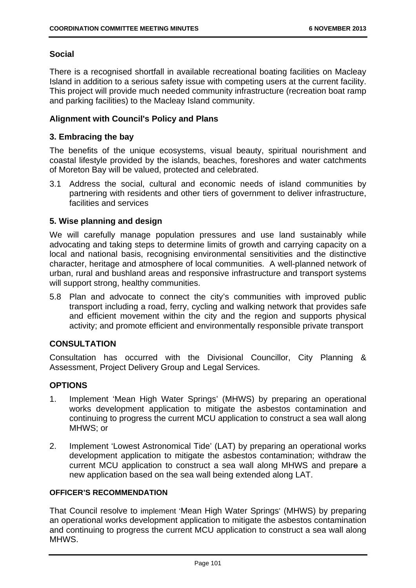## **Social**

There is a recognised shortfall in available recreational boating facilities on Macleay Island in addition to a serious safety issue with competing users at the current facility. This project will provide much needed community infrastructure (recreation boat ramp and parking facilities) to the Macleay Island community.

## **Alignment with Council's Policy and Plans**

## **3. Embracing the bay**

The benefits of the unique ecosystems, visual beauty, spiritual nourishment and coastal lifestyle provided by the islands, beaches, foreshores and water catchments of Moreton Bay will be valued, protected and celebrated.

3.1 Address the social, cultural and economic needs of island communities by partnering with residents and other tiers of government to deliver infrastructure, facilities and services

## **5. Wise planning and design**

We will carefully manage population pressures and use land sustainably while advocating and taking steps to determine limits of growth and carrying capacity on a local and national basis, recognising environmental sensitivities and the distinctive character, heritage and atmosphere of local communities. A well-planned network of urban, rural and bushland areas and responsive infrastructure and transport systems will support strong, healthy communities.

5.8 Plan and advocate to connect the city's communities with improved public transport including a road, ferry, cycling and walking network that provides safe and efficient movement within the city and the region and supports physical activity; and promote efficient and environmentally responsible private transport

## **CONSULTATION**

Consultation has occurred with the Divisional Councillor, City Planning & Assessment, Project Delivery Group and Legal Services.

## **OPTIONS**

- 1. Implement 'Mean High Water Springs' (MHWS) by preparing an operational works development application to mitigate the asbestos contamination and continuing to progress the current MCU application to construct a sea wall along MHWS; or
- 2. Implement 'Lowest Astronomical Tide' (LAT) by preparing an operational works development application to mitigate the asbestos contamination; withdraw the current MCU application to construct a sea wall along MHWS and prepare a new application based on the sea wall being extended along LAT.

## **OFFICER'S RECOMMENDATION**

That Council resolve to implement 'Mean High Water Springs' (MHWS) by preparing an operational works development application to mitigate the asbestos contamination and continuing to progress the current MCU application to construct a sea wall along MHWS.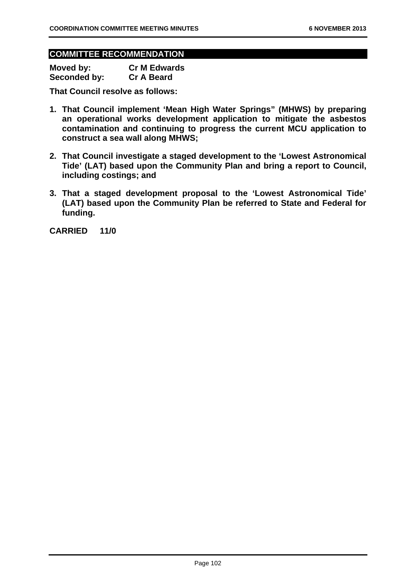## **COMMITTEE RECOMMENDATION**

| Moved by:           | <b>Cr M Edwards</b> |
|---------------------|---------------------|
| <b>Seconded by:</b> | <b>Cr A Beard</b>   |

**That Council resolve as follows:** 

- **1. That Council implement 'Mean High Water Springs" (MHWS) by preparing an operational works development application to mitigate the asbestos contamination and continuing to progress the current MCU application to construct a sea wall along MHWS;**
- **2. That Council investigate a staged development to the 'Lowest Astronomical Tide' (LAT) based upon the Community Plan and bring a report to Council, including costings; and**
- **3. That a staged development proposal to the 'Lowest Astronomical Tide' (LAT) based upon the Community Plan be referred to State and Federal for funding.**

**CARRIED 11/0**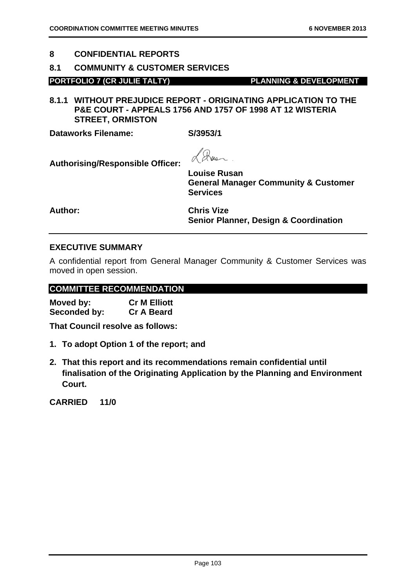## **8 CONFIDENTIAL REPORTS**

## **8.1 COMMUNITY & CUSTOMER SERVICES**

## **PORTFOLIO 7 (CR JULIE TALTY) PLANNING & DEVELOPMENT**

**8.1.1 WITHOUT PREJUDICE REPORT - ORIGINATING APPLICATION TO THE P&E COURT - APPEALS 1756 AND 1757 OF 1998 AT 12 WISTERIA STREET, ORMISTON** 

**Dataworks Filename: S/3953/1** 

**Authorising/Responsible Officer:** 

Q

**Louise Rusan General Manager Community & Customer Services** 

**Author: Chris Vize Senior Planner, Design & Coordination** 

## **EXECUTIVE SUMMARY**

A confidential report from General Manager Community & Customer Services was moved in open session.

## **COMMITTEE RECOMMENDATION**

| Moved by:    | <b>Cr M Elliott</b> |
|--------------|---------------------|
| Seconded by: | <b>Cr A Beard</b>   |

**That Council resolve as follows:** 

- **1. To adopt Option 1 of the report; and**
- **2. That this report and its recommendations remain confidential until finalisation of the Originating Application by the Planning and Environment Court.**

**CARRIED 11/0**